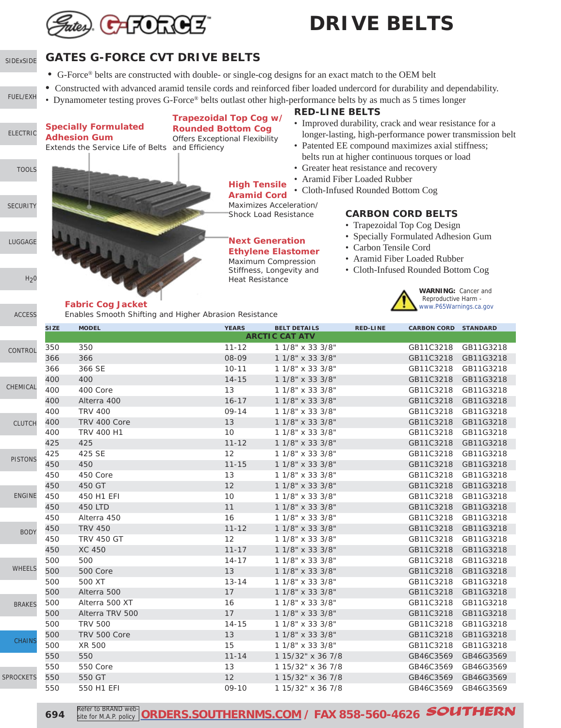

#### [SIDExSIDE](http://www.southernms.com/wp-content/uploads/2015/08/01_UTV.pdf) **GATES G-FORCE CVT DRIVE BELTS**

- G-Force® belts are constructed with double- or single-cog designs for an exact match to the OEM belt
- Constructed with advanced aramid tensile cords and reinforced fiber loaded undercord for durability and dependability.
- Dynamometer testing proves G-Force® belts outlast other high-performance belts by as much as 5 times longer

**High Tensile Aramid Cord** Maximizes Acceleration/ Shock Load Resistance

**Next Generation Ethylene Elastomer** Maximum Compression Stiffness, Longevity and Heat Resistance

### **Specially Formulated**

**Adhesion Gum** Extends the Service Life of Belts and Efficiency

#### **Trapezoidal Top Cog w/ Rounded Bottom Cog**

Offers Exceptional Flexibility

#### **RED-LINE BELTS**

- Improved durability, crack and wear resistance for a longer-lasting, high-performance power transmission belt
- Patented EE compound maximizes axial stiffness; belts run at higher continuous torques or load
- Greater heat resistance and recovery
- Aramid Fiber Loaded Rubber
- Cloth-Infused Rounded Bottom Cog

#### **CARBON CORD BELTS**

- Trapezoidal Top Cog Design
- Specially Formulated Adhesion Gum
- Carbon Tensile Cord
- Aramid Fiber Loaded Rubber
- Cloth-Infused Rounded Bottom Cog

**WARNING:** Cancer and<br>Reproductive Harm -

#### **Fabric Cog Jacket** Warner Williams and the **Fabric Cog Jacket** [www.P65Warnings.ca.gov](http://www.P65Warnings.ca.gov)

Enables Smooth Shifting and Higher Abrasion Resistance



**694** Refer to BRAND web Refer to BRAND web-**[ORDERS.SOUTHERNMS.COM](http://orders.southernms.com) / FAX 858-560-4626** SOUTHERN

- 
- [FUEL/EXH](http://www.southernms.com/wp-content/uploads/2015/08/02_fuel_exh.pdf)

[ELECTRIC](http://www.southernms.com/wp-content/uploads/2015/08/03_electrical.pdf)

**[TOOLS](http://www.southernms.com/wp-content/uploads/2015/08/04_tools.pdf)** 

[LUGGAGE](http://www.southernms.com/wp-content/uploads/2015/08/06_lugg.pdf)

 $H<sub>2</sub>0$ 

**[SECURITY](http://www.southernms.com/wp-content/uploads/2015/08/05_locks.pdf)**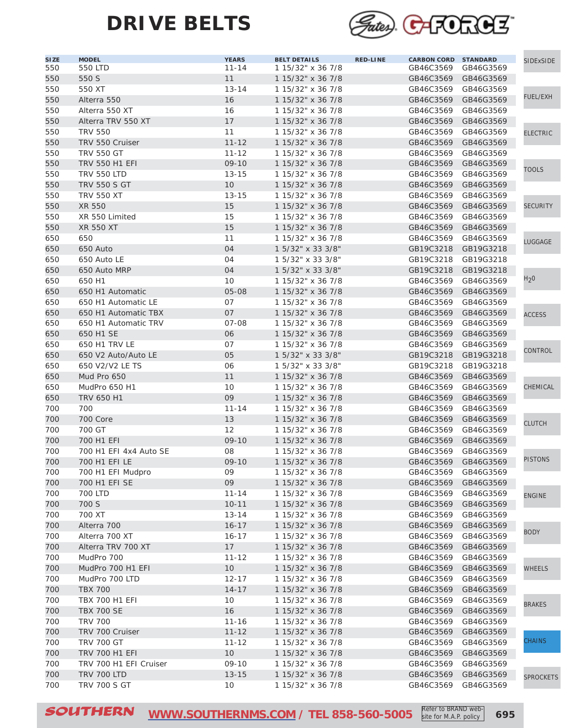

| <b>SIZE</b> | <b>MODEL</b>           | <b>YEARS</b>      | <b>BELT DETAILS</b> | <b>RED-LINE</b> | <b>CARBON CORD STANDARD</b> |           | SIDExSIDE        |
|-------------|------------------------|-------------------|---------------------|-----------------|-----------------------------|-----------|------------------|
| 550         | 550 LTD                | $11 - 14$         | 1 15/32" x 36 7/8   |                 | GB46C3569                   | GB46G3569 |                  |
| 550         | 550 S                  | 11                | 1 15/32" x 36 7/8   |                 | GB46C3569                   | GB46G3569 |                  |
| 550         | 550 XT                 | $13 - 14$         | 1 15/32" x 36 7/8   |                 | GB46C3569                   | GB46G3569 |                  |
| 550         | Alterra 550            | 16                | 1 15/32" x 36 7/8   |                 | GB46C3569                   | GB46G3569 | FUEL/EXH         |
| 550         | Alterra 550 XT         | 16                | 1 15/32" x 36 7/8   |                 | GB46C3569                   | GB46G3569 |                  |
| 550         | Alterra TRV 550 XT     | 17                | 1 15/32" x 36 7/8   |                 | GB46C3569                   | GB46G3569 |                  |
| 550         | <b>TRV 550</b>         | 11                | 1 15/32" x 36 7/8   |                 | GB46C3569                   | GB46G3569 | <b>ELECTRIC</b>  |
| 550         | TRV 550 Cruiser        | $11 - 12$         | 1 15/32" x 36 7/8   |                 | GB46C3569                   | GB46G3569 |                  |
| 550         | <b>TRV 550 GT</b>      | $11 - 12$         | 1 15/32" x 36 7/8   |                 | GB46C3569                   | GB46G3569 |                  |
| 550         | TRV 550 H1 EFI         | $09 - 10$         | 1 15/32" x 36 7/8   |                 | GB46C3569                   | GB46G3569 |                  |
| 550         | <b>TRV 550 LTD</b>     | $13 - 15$         | 1 15/32" x 36 7/8   |                 | GB46C3569                   | GB46G3569 | <b>TOOLS</b>     |
| 550         | <b>TRV 550 S GT</b>    | 10                | 1 15/32" x 36 7/8   |                 | GB46C3569                   | GB46G3569 |                  |
| 550         | <b>TRV 550 XT</b>      | $13 - 15$         | 1 15/32" x 36 7/8   |                 | GB46C3569                   | GB46G3569 |                  |
|             |                        |                   |                     |                 |                             |           | SECURITY         |
| 550         | XR 550                 | 15                | 1 15/32" x 36 7/8   |                 | GB46C3569                   | GB46G3569 |                  |
| 550         | XR 550 Limited         | 15                | 1 15/32" x 36 7/8   |                 | GB46C3569                   | GB46G3569 |                  |
| 550         | <b>XR 550 XT</b>       | 15                | 1 15/32" x 36 7/8   |                 | GB46C3569                   | GB46G3569 |                  |
| 650         | 650                    | 11                | 1 15/32" x 36 7/8   |                 | GB46C3569                   | GB46G3569 | LUGGAGE          |
| 650         | 650 Auto               | 04                | 1 5/32" x 33 3/8"   |                 | GB19C3218                   | GB19G3218 |                  |
| 650         | 650 Auto LE            | 04                | 1 5/32" x 33 3/8"   |                 | GB19C3218                   | GB19G3218 |                  |
| 650         | 650 Auto MRP           | 04                | 1 5/32" x 33 3/8"   |                 | GB19C3218                   | GB19G3218 |                  |
| 650         | 650 H1                 | 10                | 1 15/32" x 36 7/8   |                 | GB46C3569                   | GB46G3569 | $H_2 0$          |
| 650         | 650 H1 Automatic       | 05-08             | 1 15/32" x 36 7/8   |                 | GB46C3569                   | GB46G3569 |                  |
| 650         | 650 H1 Automatic LE    | 07                | 1 15/32" x 36 7/8   |                 | GB46C3569                   | GB46G3569 |                  |
| 650         | 650 H1 Automatic TBX   | 07                | 1 15/32" x 36 7/8   |                 | GB46C3569                   | GB46G3569 | <b>ACCESS</b>    |
| 650         | 650 H1 Automatic TRV   | $07 - 08$         | 1 15/32" x 36 7/8   |                 | GB46C3569                   | GB46G3569 |                  |
| 650         | 650 H1 SE              | 06                | 1 15/32" x 36 7/8   |                 | GB46C3569                   | GB46G3569 |                  |
| 650         | 650 H1 TRV LE          | 07                | 1 15/32" x 36 7/8   |                 | GB46C3569                   | GB46G3569 |                  |
| 650         | 650 V2 Auto/Auto LE    | 05                | 1 5/32" x 33 3/8"   |                 | GB19C3218                   | GB19G3218 | CONTROL          |
| 650         | 650 V2/V2 LE TS        | 06                | 1 5/32" x 33 3/8"   |                 | GB19C3218                   | GB19G3218 |                  |
| 650         | Mud Pro 650            | 11                | 1 15/32" x 36 7/8   |                 | GB46C3569                   | GB46G3569 |                  |
| 650         | MudPro 650 H1          | 10                | 1 15/32" x 36 7/8   |                 | GB46C3569                   | GB46G3569 | CHEMICAL         |
| 650         | TRV 650 H1             | 09                | 1 15/32" x 36 7/8   |                 | GB46C3569                   | GB46G3569 |                  |
| 700         | 700                    | $11 - 14$         | 1 15/32" x 36 7/8   |                 | GB46C3569                   | GB46G3569 |                  |
| 700         | 700 Core               | 13                | 1 15/32" x 36 7/8   |                 | GB46C3569                   | GB46G3569 |                  |
| 700         | 700 GT                 | $12 \overline{ }$ | 1 15/32" x 36 7/8   |                 | GB46C3569                   |           | <b>CLUTCH</b>    |
|             |                        |                   |                     |                 |                             | GB46G3569 |                  |
| 700         | 700 H1 EFI             | $09 - 10$         | 1 15/32" x 36 7/8   |                 | GB46C3569                   | GB46G3569 |                  |
| 700         | 700 H1 EFI 4x4 Auto SE | 08                | 1 15/32" x 36 7/8   |                 | GB46C3569                   | GB46G3569 | <b>PISTONS</b>   |
| 700         | 700 H1 EFI LE          | $09 - 10$         | 1 15/32" x 36 7/8   |                 | GB46C3569                   | GB46G3569 |                  |
| 700         | 700 H1 EFI Mudpro      | 09                | 1 15/32" x 36 7/8   |                 | GB46C3569 GB46G3569         |           |                  |
| 700         | 700 H1 EFI SE          | 09                | 1 15/32" x 36 7/8   |                 | GB46C3569                   | GB46G3569 |                  |
| 700         | 700 LTD                | $11 - 14$         | 1 15/32" x 36 7/8   |                 | GB46C3569                   | GB46G3569 | <b>ENGINE</b>    |
| 700         | 700 S                  | $10 - 11$         | 1 15/32" x 36 7/8   |                 | GB46C3569                   | GB46G3569 |                  |
| 700         | 700 XT                 | $13 - 14$         | 1 15/32" x 36 7/8   |                 | GB46C3569                   | GB46G3569 |                  |
| 700         | Alterra 700            | $16 - 17$         | 1 15/32" x 36 7/8   |                 | GB46C3569                   | GB46G3569 | <b>BODY</b>      |
| 700         | Alterra 700 XT         | $16 - 17$         | 1 15/32" x 36 7/8   |                 | GB46C3569                   | GB46G3569 |                  |
| 700         | Alterra TRV 700 XT     | 17                | 1 15/32" x 36 7/8   |                 | GB46C3569                   | GB46G3569 |                  |
| 700         | MudPro 700             | $11 - 12$         | 1 15/32" x 36 7/8   |                 | GB46C3569                   | GB46G3569 |                  |
| 700         | MudPro 700 H1 EFI      | 10                | 1 15/32" x 36 7/8   |                 | GB46C3569                   | GB46G3569 | WHEELS           |
| 700         | MudPro 700 LTD         | $12 - 17$         | 1 15/32" x 36 7/8   |                 | GB46C3569                   | GB46G3569 |                  |
| 700         | <b>TBX 700</b>         | $14 - 17$         | 1 15/32" x 36 7/8   |                 | GB46C3569                   | GB46G3569 |                  |
| 700         | TBX 700 H1 EFI         | 10                | 1 15/32" x 36 7/8   |                 | GB46C3569                   | GB46G3569 |                  |
| 700         | <b>TBX 700 SE</b>      | 16                | 1 15/32" x 36 7/8   |                 | GB46C3569                   | GB46G3569 | <b>BRAKES</b>    |
| 700         | <b>TRV 700</b>         | $11 - 16$         | 1 15/32" x 36 7/8   |                 | GB46C3569                   | GB46G3569 |                  |
| 700         | TRV 700 Cruiser        | $11 - 12$         | 1 15/32" x 36 7/8   |                 | GB46C3569                   | GB46G3569 |                  |
| 700         | <b>TRV 700 GT</b>      | $11 - 12$         | 1 15/32" x 36 7/8   |                 | GB46C3569                   | GB46G3569 | CHAINS           |
| 700         | TRV 700 H1 EFI         | 10                | 1 15/32" x 36 7/8   |                 | GB46C3569                   | GB46G3569 |                  |
| 700         | TRV 700 H1 EFI Cruiser | $09 - 10$         | 1 15/32" x 36 7/8   |                 | GB46C3569                   | GB46G3569 |                  |
|             |                        |                   |                     |                 |                             |           |                  |
| 700         | <b>TRV 700 LTD</b>     | $13 - 15$         | 1 15/32" x 36 7/8   |                 | GB46C3569                   | GB46G3569 | <b>SPROCKETS</b> |
| 700         | <b>TRV 700 S GT</b>    | 10                | 1 15/32" x 36 7/8   |                 | GB46C3569                   | GB46G3569 |                  |

SOUTHERN [WWW.SOUTHERNMS.COM](http://m.southernms.com) / TEL 858-560-5005 Refer to BRAND web-<br>
695

site for M.A.P. policy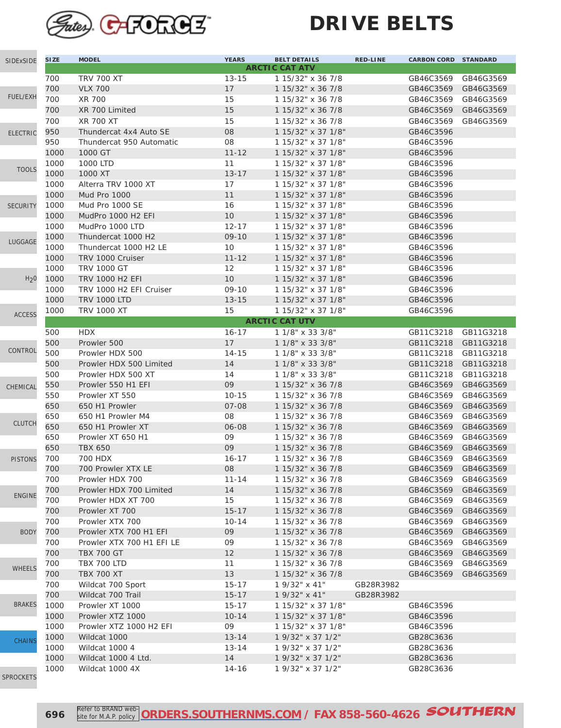

| SIDExSIDE        | <b>SIZE</b>  | <b>MODEL</b>                                               | <b>YEARS</b>       | <b>BELT DETAILS</b>                      | <b>RED-LINE</b> | <b>CARBON CORD STANDARD</b> |           |
|------------------|--------------|------------------------------------------------------------|--------------------|------------------------------------------|-----------------|-----------------------------|-----------|
|                  |              |                                                            |                    | <b>ARCTIC CAT ATV</b>                    |                 |                             |           |
|                  | 700          | <b>TRV 700 XT</b>                                          | $13 - 15$          | 1 15/32" x 36 7/8                        |                 | GB46C3569                   | GB46G3569 |
|                  | 700          | <b>VLX 700</b>                                             | 17                 | 1 15/32" x 36 7/8                        |                 | GB46C3569                   | GB46G3569 |
| <b>FUEL/EXH</b>  | 700          | XR 700                                                     | 15                 | 1 15/32" x 36 7/8                        |                 | GB46C3569                   | GB46G3569 |
|                  | 700          | XR 700 Limited                                             | 15                 | 1 15/32" x 36 7/8                        |                 | GB46C3569                   | GB46G3569 |
|                  | 700          | XR 700 XT                                                  | 15                 | 1 15/32" x 36 7/8                        |                 | GB46C3569                   | GB46G3569 |
| <b>ELECTRIC</b>  | 950          | Thundercat 4x4 Auto SE                                     | 08                 | 1 15/32" x 37 1/8"                       |                 | GB46C3596                   |           |
|                  | 950          | Thundercat 950 Automatic                                   | 08                 | 1 15/32" x 37 1/8"                       |                 | GB46C3596                   |           |
|                  | 1000         | 1000 GT                                                    | $11 - 12$          | 1 15/32" x 37 1/8"                       |                 | GB46C3596                   |           |
| <b>TOOLS</b>     | 1000         | 1000 LTD                                                   | 11                 | 1 15/32" x 37 1/8"                       |                 | GB46C3596                   |           |
|                  | 1000         | 1000 XT                                                    | $13 - 17$          | 1 15/32" x 37 1/8"                       |                 | GB46C3596                   |           |
|                  | 1000         | Alterra TRV 1000 XT                                        | 17                 | 1 15/32" x 37 1/8"                       |                 | GB46C3596                   |           |
|                  | 1000         | <b>Mud Pro 1000</b>                                        | 11                 | 1 15/32" x 37 1/8"                       |                 | GB46C3596                   |           |
| <b>SECURITY</b>  | 1000         | Mud Pro 1000 SE                                            | 16                 | 1 15/32" x 37 1/8"                       |                 | GB46C3596                   |           |
|                  | 1000         | MudPro 1000 H <sub>2</sub> EFI                             | 10                 | 1 15/32" x 37 1/8"                       |                 | GB46C3596                   |           |
|                  | 1000         | MudPro 1000 LTD                                            | $12 - 17$          | 1 15/32" x 37 1/8"                       |                 | GB46C3596                   |           |
| LUGGAGE          | 1000         | Thundercat 1000 H2                                         | $09 - 10$          | 1 15/32" x 37 1/8"                       |                 | GB46C3596                   |           |
|                  | 1000         | Thundercat 1000 H2 LE                                      | 10                 | 1 15/32" x 37 1/8"                       |                 | GB46C3596                   |           |
|                  | 1000         | TRV 1000 Cruiser                                           | $11 - 12$          | 1 15/32" x 37 1/8"                       |                 | GB46C3596                   |           |
|                  | 1000         | <b>TRV 1000 GT</b>                                         | $12 \overline{ }$  | 1 15/32" x 37 1/8"                       |                 | GB46C3596                   |           |
| H <sub>2</sub> 0 | 1000         | <b>TRV 1000 H2 EFI</b>                                     | 10 <sup>°</sup>    | 1 15/32" x 37 1/8"                       |                 | GB46C3596                   |           |
|                  | 1000<br>1000 | TRV 1000 H <sub>2</sub> EFI Cruiser<br><b>TRV 1000 LTD</b> | 09-10<br>$13 - 15$ | 1 15/32" x 37 1/8"<br>1 15/32" x 37 1/8" |                 | GB46C3596<br>GB46C3596      |           |
|                  | 1000         | <b>TRV 1000 XT</b>                                         | 15                 | 1 15/32" x 37 1/8"                       |                 | GB46C3596                   |           |
| <b>ACCESS</b>    |              |                                                            |                    | <b>ARCTIC CAT UTV</b>                    |                 |                             |           |
|                  | 500          | <b>HDX</b>                                                 | $16 - 17$          | 1 1/8" x 33 3/8"                         |                 | GB11C3218                   | GB11G3218 |
|                  | 500          | Prowler 500                                                | 17                 | 1 1/8" x 33 3/8"                         |                 | GB11C3218                   | GB11G3218 |
| CONTROL          | 500          | Prowler HDX 500                                            | $14 - 15$          | 1 1/8" x 33 3/8"                         |                 | GB11C3218                   | GB11G3218 |
|                  | 500          | Prowler HDX 500 Limited                                    | 14                 | 1 1/8" x 33 3/8"                         |                 | GB11C3218                   | GB11G3218 |
|                  | 500          | Prowler HDX 500 XT                                         | 14                 | 1 1/8" x 33 3/8"                         |                 | GB11C3218                   | GB11G3218 |
|                  | 550          | Prowler 550 H1 EFI                                         | 09                 | 1 15/32" x 36 7/8                        |                 | GB46C3569                   | GB46G3569 |
| CHEMICAL         | 550          | Prowler XT 550                                             | $10 - 15$          | 1 15/32" x 36 7/8                        |                 | GB46C3569                   | GB46G3569 |
|                  | 650          | 650 H1 Prowler                                             | $07 - 08$          | 1 15/32" x 36 7/8                        |                 | GB46C3569                   | GB46G3569 |
|                  | 650          | 650 H1 Prowler M4                                          | 08                 | 1 15/32" x 36 7/8                        |                 | GB46C3569                   | GB46G3569 |
| <b>CLUTCH</b>    | 650          | 650 H1 Prowler XT                                          | 06-08              | 1 15/32" x 36 7/8                        |                 | GB46C3569                   | GB46G3569 |
|                  | 650          | Prowler XT 650 H1                                          | 09                 | 1 15/32" x 36 7/8                        |                 | GB46C3569                   | GB46G3569 |
|                  | 650          | <b>TBX 650</b>                                             | 09                 | 1 15/32" x 36 7/8                        |                 | GB46C3569                   | GB46G3569 |
| <b>PISTONS</b>   | 700          | 700 HDX                                                    | $16 - 17$          | 1 15/32" x 36 7/8                        |                 | GB46C3569                   | GB46G3569 |
|                  | 700          | 700 Prowler XTX LE                                         | 08                 | 1 15/32" x 36 7/8                        |                 | GB46C3569                   | GB46G3569 |
|                  | 700          | Prowler HDX 700                                            | 11-14              | 1 15/32" x 36 7/8                        |                 | GB46C3569                   | GB46G3569 |
|                  | 700          | Prowler HDX 700 Limited                                    | 14                 | 1 15/32" x 36 7/8                        |                 | GB46C3569                   | GB46G3569 |
| <b>ENGINE</b>    | 700          | Prowler HDX XT 700                                         | 15                 | 1 15/32" x 36 7/8                        |                 | GB46C3569                   | GB46G3569 |
|                  | 700          | Prowler XT 700                                             | $15 - 17$          | 1 15/32" x 36 7/8                        |                 | GB46C3569                   | GB46G3569 |
|                  | 700          | Prowler XTX 700                                            | $10 - 14$          | 1 15/32" x 36 7/8                        |                 | GB46C3569                   | GB46G3569 |
| <b>BODY</b>      | 700          | Prowler XTX 700 H1 EFI                                     | 09                 | 1 15/32" x 36 7/8                        |                 | GB46C3569                   | GB46G3569 |
|                  | 700          | Prowler XTX 700 H1 EFI LE                                  | 09                 | 1 15/32" x 36 7/8                        |                 | GB46C3569                   | GB46G3569 |
|                  | 700          | <b>TBX 700 GT</b>                                          | 12                 | 1 15/32" x 36 7/8                        |                 | GB46C3569                   | GB46G3569 |
| <b>WHEELS</b>    | 700          | <b>TBX 700 LTD</b>                                         | 11                 | 1 15/32" x 36 7/8                        |                 | GB46C3569                   | GB46G3569 |
|                  | 700          | <b>TBX 700 XT</b>                                          | $13$               | 1 15/32" x 36 7/8                        |                 | GB46C3569                   | GB46G3569 |
|                  | 700          | Wildcat 700 Sport                                          | $15 - 17$          | 1 9/32" x 41"                            | GB28R3982       |                             |           |
|                  | 700          | Wildcat 700 Trail                                          | $15 - 17$          | 1 9/32" x 41"                            | GB28R3982       |                             |           |
| <b>BRAKES</b>    | 1000         | Prowler XT 1000                                            | $15 - 17$          | 1 15/32" x 37 1/8"                       |                 | GB46C3596                   |           |
|                  | 1000         | Prowler XTZ 1000                                           | $10 - 14$          | 1 15/32" x 37 1/8"                       |                 | GB46C3596                   |           |
|                  | 1000         | Prowler XTZ 1000 H2 EFI                                    | 09                 | 1 15/32" x 37 1/8"                       |                 | GB46C3596                   |           |
| <b>CHAINS</b>    | 1000         | Wildcat 1000                                               | $13 - 14$          | 1 9/32" x 37 1/2"                        |                 | GB28C3636                   |           |
|                  | 1000         | Wildcat 1000 4                                             | 13-14              | 1 9/32" x 37 1/2"                        |                 | GB28C3636                   |           |
|                  | 1000         | Wildcat 1000 4 Ltd.                                        | 14                 | 1 9/32" x 37 1/2"                        |                 | GB28C3636                   |           |
| DDOCIIT          | 1000         | Wildcat 1000 4X                                            | $14 - 16$          | 1 9/32" x 37 1/2"                        |                 | GB28C3636                   |           |

[SPROCKETS](http://www.southernms.com/wp-content/uploads/2015/08/18_sprockets.pdf)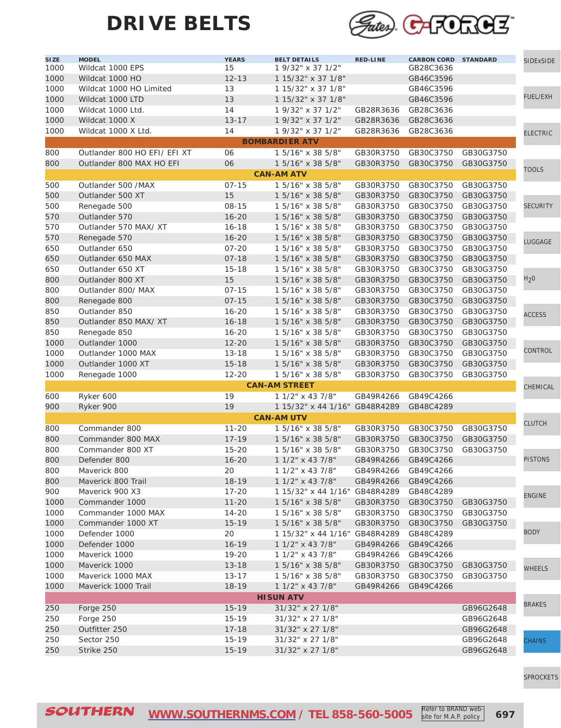

| SI ZE<br>1000 | <b>MODEL</b><br>Wildcat 1000 EPS | <b>YEARS</b><br>15 | <b>BELT DETAILS</b><br>1 9/32" x 37 1/2" | <b>RED-LINE</b>     | <b>CARBON CORD STANDARD</b><br>GB28C3636 |           | SIDExSIDE        |
|---------------|----------------------------------|--------------------|------------------------------------------|---------------------|------------------------------------------|-----------|------------------|
| 1000          | Wildcat 1000 HO                  | $12 - 13$          | 1 15/32" x 37 1/8"                       |                     | GB46C3596                                |           |                  |
| 1000          | Wildcat 1000 HO Limited          | 13                 | 1 15/32" x 37 1/8"                       |                     | GB46C3596                                |           |                  |
| 1000          | Wildcat 1000 LTD                 | 13                 | 1 15/32" x 37 1/8"                       |                     | GB46C3596                                |           | <b>FUEL/EXH</b>  |
| 1000          | Wildcat 1000 Ltd.                | 14                 | 1 9/32" x 37 1/2"                        | GB28R3636           | GB28C3636                                |           |                  |
| 1000          | Wildcat 1000 X                   | $13 - 17$          | 1 9/32" x 37 1/2"                        | GB28R3636           | GB28C3636                                |           |                  |
| 1000          | Wildcat 1000 X Ltd.              | 14                 | 1 9/32" x 37 1/2"                        | GB28R3636           | GB28C3636                                |           |                  |
|               |                                  |                    | <b>BOMBARDIER ATV</b>                    |                     |                                          |           | <b>ELECTRIC</b>  |
| 800           | Outlander 800 HO EFI/ EFI XT     | 06                 | 1 5/16" x 38 5/8"                        | GB30R3750           | GB30C3750                                | GB30G3750 |                  |
| 800           | Outlander 800 MAX HO EFI         | 06                 | 1 5/16" x 38 5/8"                        | GB30R3750           | GB30C3750                                | GB30G3750 |                  |
|               |                                  |                    | <b>CAN-AM ATV</b>                        |                     |                                          |           | <b>TOOLS</b>     |
| 500           | Outlander 500 /MAX               | $07 - 15$          | 1 5/16" x 38 5/8"                        | GB30R3750           | GB30C3750                                | GB30G3750 |                  |
| 500           | Outlander 500 XT                 | 15                 | 1 5/16" x 38 5/8"                        | GB30R3750           | GB30C3750                                | GB30G3750 |                  |
| 500           | Renegade 500                     | $08 - 15$          | 1 5/16" x 38 5/8"                        | GB30R3750           | GB30C3750                                | GB30G3750 | <b>SECURITY</b>  |
| 570           | Outlander 570                    | $16 - 20$          | 1 5/16" x 38 5/8"                        | GB30R3750           | GB30C3750                                | GB30G3750 |                  |
| 570           | Outlander 570 MAX/XT             | $16 - 18$          | 1 5/16" x 38 5/8"                        | GB30R3750           | GB30C3750                                | GB30G3750 |                  |
| 570           | Renegade 570                     | $16 - 20$          | 1 5/16" x 38 5/8"                        | GB30R3750           | GB30C3750                                | GB30G3750 |                  |
| 650           | Outlander 650                    | $07 - 20$          | 1 5/16" x 38 5/8"                        | GB30R3750           | GB30C3750                                | GB30G3750 | LUGGAGE          |
| 650           | Outlander 650 MAX                | $07 - 18$          | 1 5/16" x 38 5/8"                        | GB30R3750           | GB30C3750                                | GB30G3750 |                  |
| 650           | Outlander 650 XT                 | $15 - 18$          | 1 5/16" x 38 5/8"                        | GB30R3750           | GB30C3750                                | GB30G3750 |                  |
|               |                                  | 15                 |                                          |                     |                                          | GB30G3750 | H <sub>2</sub> 0 |
| 800           | Outlander 800 XT                 |                    | 1 5/16" x 38 5/8"                        | GB30R3750           | GB30C3750<br>GB30C3750                   | GB30G3750 |                  |
| 800           | Outlander 800/ MAX               | $07 - 15$          | 1 5/16" x 38 5/8"                        | GB30R3750           |                                          |           |                  |
| 800           | Renegade 800                     | $07 - 15$          | 1 5/16" x 38 5/8"                        | GB30R3750           | GB30C3750                                | GB30G3750 |                  |
| 850           | Outlander 850                    | $16 - 20$          | 1 5/16" x 38 5/8"                        | GB30R3750           | GB30C3750                                | GB30G3750 | <b>ACCESS</b>    |
| 850           | Outlander 850 MAX/ XT            | $16 - 18$          | 1 5/16" x 38 5/8"                        | GB30R3750           | GB30C3750                                | GB30G3750 |                  |
| 850           | Renegade 850                     | $16 - 20$          | 1 5/16" x 38 5/8"                        | GB30R3750           | GB30C3750                                | GB30G3750 |                  |
| 1000          | Outlander 1000                   | $12 - 20$          | 1 5/16" x 38 5/8"                        | GB30R3750           | GB30C3750                                | GB30G3750 | CONTROL          |
| 1000          | Outlander 1000 MAX               | $13 - 18$          | 1 5/16" x 38 5/8"                        | GB30R3750           | GB30C3750                                | GB30G3750 |                  |
| 1000          | Outlander 1000 XT                | $15 - 18$          | 1 5/16" x 38 5/8"                        | GB30R3750           | GB30C3750                                | GB30G3750 |                  |
| 1000          | Renegade 1000                    | $12 - 20$          | 1 5/16" x 38 5/8"                        | GB30R3750           | GB30C3750                                | GB30G3750 |                  |
|               |                                  |                    | <b>CAN-AM STREET</b>                     |                     |                                          |           | CHEMICAL         |
| 600           | Ryker 600                        | 19                 | 1 1/2" x 43 7/8"                         | GB49R4266           | GB49C4266                                |           |                  |
| 900           | Ryker 900                        | 19                 | 1 15/32" x 44 1/16" GB48R4289            |                     | GB48C4289                                |           |                  |
|               |                                  |                    | <b>CAN-AM UTV</b>                        |                     |                                          |           | <b>CLUTCH</b>    |
| 800           | Commander 800                    | $11 - 20$          | 1 5/16" x 38 5/8"                        | GB30R3750           | GB30C3750                                | GB30G3750 |                  |
| 800           | Commander 800 MAX                | $17 - 19$          | 1 5/16" x 38 5/8"                        | GB30R3750           | GB30C3750                                | GB30G3750 |                  |
| 800           | Commander 800 XT                 | $15 - 20$          | 1 5/16" x 38 5/8"                        | GB30R3750           | GB30C3750                                | GB30G3750 |                  |
| 800           | Defender 800                     | $16 - 20$          | 1 1/2" x 43 7/8"                         | GB49R4266           | GB49C4266                                |           | <b>PISTONS</b>   |
| 800           | Maverick 800                     | 20                 | 1 1/2" x 43 7/8"                         | GB49R4266 GB49C4266 |                                          |           |                  |
| 800           | Maverick 800 Trail               | 18-19              | 1 1/2" x 43 7/8"                         | GB49R4266           | GB49C4266                                |           |                  |
| 900           | Maverick 900 X3                  | $17 - 20$          | 1 15/32" x 44 1/16" GB48R4289            |                     | GB48C4289                                |           | <b>ENGINE</b>    |
| 1000          | Commander 1000                   | $11 - 20$          | 1 5/16" x 38 5/8"                        | GB30R3750           | GB30C3750                                | GB30G3750 |                  |
| 1000          | Commander 1000 MAX               | $14 - 20$          | 1 5/16" x 38 5/8"                        | GB30R3750           | GB30C3750                                | GB30G3750 |                  |
| 1000          | Commander 1000 XT                | $15 - 19$          | 1 5/16" x 38 5/8"                        | GB30R3750           | GB30C3750                                | GB30G3750 | <b>BODY</b>      |
| 1000          | Defender 1000                    | 20                 | 1 15/32" x 44 1/16" GB48R4289            |                     | GB48C4289                                |           |                  |
| 1000          | Defender 1000                    | $16 - 19$          | 1 1/2" x 43 7/8"                         | GB49R4266           | GB49C4266                                |           |                  |
| 1000          | Maverick 1000                    | $19 - 20$          | 1 1/2" x 43 7/8"                         | GB49R4266           | GB49C4266                                |           |                  |
| 1000          | Maverick 1000                    | $13 - 18$          | 1 5/16" x 38 5/8"                        | GB30R3750           | GB30C3750                                | GB30G3750 | <b>WHEELS</b>    |
| 1000          | Maverick 1000 MAX                | 13-17              | 1 5/16" x 38 5/8"                        | GB30R3750           | GB30C3750                                | GB30G3750 |                  |
| 1000          | Maverick 1000 Trail              | $18 - 19$          | 1 1/2" x 43 7/8"                         | GB49R4266           | GB49C4266                                |           |                  |
|               |                                  |                    | <b>HISUN ATV</b>                         |                     |                                          |           | <b>BRAKES</b>    |
| 250           | Forge 250                        | $15 - 19$          | 31/32" x 27 1/8"                         |                     |                                          | GB96G2648 |                  |
| 250           | Forge 250                        | $15 - 19$          | 31/32" x 27 1/8"                         |                     |                                          | GB96G2648 |                  |
| 250           | Outfitter 250                    | $17 - 18$          | 31/32" x 27 1/8"                         |                     |                                          | GB96G2648 |                  |
| 250           | Sector 250                       | $15 - 19$          | 31/32" x 27 1/8"                         |                     |                                          | GB96G2648 | <b>CHAINS</b>    |
| 250           | Strike 250                       | $15 - 19$          | 31/32" x 27 1/8"                         |                     |                                          | GB96G2648 |                  |

[SPROCKETS](http://www.southernms.com/wp-content/uploads/2015/08/18_sprockets.pdf)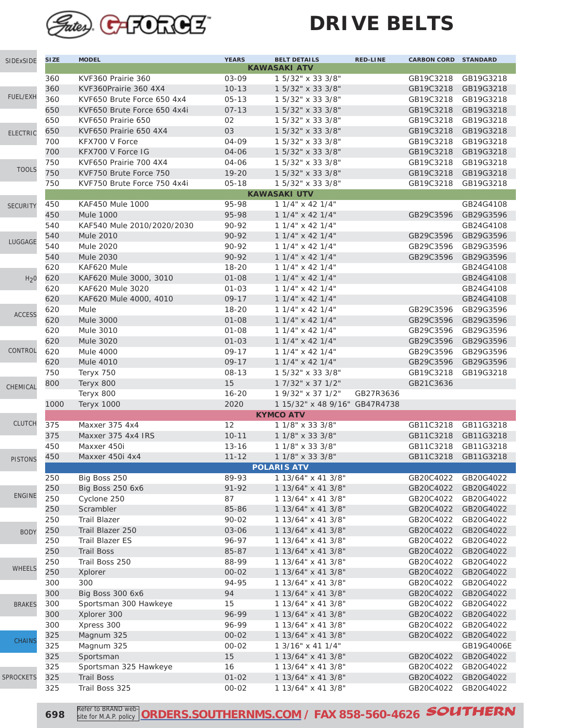

| SIDExSIDE        | <b>SIZE</b> | <b>MODEL</b>                          | <b>YEARS</b>       | <b>BELT DETAILS</b>                       | <b>RED-LINE</b> | <b>CARBON CORD STANDARD</b> |                        |
|------------------|-------------|---------------------------------------|--------------------|-------------------------------------------|-----------------|-----------------------------|------------------------|
|                  |             |                                       |                    | <b>KAWASAKI ATV</b>                       |                 |                             |                        |
|                  | 360         | KVF360 Prairie 360                    | 03-09              | 1 5/32" x 33 3/8"                         |                 | GB19C3218                   | GB19G3218              |
|                  | 360         | KVF360Prairie 360 4X4                 | $10 - 13$          | 1 5/32" x 33 3/8"                         |                 | GB19C3218                   | GB19G3218              |
| <b>FUEL/EXH</b>  | 360         | KVF650 Brute Force 650 4x4            | $05 - 13$          | 1 5/32" x 33 3/8"                         |                 | GB19C3218                   | GB19G3218              |
|                  | 650         | KVF650 Brute Force 650 4x4i           | $07 - 13$          | 1 5/32" x 33 3/8"                         |                 | GB19C3218                   | GB19G3218              |
|                  | 650         | KVF650 Prairie 650                    | 02                 | 1 5/32" x 33 3/8"                         |                 | GB19C3218                   | GB19G3218              |
| <b>ELECTRIC</b>  | 650         | KVF650 Prairie 650 4X4                | 03                 | 1 5/32" x 33 3/8"                         |                 | GB19C3218                   | GB19G3218              |
|                  | 700         | KFX700 V Force                        | 04-09              | 1 5/32" x 33 3/8"                         |                 | GB19C3218                   | GB19G3218              |
|                  | 700         | KFX700 V Force IG                     | 04-06              | 1 5/32" x 33 3/8"                         |                 | GB19C3218                   | GB19G3218              |
| <b>TOOLS</b>     | 750         | KVF650 Prairie 700 4X4                | 04-06              | 1 5/32" x 33 3/8"                         |                 | GB19C3218                   | GB19G3218              |
|                  | 750         | KVF750 Brute Force 750                | $19 - 20$          | 1 5/32" x 33 3/8"                         |                 | GB19C3218                   | GB19G3218              |
|                  | 750         | KVF750 Brute Force 750 4x4i           | $05 - 18$          | 1 5/32" x 33 3/8"                         |                 | GB19C3218                   | GB19G3218              |
|                  |             |                                       |                    | <b>KAWASAKI UTV</b>                       |                 |                             |                        |
| <b>SECURITY</b>  | 450         | <b>KAF450 Mule 1000</b>               | 95-98              | $11/4$ " x 42 $1/4$ "                     |                 |                             | GB24G4108              |
|                  | 450         | <b>Mule 1000</b>                      | 95-98              | 1 1/4" x 42 1/4"                          |                 | GB29C3596                   | GB29G3596              |
|                  | 540         | KAF540 Mule 2010/2020/2030            | 90-92              | $11/4$ " x 42 1/4"                        |                 |                             | GB24G4108              |
| LUGGAGE          | 540<br>540  | <b>Mule 2010</b>                      | 90-92              | 1 1/4" x 42 1/4"                          |                 | GB29C3596                   | GB29G3596<br>GB29G3596 |
|                  |             | <b>Mule 2020</b>                      | 90-92              | $11/4$ " x 42 $1/4$ "                     |                 | GB29C3596                   |                        |
|                  | 540         | <b>Mule 2030</b>                      | 90-92<br>$18 - 20$ | 1 1/4" x 42 1/4"                          |                 | GB29C3596                   | GB29G3596<br>GB24G4108 |
|                  | 620<br>620  | KAF620 Mule<br>KAF620 Mule 3000, 3010 | $01 - 08$          | $11/4$ " x 42 $1/4$ "                     |                 |                             | GB24G4108              |
| H <sub>2</sub> 0 | 620         | <b>KAF620 Mule 3020</b>               | $01 - 03$          | 1 1/4" x 42 1/4"<br>$11/4$ " x 42 $1/4$ " |                 |                             | GB24G4108              |
|                  | 620         |                                       | $09 - 17$          | $11/4$ " x 42 $1/4$ "                     |                 |                             | GB24G4108              |
|                  | 620         | KAF620 Mule 4000, 4010<br>Mule        | $18 - 20$          | 1 1/4" x 42 1/4"                          |                 | GB29C3596                   | GB29G3596              |
| <b>ACCESS</b>    | 620         | <b>Mule 3000</b>                      | $01 - 08$          | 1 1/4" x 42 1/4"                          |                 | GB29C3596                   | GB29G3596              |
|                  | 620         | Mule 3010                             | $01 - 08$          | 1 1/4" x 42 1/4"                          |                 | GB29C3596                   | GB29G3596              |
|                  | 620         | Mule 3020                             | $01 - 03$          | 1 1/4" x 42 1/4"                          |                 | GB29C3596                   | GB29G3596              |
| CONTROL          | 620         | <b>Mule 4000</b>                      | $09 - 17$          | $11/4$ " x 42 $1/4$ "                     |                 | GB29C3596                   | GB29G3596              |
|                  | 620         | <b>Mule 4010</b>                      | $09 - 17$          | 1 1/4" x 42 1/4"                          |                 | GB29C3596                   | GB29G3596              |
|                  | 750         | Teryx 750                             | $08 - 13$          | 1 5/32" x 33 3/8"                         |                 | GB19C3218                   | GB19G3218              |
|                  | 800         | Teryx 800                             | 15                 | 1 7/32" x 37 1/2"                         |                 | GB21C3636                   |                        |
| CHEMICAL         |             | Teryx 800                             | $16 - 20$          | 1 9/32" x 37 1/2"                         | GB27R3636       |                             |                        |
|                  | 1000        | <b>Teryx 1000</b>                     | 2020               | 1 15/32" x 48 9/16" GB47R4738             |                 |                             |                        |
|                  |             |                                       |                    | <b>KYMCO ATV</b>                          |                 |                             |                        |
| <b>CLUTCH</b>    | 375         | Maxxer 375 4x4                        | 12                 | 1 1/8" x 33 3/8"                          |                 | GB11C3218                   | GB11G3218              |
|                  | 375         | Maxxer 375 4x4 IRS                    | $10 - 11$          | 1 1/8" x 33 3/8"                          |                 | GB11C3218                   | GB11G3218              |
|                  | 450         | Maxxer 450i                           | $13 - 16$          | 1 1/8" x 33 3/8"                          |                 | GB11C3218                   | GB11G3218              |
| <b>PISTONS</b>   | 450         | Maxxer 450i 4x4                       | $11 - 12$          | 1 1/8" x 33 3/8"                          |                 | GB11C3218                   | GB11G3218              |
|                  |             |                                       |                    | <b>POLARIS ATV</b>                        |                 |                             |                        |
|                  | 250         | Big Boss 250                          | 89-93              | 1 13/64" x 41 3/8"                        |                 | GB20C4022                   | GB20G4022              |
|                  | 250         | <b>Big Boss 250 6x6</b>               | 91-92              | 1 13/64" x 41 3/8"                        |                 | GB20C4022                   | GB20G4022              |
| <b>ENGINE</b>    | 250         | Cyclone 250                           | 87                 | 1 13/64" x 41 3/8"                        |                 | GB20C4022                   | GB20G4022              |
|                  | 250         | Scrambler                             | 85-86              | 1 13/64" x 41 3/8"                        |                 | GB20C4022                   | GB20G4022              |
|                  | 250         | <b>Trail Blazer</b>                   | $90 - 02$          | 1 13/64" x 41 3/8"                        |                 | GB20C4022                   | GB20G4022              |
| <b>BODY</b>      | 250         | Trail Blazer 250                      | 03-06              | 1 13/64" x 41 3/8"                        |                 | GB20C4022                   | GB20G4022              |
|                  | 250         | Trail Blazer ES                       | 96-97              | 1 13/64" x 41 3/8"                        |                 | GB20C4022                   | GB20G4022              |
|                  | 250         | <b>Trail Boss</b>                     | 85-87              | 1 13/64" x 41 3/8"                        |                 | GB20C4022                   | GB20G4022              |
| <b>WHEELS</b>    | 250         | Trail Boss 250                        | 88-99              | 1 13/64" x 41 3/8"                        |                 | GB20C4022                   | GB20G4022              |
|                  | 250         | Xplorer                               | $00 - 02$          | 1 13/64" x 41 3/8"                        |                 | GB20C4022                   | GB20G4022              |
|                  | 300         | 300                                   | 94-95              | 1 13/64" x 41 3/8"                        |                 | GB20C4022                   | GB20G4022              |
|                  | 300         | <b>Big Boss 300 6x6</b>               | 94                 | 1 13/64" x 41 3/8"                        |                 | GB20C4022                   | GB20G4022              |
| <b>BRAKES</b>    | 300         | Sportsman 300 Hawkeye                 | 15                 | 1 13/64" x 41 3/8"                        |                 | GB20C4022                   | GB20G4022              |
|                  | 300         | Xplorer 300                           | 96-99              | 1 13/64" x 41 3/8"                        |                 | GB20C4022                   | GB20G4022              |
|                  | 300         | Xpress 300                            | 96-99              | 1 13/64" x 41 3/8"                        |                 | GB20C4022                   | GB20G4022              |
| <b>CHAINS</b>    | 325         | Magnum 325                            | $00 - 02$          | 1 13/64" x 41 3/8"                        |                 | GB20C4022                   | GB20G4022              |
|                  | 325         | Magnum 325                            | $00 - 02$          | 1 3/16" x 41 1/4"                         |                 |                             | GB19G4006E             |
|                  | 325         | Sportsman                             | 15                 | 1 13/64" x 41 3/8"                        |                 | GB20C4022                   | GB20G4022              |
|                  | 325         | Sportsman 325 Hawkeye                 | 16                 | 1 13/64" x 41 3/8"                        |                 | GB20C4022                   | GB20G4022              |
| <b>SPROCKETS</b> | 325         | <b>Trail Boss</b>                     | $01 - 02$          | 1 13/64" x 41 3/8"                        |                 | GB20C4022                   | GB20G4022              |
|                  | 325         | Trail Boss 325                        | 00-02              | 1 13/64" x 41 3/8"                        |                 | GB20C4022                   | GB20G4022              |

 Refer to BRAND web **[ORDERS.SOUTHERNMS.COM](http://orders.southernms.com) / FAX 858-560-4626 SOUTHERN**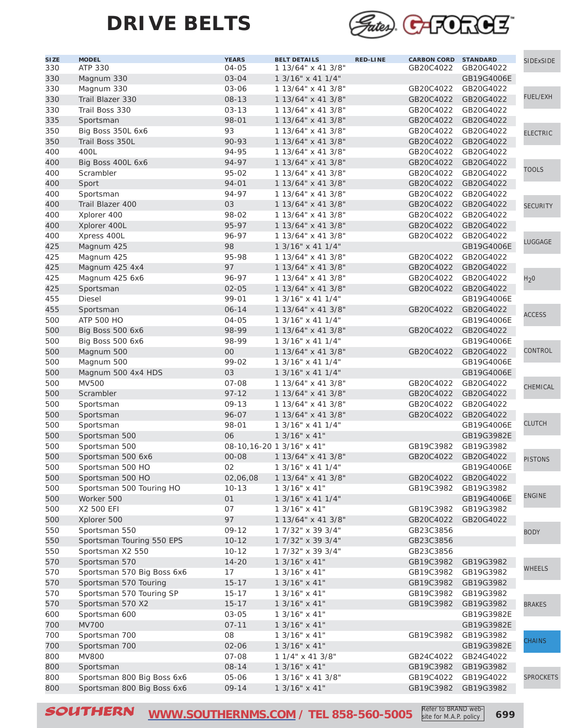

| <b>SIZE</b><br>330 | <b>MODEL</b><br>ATP 330              | <b>YEARS</b><br>04-05 | <b>BELT DETAILS</b><br>1 13/64" x 41 3/8" | <b>RED-LINE</b> | <b>CARBON CORD STANDARD</b><br>GB20C4022 | GB20G4022  | SIDExSIDE        |
|--------------------|--------------------------------------|-----------------------|-------------------------------------------|-----------------|------------------------------------------|------------|------------------|
| 330                | Magnum 330                           | 03-04                 | 1 3/16" x 41 1/4"                         |                 |                                          | GB19G4006E |                  |
| 330                | Magnum 330                           | 03-06                 | 1 13/64" x 41 3/8"                        |                 | GB20C4022                                | GB20G4022  |                  |
| 330                | Trail Blazer 330                     | 08-13                 | 1 13/64" x 41 3/8"                        |                 | GB20C4022                                | GB20G4022  | FUEL/EXH         |
| 330                | Trail Boss 330                       | $03 - 13$             | 1 13/64" x 41 3/8"                        |                 | GB20C4022                                | GB20G4022  |                  |
| 335                | Sportsman                            | 98-01                 | 1 13/64" x 41 3/8"                        |                 | GB20C4022                                | GB20G4022  |                  |
| 350                |                                      | 93                    | 1 13/64" x 41 3/8"                        |                 | GB20C4022                                | GB20G4022  |                  |
| 350                | Big Boss 350L 6x6<br>Trail Boss 350L | 90-93                 | 1 13/64" x 41 3/8"                        |                 | GB20C4022                                | GB20G4022  | <b>ELECTRIC</b>  |
| 400                | 400L                                 | 94-95                 | 1 13/64" x 41 3/8"                        |                 | GB20C4022                                | GB20G4022  |                  |
|                    |                                      | 94-97                 |                                           |                 |                                          |            |                  |
| 400                | Big Boss 400L 6x6                    | 95-02                 | 1 13/64" x 41 3/8"                        |                 | GB20C4022                                | GB20G4022  | <b>TOOLS</b>     |
| 400                | Scrambler                            |                       | 1 13/64" x 41 3/8"                        |                 | GB20C4022                                | GB20G4022  |                  |
| 400                | Sport                                | 94-01<br>94-97        | 1 13/64" x 41 3/8"                        |                 | GB20C4022                                | GB20G4022  |                  |
| 400                | Sportsman                            |                       | 1 13/64" x 41 3/8"                        |                 | GB20C4022                                | GB20G4022  |                  |
| 400                | Trail Blazer 400                     | 03                    | 1 13/64" x 41 3/8"                        |                 | GB20C4022                                | GB20G4022  | <b>SECURITY</b>  |
| 400                | Xplorer 400                          | 98-02                 | 1 13/64" x 41 3/8"                        |                 | GB20C4022                                | GB20G4022  |                  |
| 400                | Xplorer 400L                         | 95-97                 | 1 13/64" x 41 3/8"                        |                 | GB20C4022                                | GB20G4022  |                  |
| 400                | Xpress 400L                          | 96-97                 | 1 13/64" x 41 3/8"                        |                 | GB20C4022                                | GB20G4022  | LUGGAGE          |
| 425                | Magnum 425                           | 98                    | 1 3/16" x 41 1/4"                         |                 |                                          | GB19G4006E |                  |
| 425                | Magnum 425                           | 95-98                 | 1 13/64" x 41 3/8"                        |                 | GB20C4022                                | GB20G4022  |                  |
| 425                | Magnum 425 4x4                       | 97                    | 1 13/64" x 41 3/8"                        |                 | GB20C4022                                | GB20G4022  |                  |
| 425                | Magnum 425 6x6                       | 96-97                 | 1 13/64" x 41 3/8"                        |                 | GB20C4022                                | GB20G4022  | H <sub>2</sub> 0 |
| 425                | Sportsman                            | $02 - 05$             | 1 13/64" x 41 3/8"                        |                 | GB20C4022                                | GB20G4022  |                  |
| 455                | Diesel                               | 99-01                 | 1 3/16" x 41 1/4"                         |                 |                                          | GB19G4006E |                  |
| 455                | Sportsman                            | $06 - 14$             | 1 13/64" x 41 3/8"                        |                 | GB20C4022                                | GB20G4022  | <b>ACCESS</b>    |
| 500                | ATP 500 HO                           | 04-05                 | 1 3/16" x 41 1/4"                         |                 |                                          | GB19G4006E |                  |
| 500                | Big Boss 500 6x6                     | 98-99                 | 1 13/64" x 41 3/8"                        |                 | GB20C4022                                | GB20G4022  |                  |
| 500                | Big Boss 500 6x6                     | 98-99                 | 1 3/16" x 41 1/4"                         |                 |                                          | GB19G4006E |                  |
| 500                | Magnum 500                           | 00                    | 1 13/64" x 41 3/8"                        |                 | GB20C4022                                | GB20G4022  | CONTROL          |
| 500                | Magnum 500                           | 99-02                 | 1 3/16" x 41 1/4"                         |                 |                                          | GB19G4006E |                  |
| 500                | Magnum 500 4x4 HDS                   | 03                    | 1 3/16" x 41 1/4"                         |                 |                                          | GB19G4006E |                  |
| 500                | <b>MV500</b>                         | $07 - 08$             | 1 13/64" x 41 3/8"                        |                 | GB20C4022                                | GB20G4022  | CHEMICAL         |
| 500                | Scrambler                            | $97 - 12$             | 1 13/64" x 41 3/8"                        |                 | GB20C4022                                | GB20G4022  |                  |
| 500                | Sportsman                            | $09 - 13$             | 1 13/64" x 41 3/8"                        |                 | GB20C4022                                | GB20G4022  |                  |
| 500                | Sportsman                            | 96-07                 | 1 13/64" x 41 3/8"                        |                 | GB20C4022                                | GB20G4022  |                  |
| 500                | Sportsman                            | 98-01                 | 1 3/16" x 41 1/4"                         |                 |                                          | GB19G4006E | <b>CLUTCH</b>    |
| 500                | Sportsman 500                        | 06                    | 1 3/16" x 41"                             |                 |                                          | GB19G3982E |                  |
| 500                | Sportsman 500                        |                       | 08-10,16-20 1 3/16" x 41"                 |                 | GB19C3982                                | GB19G3982  |                  |
| 500                | Sportsman 500 6x6                    | 00-08                 | 1 13/64" x 41 3/8"                        |                 | GB20C4022                                | GB20G4022  | <b>PISTONS</b>   |
| 500                | Sportsman 500 HO                     | 02                    | 1 3/16" x 41 1/4"                         |                 |                                          | GB19G4006E |                  |
| 500                | Sportsman 500 HO                     | 02,06,08              | 1 13/64" x 41 3/8"                        |                 | GB20C4022                                | GB20G4022  |                  |
| 500                | Sportsman 500 Touring HO             | $10 - 13$             | 1 3/16" x 41"                             |                 | GB19C3982                                | GB19G3982  |                  |
| 500                | Worker 500                           | 01                    | 1 3/16" x 41 1/4"                         |                 |                                          | GB19G4006E | <b>ENGINE</b>    |
| 500                | X2 500 EFI                           | 07                    | 1 3/16" x 41"                             |                 | GB19C3982                                | GB19G3982  |                  |
| 500                | Xplorer 500                          | 97                    | 1 13/64" x 41 3/8"                        |                 | GB20C4022                                | GB20G4022  |                  |
| 550                | Sportsman 550                        | 09-12                 | 1 7/32" x 39 3/4"                         |                 | GB23C3856                                |            | <b>BODY</b>      |
| 550                | Sportsman Touring 550 EPS            | $10 - 12$             | 1 7/32" x 39 3/4"                         |                 | GB23C3856                                |            |                  |
| 550                | Sportsman X2 550                     | $10 - 12$             | 1 7/32" x 39 3/4"                         |                 | GB23C3856                                |            |                  |
| 570                | Sportsman 570                        | $14 - 20$             | 1 3/16" x 41"                             |                 | GB19C3982                                | GB19G3982  |                  |
| 570                | Sportsman 570 Big Boss 6x6           | 17                    | 1 3/16" x 41"                             |                 | GB19C3982                                | GB19G3982  | WHEELS           |
| 570                | Sportsman 570 Touring                | $15 - 17$             | 1 3/16" x 41"                             |                 | GB19C3982                                | GB19G3982  |                  |
| 570                | Sportsman 570 Touring SP             | $15 - 17$             | 1 3/16" x 41"                             |                 | GB19C3982                                | GB19G3982  |                  |
| 570                | Sportsman 570 X2                     | $15 - 17$             | $13/16" \times 41"$                       |                 | GB19C3982                                | GB19G3982  | <b>BRAKES</b>    |
| 600                | Sportsman 600                        | 03-05                 | 1 3/16" x 41"                             |                 |                                          | GB19G3982E |                  |
| 700                | <b>MV700</b>                         | $07 - 11$             | 1 3/16" x 41"                             |                 |                                          | GB19G3982E |                  |
| 700                | Sportsman 700                        | 08                    | 1 3/16" x 41"                             |                 | GB19C3982                                | GB19G3982  |                  |
| 700                | Sportsman 700                        | 02-06                 | 1 3/16" x 41"                             |                 |                                          | GB19G3982E | <b>CHAINS</b>    |
| 800                | <b>MV800</b>                         | 07-08                 | 1 1/4" x 41 3/8"                          |                 | GB24C4022                                | GB24G4022  |                  |
| 800                | Sportsman                            | 08-14                 | 1 3/16" x 41"                             |                 | GB19C3982                                | GB19G3982  |                  |
| 800                | Sportsman 800 Big Boss 6x6           | 05-06                 | 1 3/16" x 41 3/8"                         |                 | GB19C4022                                | GB19G4022  | <b>SPROCKETS</b> |
| 800                | Sportsman 800 Big Boss 6x6           | 09-14                 | 1 3/16" x 41"                             |                 | GB19C3982                                | GB19G3982  |                  |
|                    |                                      |                       |                                           |                 |                                          |            |                  |

SOUTHERN [WWW.SOUTHERNMS.COM](http://m.southernms.com) / TEL 858-560-5005 Refer to BRAND web-<br>
699 **COUTHERN** 

site for M.A.P. policy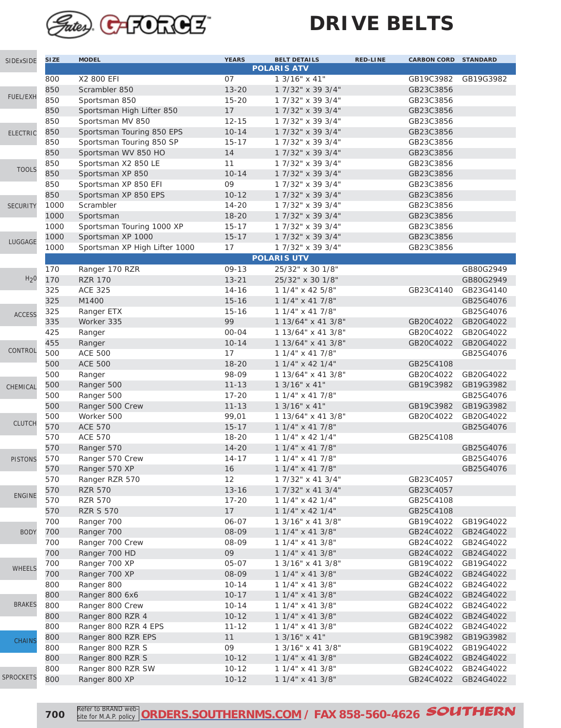

| SIDExSIDE        | <b>SIZE</b> | <b>MODEL</b>                  | <b>YEARS</b>   | <b>BELT DETAILS</b><br><b>POLARIS ATV</b> | <b>RED-LINE</b><br><b>CARBON CORD STANDARD</b> |                        |
|------------------|-------------|-------------------------------|----------------|-------------------------------------------|------------------------------------------------|------------------------|
|                  | 800         | X2 800 EFI                    | 07             | 1 3/16" x 41"                             | GB19C3982                                      | GB19G3982              |
|                  | 850         | Scrambler 850                 | $13 - 20$      | 1 7/32" x 39 3/4"                         | GB23C3856                                      |                        |
| FUEL/EXH         | 850         | Sportsman 850                 | $15 - 20$      | 1 7/32" x 39 3/4"                         | GB23C3856                                      |                        |
|                  | 850         | Sportsman High Lifter 850     | 17             | 1 7/32" x 39 3/4"                         | GB23C3856                                      |                        |
|                  | 850         | Sportsman MV 850              | $12 - 15$      | 1 7/32" x 39 3/4"                         | GB23C3856                                      |                        |
| <b>ELECTRIC</b>  | 850         | Sportsman Touring 850 EPS     | $10 - 14$      | 1 7/32" x 39 3/4"                         | GB23C3856                                      |                        |
|                  | 850         | Sportsman Touring 850 SP      | $15 - 17$      | 1 7/32" x 39 3/4"                         | GB23C3856                                      |                        |
|                  | 850         | Sportsman WV 850 HO           | 14             | 1 7/32" x 39 3/4"                         | GB23C3856                                      |                        |
|                  | 850         | Sportsman X2 850 LE           | 11             | 1 7/32" x 39 3/4"                         | GB23C3856                                      |                        |
| <b>TOOLS</b>     | 850         | Sportsman XP 850              | $10 - 14$      | 1 7/32" x 39 3/4"                         | GB23C3856                                      |                        |
|                  | 850         | Sportsman XP 850 EFI          | 09             | 1 7/32" x 39 3/4"                         | GB23C3856                                      |                        |
|                  | 850         | Sportsman XP 850 EPS          | $10 - 12$      | 1 7/32" x 39 3/4"                         | GB23C3856                                      |                        |
| <b>SECURITY</b>  | 1000        | Scrambler                     | $14 - 20$      | 1 7/32" x 39 3/4"                         | GB23C3856                                      |                        |
|                  | 1000        | Sportsman                     | $18 - 20$      | 1 7/32" x 39 3/4"                         | GB23C3856                                      |                        |
|                  | 1000        | Sportsman Touring 1000 XP     | $15 - 17$      | 1 7/32" x 39 3/4"                         | GB23C3856                                      |                        |
|                  | 1000        | Sportsman XP 1000             | $15 - 17$      | 1 7/32" x 39 3/4"                         | GB23C3856                                      |                        |
| LUGGAGE          | 1000        | Sportsman XP High Lifter 1000 | 17             | 1 7/32" x 39 3/4"                         | GB23C3856                                      |                        |
|                  |             |                               |                | <b>POLARIS UTV</b>                        |                                                |                        |
|                  | 170         | Ranger 170 RZR                | $09 - 13$      | 25/32" x 30 1/8"                          |                                                | GB80G2949              |
| H <sub>2</sub> 0 | 170         | <b>RZR 170</b>                | $13 - 21$      | 25/32" x 30 1/8"                          |                                                | GB80G2949              |
|                  | 325         | <b>ACE 325</b>                | $14 - 16$      | 1 1/4" x 42 5/8"                          | GB23C4140                                      | GB23G4140              |
|                  | 325         | M1400                         | $15 - 16$      | 1 1/4" x 41 7/8"                          |                                                | GB25G4076              |
| <b>ACCESS</b>    | 325         | Ranger ETX                    | $15 - 16$      | $11/4$ " x 41 7/8"                        |                                                | GB25G4076              |
|                  | 335         | Worker 335                    | 99             | 1 13/64" x 41 3/8"                        | GB20C4022                                      | GB20G4022              |
|                  | 425         | Ranger                        | 00-04          | 1 13/64" x 41 3/8"                        | GB20C4022                                      | GB20G4022              |
|                  | 455         | Ranger                        | $10 - 14$      | 1 13/64" x 41 3/8"                        | GB20C4022                                      | GB20G4022              |
| CONTROL          | 500         | <b>ACE 500</b>                | 17             | 1 1/4" x 41 7/8"                          |                                                | GB25G4076              |
|                  | 500         | <b>ACE 500</b>                | $18 - 20$      | $11/4$ " x 42 1/4"                        | GB25C4108                                      |                        |
|                  | 500         | Ranger                        | 98-09          | 1 13/64" x 41 3/8"                        | GB20C4022                                      | GB20G4022              |
| CHEMICAL         | 500         | Ranger 500                    | $11 - 13$      | 1 3/16" x 41"                             | GB19C3982                                      | GB19G3982              |
|                  | 500         | Ranger 500                    | $17 - 20$      | 1 1/4" x 41 7/8"                          |                                                | GB25G4076              |
|                  | 500         | Ranger 500 Crew               | $11 - 13$      | 1 3/16" x 41"                             | GB19C3982                                      | GB19G3982              |
| <b>CLUTCH</b>    | 500         | Worker 500                    | 99,01          | 1 13/64" x 41 3/8"                        | GB20C4022                                      | GB20G4022              |
|                  | 570         | <b>ACE 570</b>                | $15 - 17$      | 1 1/4" x 41 7/8"                          |                                                | GB25G4076              |
|                  | 570         | <b>ACE 570</b>                | $18 - 20$      | $11/4$ " x 42 1/4"                        | GB25C4108                                      |                        |
|                  | 570         | Ranger 570                    | $14 - 20$      | 1 1/4" x 41 7/8"                          |                                                | GB25G4076              |
| <b>PISTONS</b>   | 570         | Ranger 570 Crew               | $14 - 17$      | 1 1/4" x 41 7/8"                          |                                                | GB25G4076              |
|                  | 570         | Ranger 570 XP                 | 16             | 1 1/4" x 41 7/8"                          |                                                | GB25G4076              |
|                  | 570         | Ranger RZR 570                | 12             | 1 7/32" x 41 3/4"                         | GB23C4057                                      |                        |
| <b>ENGINE</b>    | 570         | <b>RZR 570</b>                | $13 - 16$      | 1 7/32" x 41 3/4"                         | GB23C4057                                      |                        |
|                  | 570         | <b>RZR 570</b>                | $17 - 20$      | $11/4$ " x 42 1/4"                        | GB25C4108                                      |                        |
|                  | 570<br>700  | <b>RZR S 570</b>              | 17             | $11/4$ " x 42 1/4"<br>1 3/16" x 41 3/8"   | GB25C4108<br>GB19C4022                         |                        |
| <b>BODY</b>      | 700         | Ranger 700                    | 06-07<br>08-09 | 1 1/4" x 41 3/8"                          |                                                | GB19G4022              |
|                  | 700         | Ranger 700<br>Ranger 700 Crew | 08-09          | $11/4$ " x 41 3/8"                        | GB24C4022<br>GB24C4022                         | GB24G4022<br>GB24G4022 |
|                  | 700         | Ranger 700 HD                 | 09             | 1 1/4" x 41 3/8"                          | GB24C4022                                      | GB24G4022              |
|                  | 700         | Ranger 700 XP                 | 05-07          | 1 3/16" x 41 3/8"                         | GB19C4022                                      | GB19G4022              |
| WHEELS           | 700         | Ranger 700 XP                 | 08-09          | 1 1/4" x 41 3/8"                          | GB24C4022                                      | GB24G4022              |
|                  | 800         | Ranger 800                    | $10 - 14$      | 1 1/4" x 41 3/8"                          | GB24C4022                                      | GB24G4022              |
|                  | 800         | Ranger 800 6x6                | $10 - 17$      | 1 1/4" x 41 3/8"                          | GB24C4022                                      | GB24G4022              |
| <b>BRAKES</b>    | 800         | Ranger 800 Crew               | $10 - 14$      | 1 1/4" x 41 3/8"                          | GB24C4022                                      | GB24G4022              |
|                  | 800         | Ranger 800 RZR 4              | $10 - 12$      | 1 1/4" x 41 3/8"                          | GB24C4022                                      | GB24G4022              |
|                  | 800         | Ranger 800 RZR 4 EPS          | $11 - 12$      | $11/4$ " x 41 3/8"                        | GB24C4022                                      | GB24G4022              |
|                  | 800         | Ranger 800 RZR EPS            | 11             | $1 \frac{3}{16}$ x 41"                    | GB19C3982                                      | GB19G3982              |
| <b>CHAINS</b>    | 800         | Ranger 800 RZR S              | 09             | 1 3/16" x 41 3/8"                         | GB19C4022                                      | GB19G4022              |
|                  | 800         | Ranger 800 RZR S              | $10 - 12$      | 1 1/4" x 41 3/8"                          | GB24C4022                                      | GB24G4022              |
|                  | 800         | Ranger 800 RZR SW             | $10 - 12$      | 1 1/4" x 41 3/8"                          | GB24C4022                                      | GB24G4022              |
| <b>SPROCKETS</b> | 800         | Ranger 800 XP                 | $10 - 12$      | 1 1/4" x 41 3/8"                          | GB24C4022                                      | GB24G4022              |
|                  |             |                               |                |                                           |                                                |                        |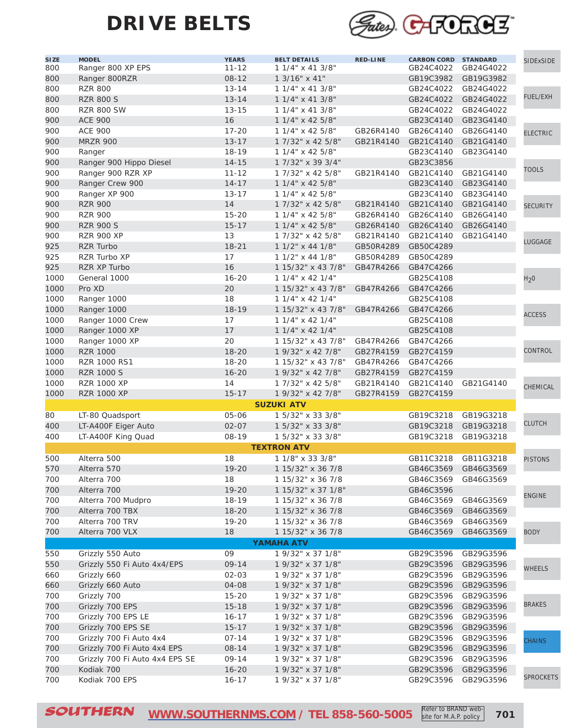

| SI <sub>ZE</sub> | <b>MODEL</b>                   | <b>YEARS</b> | <b>BELT DETAILS</b>   | <b>RED-LINE</b> | <b>CARBON CORD</b>  | <b>STANDARD</b> | <b>SIDExSIDE</b> |
|------------------|--------------------------------|--------------|-----------------------|-----------------|---------------------|-----------------|------------------|
| 800              | Ranger 800 XP EPS              | $11 - 12$    | 1 1/4" x 41 3/8"      |                 | GB24C4022           | GB24G4022       |                  |
| 800              | Ranger 800RZR                  | $08 - 12$    | 1 3/16" x 41"         |                 | GB19C3982           | GB19G3982       |                  |
| 800              | <b>RZR 800</b>                 | $13 - 14$    | 1 1/4" x 41 3/8"      |                 | GB24C4022           | GB24G4022       |                  |
| 800              | <b>RZR 800 S</b>               | $13 - 14$    | 1 1/4" x 41 3/8"      |                 | GB24C4022           | GB24G4022       | <b>FUEL/EXH</b>  |
| 800              | <b>RZR 800 SW</b>              | $13 - 15$    | 1 1/4" x 41 3/8"      |                 | GB24C4022           | GB24G4022       |                  |
| 900              | <b>ACE 900</b>                 | 16           | 1 1/4" x 42 5/8"      |                 | GB23C4140           | GB23G4140       |                  |
| 900              | <b>ACE 900</b>                 | $17 - 20$    | 1 1/4" x 42 5/8"      | GB26R4140       | GB26C4140           | GB26G4140       | <b>ELECTRIC</b>  |
| 900              | <b>MRZR 900</b>                | $13 - 17$    | 1 7/32" x 42 5/8"     | GB21R4140       | GB21C4140           | GB21G4140       |                  |
| 900              | Ranger                         | $18 - 19$    | 1 1/4" x 42 5/8"      |                 | GB23C4140           | GB23G4140       |                  |
| 900              | Ranger 900 Hippo Diesel        | $14 - 15$    | 1 7/32" x 39 3/4"     |                 | GB23C3856           |                 |                  |
| 900              | Ranger 900 RZR XP              | $11 - 12$    | 1 7/32" x 42 5/8"     | GB21R4140       | GB21C4140           | GB21G4140       | <b>TOOLS</b>     |
| 900              | Ranger Crew 900                | $14 - 17$    | 1 1/4" x 42 5/8"      |                 | GB23C4140           | GB23G4140       |                  |
| 900              | Ranger XP 900                  | $13 - 17$    | 1 1/4" x 42 5/8"      |                 | GB23C4140           | GB23G4140       |                  |
| 900              | <b>RZR 900</b>                 | 14           | 1 7/32" x 42 5/8"     | GB21R4140       | GB21C4140           | GB21G4140       |                  |
| 900              | <b>RZR 900</b>                 | $15 - 20$    | 1 1/4" x 42 5/8"      | GB26R4140       | GB26C4140           | GB26G4140       | <b>SECURITY</b>  |
| 900              | <b>RZR 900 S</b>               | $15 - 17$    | 1 1/4" x 42 5/8"      | GB26R4140       | GB26C4140           | GB26G4140       |                  |
|                  |                                | 13           | 1 7/32" x 42 5/8"     |                 |                     |                 |                  |
| 900              | <b>RZR 900 XP</b>              |              |                       | GB21R4140       | GB21C4140           | GB21G4140       | LUGGAGE          |
| 925              | <b>RZR Turbo</b>               | $18 - 21$    | 1 1/2" x 44 1/8"      | GB50R4289       | GB50C4289           |                 |                  |
| 925              | RZR Turbo XP                   | 17           | $11/2$ " x 44 1/8"    | GB50R4289       | GB50C4289           |                 |                  |
| 925              | RZR XP Turbo                   | 16           | 1 15/32" x 43 7/8"    | GB47R4266       | GB47C4266           |                 |                  |
| 1000             | General 1000                   | $16 - 20$    | $11/4$ " x 42 $1/4$ " |                 | GB25C4108           |                 | H <sub>2</sub> 0 |
| 1000             | Pro XD                         | 20           | 1 15/32" x 43 7/8"    | GB47R4266       | GB47C4266           |                 |                  |
| 1000             | Ranger 1000                    | 18           | $11/4$ " x 42 $1/4$ " |                 | GB25C4108           |                 |                  |
| 1000             | Ranger 1000                    | $18 - 19$    | 1 15/32" x 43 7/8"    | GB47R4266       | GB47C4266           |                 | <b>ACCESS</b>    |
| 1000             | Ranger 1000 Crew               | 17           | $11/4$ " x 42 1/4"    |                 | GB25C4108           |                 |                  |
| 1000             | Ranger 1000 XP                 | 17           | $11/4$ " x 42 1/4"    |                 | GB25C4108           |                 |                  |
| 1000             | Ranger 1000 XP                 | 20           | 1 15/32" x 43 7/8"    | GB47R4266       | GB47C4266           |                 |                  |
| 1000             | <b>RZR 1000</b>                | $18 - 20$    | 1 9/32" x 42 7/8"     | GB27R4159       | GB27C4159           |                 | <b>CONTROL</b>   |
| 1000             | RZR 1000 RS1                   | 18-20        | 1 15/32" x 43 7/8"    | GB47R4266       | GB47C4266           |                 |                  |
| 1000             | <b>RZR 1000 S</b>              | $16 - 20$    | 1 9/32" x 42 7/8"     | GB27R4159       | GB27C4159           |                 |                  |
| 1000             | <b>RZR 1000 XP</b>             | 14           | 1 7/32" x 42 5/8"     | GB21R4140       | GB21C4140           | GB21G4140       | CHEMICAL         |
| 1000             | <b>RZR 1000 XP</b>             | $15 - 17$    | 1 9/32" x 42 7/8"     | GB27R4159       | GB27C4159           |                 |                  |
|                  |                                |              | <b>SUZUKI ATV</b>     |                 |                     |                 |                  |
| 80               | LT-80 Quadsport                | 05-06        | 1 5/32" x 33 3/8"     |                 | GB19C3218           | GB19G3218       |                  |
| 400              | LT-A400F Eiger Auto            | $02 - 07$    | 1 5/32" x 33 3/8"     |                 | GB19C3218           | GB19G3218       | <b>CLUTCH</b>    |
| 400              | LT-A400F King Quad             | 08-19        | 1 5/32" x 33 3/8"     |                 | GB19C3218           | GB19G3218       |                  |
|                  |                                |              | <b>TEXTRON ATV</b>    |                 |                     |                 |                  |
| 500              | Alterra 500                    | 18           | 1 1/8" x 33 3/8"      |                 | GB11C3218           | GB11G3218       | <b>PISTONS</b>   |
| 570              | Alterra 570                    | 19-20        | 1 15/32" x 36 7/8     |                 | GB46C3569 GB46G3569 |                 |                  |
| 700              | Alterra 700                    | 18           | 1 15/32" x 36 7/8     |                 | GB46C3569 GB46G3569 |                 |                  |
| 700              | Alterra 700                    | $19 - 20$    | 1 15/32" x 37 1/8"    |                 | GB46C3596           |                 |                  |
| 700              | Alterra 700 Mudpro             | $18 - 19$    | 1 15/32" x 36 7/8     |                 | GB46C3569           | GB46G3569       | <b>ENGINE</b>    |
| 700              | Alterra 700 TBX                | $18 - 20$    | 1 15/32" x 36 7/8     |                 | GB46C3569           |                 |                  |
|                  |                                |              |                       |                 |                     | GB46G3569       |                  |
| 700              | Alterra 700 TRV                | $19 - 20$    | 1 15/32" x 36 7/8     |                 | GB46C3569           | GB46G3569       |                  |
| 700              | Alterra 700 VLX                | 18           | 1 15/32" x 36 7/8     |                 | GB46C3569           | GB46G3569       | <b>BODY</b>      |
|                  |                                |              | <b>YAMAHA ATV</b>     |                 |                     |                 |                  |
| 550              | Grizzly 550 Auto               | 09           | 1 9/32" x 37 1/8"     |                 | GB29C3596           | GB29G3596       |                  |
| 550              | Grizzly 550 Fi Auto 4x4/EPS    | 09-14        | 1 9/32" x 37 1/8"     |                 | GB29C3596           | GB29G3596       | <b>WHEELS</b>    |
| 660              | Grizzly 660                    | $02 - 03$    | 1 9/32" x 37 1/8"     |                 | GB29C3596           | GB29G3596       |                  |
| 660              | Grizzly 660 Auto               | 04-08        | 1 9/32" x 37 1/8"     |                 | GB29C3596           | GB29G3596       |                  |
| 700              | Grizzly 700                    | $15 - 20$    | 1 9/32" x 37 1/8"     |                 | GB29C3596           | GB29G3596       |                  |
| 700              | Grizzly 700 EPS                | $15 - 18$    | 1 9/32" x 37 1/8"     |                 | GB29C3596           | GB29G3596       | <b>BRAKES</b>    |
| 700              | Grizzly 700 EPS LE             | $16 - 17$    | 1 9/32" x 37 1/8"     |                 | GB29C3596           | GB29G3596       |                  |
| 700              | Grizzly 700 EPS SE             | $15 - 17$    | 1 9/32" x 37 1/8"     |                 | GB29C3596           | GB29G3596       |                  |
| 700              | Grizzly 700 Fi Auto 4x4        | $07 - 14$    | 1 9/32" x 37 1/8"     |                 | GB29C3596           | GB29G3596       | <b>CHAINS</b>    |
| 700              | Grizzly 700 Fi Auto 4x4 EPS    | $08 - 14$    | 1 9/32" x 37 1/8"     |                 | GB29C3596           | GB29G3596       |                  |
| 700              | Grizzly 700 Fi Auto 4x4 EPS SE | $09 - 14$    | 1 9/32" x 37 1/8"     |                 | GB29C3596           | GB29G3596       |                  |
| 700              | Kodiak 700                     | $16 - 20$    | 1 9/32" x 37 1/8"     |                 | GB29C3596           | GB29G3596       |                  |
| 700              | Kodiak 700 EPS                 | $16 - 17$    | 1 9/32" x 37 1/8"     |                 | GB29C3596           | GB29G3596       | <b>SPROCKETS</b> |
|                  |                                |              |                       |                 |                     |                 |                  |

SOUTHERN [WWW.SOUTHERNMS.COM](http://m.southernms.com) / TEL 858-560-5005 Refer to BRAND web-<br>
2011 site for M.A.P. policy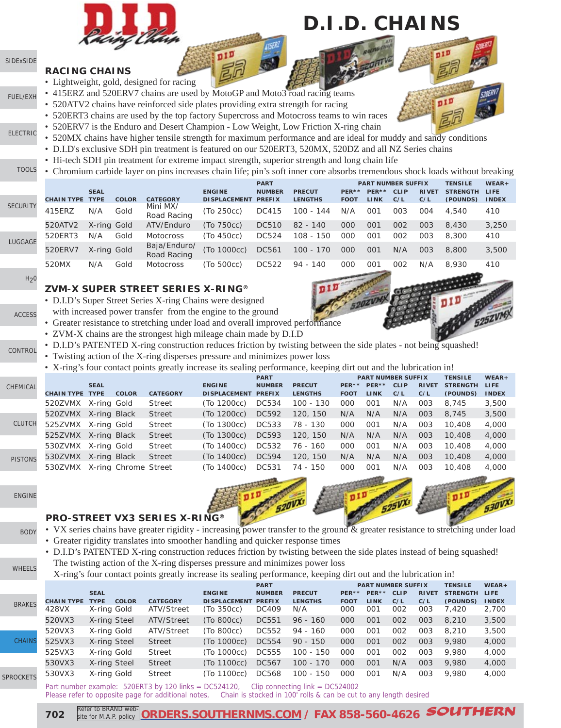

## **D.I.D. CHAINS**

#### [SIDExSIDE](http://www.southernms.com/wp-content/uploads/2015/08/01_UTV.pdf) **RACING CHAINS**

[ELECTRIC](http://www.southernms.com/wp-content/uploads/2015/08/03_electrical.pdf)

LUG

 $H<sub>2</sub>0$ 

[ACCESS](http://www.southernms.com/wp-content/uploads/2015/08/08_accessories.pdf)

SEC

[FUEL/EXH](http://www.southernms.com/wp-content/uploads/2015/08/02_fuel_exh.pdf)

- Lightweight, gold, designed for racing
- 415ERZ and 520ERV7 chains are used by MotoGP and Moto3 road racing teams
- 520ATV2 chains have reinforced side plates providing extra strength for racing
- 520ERT3 chains are used by the top factory Supercross and Motocross teams to win races
	- 520ERV7 is the Enduro and Desert Champion Low Weight, Low Friction X-ring chain
	- 520MX chains have higher tensile strength for maximum performance and are ideal for muddy and sandy conditions
- D.I.D's exclusive SDH pin treatment is featured on our 520ERT3, 520MX, 520DZ and all NZ Series chains
	- Hi-tech SDH pin treatment for extreme impact strength, superior strength and long chain life
- [TOOLS](http://www.southernms.com/wp-content/uploads/2015/08/04_tools.pdf) • Chromium carbide layer on pins increases chain life; pin's soft inner core absorbs tremendous shock loads without breaking

|              |                        |             |              |                             |                     | <b>PART</b>   |                |             | <b>PART NUMBER SUFFIX</b> |             |              | <b>TENSILE</b>  | $WEAR +$     |
|--------------|------------------------|-------------|--------------|-----------------------------|---------------------|---------------|----------------|-------------|---------------------------|-------------|--------------|-----------------|--------------|
|              |                        | <b>SEAL</b> |              |                             | <b>ENGINE</b>       | <b>NUMBER</b> | <b>PRECUT</b>  | PER**       | PER**                     | <b>CLIP</b> | <b>RIVET</b> | <b>STRENGTH</b> | LIFE         |
|              | <b>CHAIN TYPE TYPE</b> |             | <b>COLOR</b> | <b>CATEGORY</b>             | <b>DISPLACEMENT</b> | <b>PREFIX</b> | <b>LENGTHS</b> | <b>FOOT</b> | <b>LINK</b>               | C/L         | C/L          | (POUNDS)        | <b>INDEX</b> |
| <b>JRITY</b> | 415ERZ                 | N/A         | Gold         | Mini MX/<br>Road Racing     | (To 250cc)          | DC415         | $100 - 144$    | N/A         | 001                       | 003         | 004          | 4,540           | 410          |
|              | 520ATV2                | X-ring Gold |              | ATV/Enduro                  | (To 750cc)          | <b>DC510</b>  | $82 - 140$     | 000         | 001                       | 002         | 003          | 8,430           | 3,250        |
| <b>GAGE</b>  | 520ERT3                | N/A         | Gold         | Motocross                   | (To 450cc)          | DC524         | $108 - 150$    | 000         | 001                       | 002         | 003          | 8,300           | 410          |
|              | 520ERV7                | X-ring Gold |              | Baja/Enduro/<br>Road Racing | (To 1000cc)         | DC561         | $100 - 170$    | 000         | 001                       | N/A         | 003          | 8,800           | 3,500        |
|              | 520MX                  | N/A         | Gold         | <b>Motocross</b>            | (To 500cc)          | <b>DC522</b>  | $94 - 140$     | 000         | 001                       | 002         | N/A          | 8.930           | 410          |

#### **ZVM-X SUPER STREET SERIES X-RING®**

**PRO-STREET VX3 SERIES X-RING®**

- D.I.D's Super Street Series X-ring Chains were designed
	- with increased power transfer from the engine to the ground
- Greater resistance to stretching under load and overall improved performance
- ZVM-X chains are the strongest high mileage chain made by D.I.D
- [CONTROL](http://www.southernms.com/wp-content/uploads/2015/08/09_controls.pdf) • D.I.D's PATENTED X-ring construction reduces friction by twisting between the side plates - not being squashed!
	- Twisting action of the X-ring disperses pressure and minimizes power loss
	- X-ring's four contact points greatly increase its sealing performance, keeping dirt out and the lubrication in!

|                |                        |              |                      |                 |                     | <b>PART</b>   |                |             | <b>PART NUMBER SUFFIX</b> |             |              | <b>TENSILE</b>  | $WEAR +$     |
|----------------|------------------------|--------------|----------------------|-----------------|---------------------|---------------|----------------|-------------|---------------------------|-------------|--------------|-----------------|--------------|
| CHEMICAL       |                        | <b>SEAL</b>  |                      |                 | <b>ENGINE</b>       | <b>NUMBER</b> | <b>PRECUT</b>  | PER**       | PER**                     | <b>CLIP</b> | <b>RIVET</b> | <b>STRENGTH</b> | <b>LIFE</b>  |
|                | <b>CHAIN TYPE TYPE</b> |              | <b>COLOR</b>         | <b>CATEGORY</b> | <b>DISPLACEMENT</b> | <b>PREFIX</b> | <b>LENGTHS</b> | <b>FOOT</b> | LINK                      | C/L         | C/L          | (POUNDS)        | <b>INDEX</b> |
|                | 520ZVMX                | X-ring Gold  |                      | Street          | (To 1200cc)         | DC534         | 100 - 130      | 000         | 001                       | N/A         | 003          | 8,745           | 3,500        |
|                | 520ZVMX X-ring Black   |              |                      | <b>Street</b>   | (To 1200cc)         | DC592         | 120, 150       | N/A         | N/A                       | N/A         | 003          | 8,745           | 3,500        |
| <b>CLUTCH</b>  | 525ZVMX                | X-ring Gold  |                      | Street          | (To 1300cc)         | DC533         | 78 - 130       | 000         | 001                       | N/A         | 003          | 10,408          | 4,000        |
|                | 525ZVMX                | X-ring Black |                      | <b>Street</b>   | (To 1300cc)         | DC593         | 120, 150       | N/A         | N/A                       | N/A         | 003          | 10,408          | 4,000        |
|                | 530ZVMX X-ring Gold    |              |                      | Street          | (To 1400cc)         | DC532         | 76 - 160       | 000         | 001                       | N/A         | 003          | 10,408          | 4,000        |
| <b>PISTONS</b> | 530ZVMX                | X-ring Black |                      | <b>Street</b>   | (To 1400cc)         | DC594         | 120, 150       | N/A         | N/A                       | N/A         | 003          | 10,408          | 4,000        |
|                | 530ZVMX                |              | X-ring Chrome Street |                 | (To 1400cc)         | <b>DC531</b>  | 74 - 150       | 000         | 001                       | N/A         | 003          | 10,408          | 4,000        |

[ENGINE](http://www.southernms.com/wp-content/uploads/2015/08/13_engine.pdf)

- [BODY](http://www.southernms.com/wp-content/uploads/2015/08/14_body.pdf)
- VX series chains have greater rigidity increasing power transfer to the ground & greater resistance to stretching under load
- Greater rigidity translates into smoother handling and quicker response times
- D.I.D's PATENTED X-ring construction reduces friction by twisting between the side plates instead of being squashed! The twisting action of the X-ring disperses pressure and minimizes power loss

| <b>WHEELS</b> | The twisting action of the A-ring disperses pressure and minimizes power loss                                   |  |
|---------------|-----------------------------------------------------------------------------------------------------------------|--|
|               | X-ring's four contact points greatly increase its sealing performance, keeping dirt out and the lubrication in! |  |

|                  |                   |                             |                 |                     | <b>PART</b>   |                |             |             | <b>PART NUMBER SUFFIX</b> |              | <b>TENSILE</b>  | $WEAR +$     |
|------------------|-------------------|-----------------------------|-----------------|---------------------|---------------|----------------|-------------|-------------|---------------------------|--------------|-----------------|--------------|
|                  |                   | <b>SEAL</b>                 |                 | <b>ENGINE</b>       | <b>NUMBER</b> | <b>PRECUT</b>  | $PER**$     | PER**       | <b>CLIP</b>               | <b>RIVET</b> | <b>STRENGTH</b> | LIFE         |
| <b>BRAKES</b>    | <b>CHAIN TYPE</b> | <b>COLOR</b><br><b>TYPE</b> | <b>CATEGORY</b> | <b>DISPLACEMENT</b> | <b>PREFIX</b> | <b>LENGTHS</b> | <b>FOOT</b> | <b>LINK</b> | C/L                       | C/L          | (POUNDS)        | <b>INDEX</b> |
|                  | 428VX             | X-ring Gold                 | ATV/Street      | (To 350cc)          | DC409         | N/A            | 000         | 001         | 002                       | 003          | 7.420           | 2,700        |
|                  | 520VX3            | X-ring Steel                | ATV/Street      | (To 800cc)          | <b>DC551</b>  | $96 - 160$     | 000         | 001         | 002                       | 003          | 8,210           | 3,500        |
|                  | 520VX3            | X-ring Gold                 | ATV/Street      | (To 800cc)          | DC552         | $94 - 160$     | 000         | 001         | 002                       | 003          | 8,210           | 3,500        |
| <b>CHAINS</b>    | 525VX3            | X-ring Steel                | <b>Street</b>   | (To 1000cc)         | DC554         | $90 - 150$     | 000         | 001         | 002                       | 003          | 9,980           | 4,000        |
|                  | 525VX3            | X-ring Gold                 | <b>Street</b>   | (To 1000cc)         | <b>DC555</b>  | 100 - 150      | 000         | 001         | 002                       | 003          | 9,980           | 4,000        |
|                  | 530VX3            | X-ring Steel                | <b>Street</b>   | (To 1100cc)         | DC567         | 100 - 170      | 000         | 001         | N/A                       | 003          | 9,980           | 4,000        |
| <b>SPROCKETS</b> | 530VX3            | X-ring Gold                 | <b>Street</b>   | (To 1100cc)         | <b>DC568</b>  | 100 - 150      | 000         | 001         | N/A                       | 003          | 9,980           | 4,000        |

Part number example: 520ERT3 by 120 links = DC524120, Clip connecting link = DC524002<br>Please refer to opposite page for additional notes, Chain is stocked in 100' rolls & can be cut Chain is stocked in 100' rolls & can be cut to any length desired



**702** Refer to BRAND web Refer to BRAND web-**[ORDERS.SOUTHERNMS.COM](http://orders.southernms.com) / FAX 858-560-4626** SOUTHERN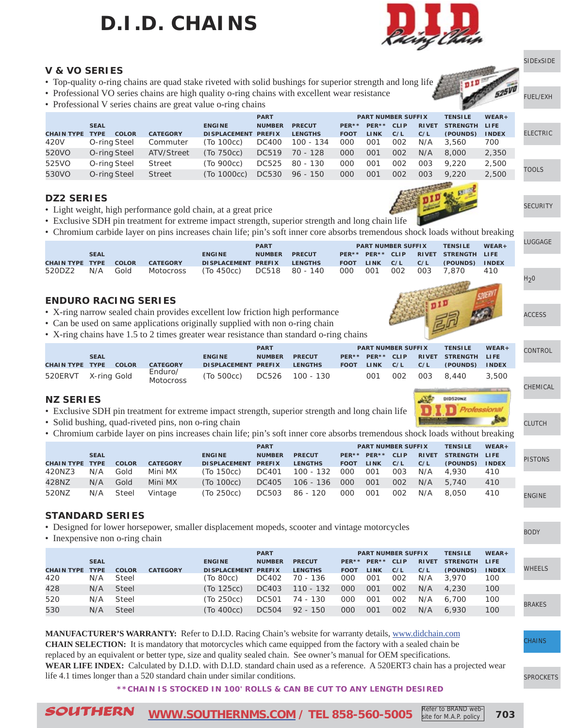# **D.I.D. CHAINS**



#### **V & VO SERIES**

- Top-quality o-ring chains are quad stake riveted with solid bushings for superior strength and long life
- Professional VO series chains are high quality o-ring chains with excellent wear resistance
- Professional V series chains are great value o-ring chains

|                   |                             |                 |                      | <b>PART</b>   |                |             | <b>PART NUMBER SUFFIX</b> |             |              | <b>TENSILE</b>  | $WEAR +$     |
|-------------------|-----------------------------|-----------------|----------------------|---------------|----------------|-------------|---------------------------|-------------|--------------|-----------------|--------------|
|                   | <b>SEAL</b>                 |                 | <b>ENGINE</b>        | <b>NUMBER</b> | <b>PRECUT</b>  | PER**       | $PER**$                   | <b>CLIP</b> | <b>RIVET</b> | <b>STRENGTH</b> | <b>LIFE</b>  |
| <b>CHAIN TYPE</b> | <b>TYPE</b><br><b>COLOR</b> | <b>CATEGORY</b> | <b>DI SPLACEMENT</b> | <b>PREFIX</b> | <b>LENGTHS</b> | <b>FOOT</b> | <b>LINK</b>               | C/L         | C/L          | (POUNDS)        | <b>INDEX</b> |
| 420V              | O-ring Steel                | Commuter        | (To 100cc)           | DC400         | 100 - 134      | 000         | 001                       | 002         | N/A          | 3,560           | 700          |
| 520VO             | O-ring Steel                | ATV/Street      | (To 750cc)           | DC519         | 70 - 128       | 000         | 001                       | 002         | N/A          | 8.000           | 2,350        |
| 525VO             | O-ring Steel                | Street          | (To 900cc)           | DC525         | 80 - 130       | 000         | 001                       | 002         | 003          | 9.220           | 2,500        |
| 530VO             | O-ring Steel                | Street          | (To 1000cc)          | <b>DC530</b>  | $96 - 150$     | 000         | 001                       | 002         | 003          | 9.220           | 2,500        |
|                   |                             |                 |                      |               |                |             |                           |             |              |                 |              |

#### **DZ2 SERIES**

- Light weight, high performance gold chain, at a great price
- Exclusive SDH pin treatment for extreme impact strength, superior strength and long chain life
- Chromium carbide layer on pins increases chain life; pin's soft inner core absorbs tremendous shock loads without breaking

|                        |             |              |                  |                      | <b>PART</b>   |                |             | <b>PART NUMBER SUFFIX</b> |     |              | <b>TENSILE</b>  | $WEAR +$     | <b>LUGGAGE</b>   |
|------------------------|-------------|--------------|------------------|----------------------|---------------|----------------|-------------|---------------------------|-----|--------------|-----------------|--------------|------------------|
|                        | <b>SEAL</b> |              |                  | <b>ENGINE</b>        | <b>NUMBER</b> | <b>PRECUT</b>  | $PER**$     | PER** CLIP                |     | <b>RIVET</b> | <b>STRENGTH</b> | <b>LIFE</b>  |                  |
| <b>CHAIN TYPE TYPE</b> |             | <b>COLOR</b> | <b>CATEGORY</b>  | <b>DI SPLACEMENT</b> | <b>PREFIX</b> | <b>LENGTHS</b> | <b>FOOT</b> | <b>LINK</b>               | C/L | C/L          | (POUNDS)        | <b>INDEX</b> |                  |
| 520DZ2                 | N/A         | Gold         | <b>Motocross</b> | (To 450cc)           | <b>DC518</b>  | $80 - 140$     | 000         | 001                       | 002 | 003          | '.870           | 410          |                  |
|                        |             |              |                  |                      |               |                |             |                           |     |              |                 |              | H <sub>2</sub> 0 |

#### **ENDURO RACING SERIES**

- X-ring narrow sealed chain provides excellent low friction high performance
- Can be used on same applications originally supplied with non o-ring chain
- X-ring chains have 1.5 to 2 times greater wear resistance than standard o-ring chains

|                        |             |              |                             | <b>PART</b>         |               |                 |             | <b>PART NUMBER SUFFIX</b> |             |              | <b>TENSILE</b> | $WEAR+$      | <b>CONTROL</b> |
|------------------------|-------------|--------------|-----------------------------|---------------------|---------------|-----------------|-------------|---------------------------|-------------|--------------|----------------|--------------|----------------|
|                        | <b>SEAL</b> |              |                             | <b>ENGINE</b>       | <b>NUMBER</b> | <b>PRECUT</b>   | PER**       | PER**                     | <b>CLIP</b> | <b>RIVET</b> | STRENGTH LIFE  |              |                |
| <b>CHAIN TYPE TYPE</b> |             | <b>COLOR</b> | <b>CATEGORY</b>             | DISPLACEMENT PREFIX |               | <b>LENGTHS</b>  | <b>FOOT</b> | <b>LINK</b>               | C/L         | C/L          | (POUNDS)       | <b>INDEX</b> |                |
| 520ERVT X-ring Gold    |             |              | Enduro/<br><b>Motocross</b> | (To 500cc)          |               | DC526 100 - 130 |             | 001                       | 002         | 003          | 8.440          | 3,500        |                |

#### **NZ SERIES**

- Exclusive SDH pin treatment for extreme impact strength, superior strength and long chain life
- Solid bushing, quad-riveted pins, non o-ring chain
- Chromium carbide layer on pins increases chain life; pin's soft inner core absorbs tremendous shock loads without breaking

|                        |             |              |                 | <b>PART</b>         |               |                |             | <b>PART NUMBER SUFFIX</b> |             |              | <b>TENSILE</b> | $WEAR +$     |                  |
|------------------------|-------------|--------------|-----------------|---------------------|---------------|----------------|-------------|---------------------------|-------------|--------------|----------------|--------------|------------------|
|                        | <b>SEAL</b> |              |                 | <b>ENGINE</b>       | <b>NUMBER</b> | <b>PRECUT</b>  |             | PER** PER**               | <b>CLIP</b> | <b>RIVET</b> | STRENGTH LIFE  |              | PIS <sup>-</sup> |
| <b>CHAIN TYPE TYPE</b> |             | <b>COLOR</b> | <b>CATEGORY</b> | <b>DISPLACEMENT</b> | <b>PREFIX</b> | <b>LENGTHS</b> | <b>FOOT</b> | <b>LINK</b>               | C/L         | C/L          | (POUNDS)       | <b>INDEX</b> |                  |
| 420NZ3                 | N/A         | Gold         | Mini MX         | (To 150cc)          | DC401         | 100 - 132      | 000         | 001                       | 003         | N/A          | 4.930          | 410          |                  |
| 428NZ                  | N/A         | Gold         | Mini MX         | (To 100cc)          | DC405         | 106 - 136      | 000         | 001                       | 002         | N/A          | 5.740          | 410          |                  |
| 520NZ                  | N/A         | Steel        | Vintage         | (To 250cc)          | DC503         | 86 - 120       | 000         | 001                       | 002         | N/A          | 8,050          | 410          | <b>ENG</b>       |

#### **STANDARD SERIES**

• Designed for lower horsepower, smaller displacement mopeds, scooter and vintage motorcycles

• Inexpensive non o-ring chain

|                   |             |              |                 |                            | <b>PART</b>   |                |             | <b>PART NUMBER SUFFIX</b> |             |              | <b>TENSILE</b>  | $WEAR +$     |
|-------------------|-------------|--------------|-----------------|----------------------------|---------------|----------------|-------------|---------------------------|-------------|--------------|-----------------|--------------|
|                   | <b>SEAL</b> |              |                 | <b>ENGINE</b>              | <b>NUMBER</b> | <b>PRECUT</b>  |             | PER** PER**               | <b>CLIP</b> | <b>RIVET</b> | <b>STRENGTH</b> | LIFE         |
| <b>CHAIN TYPE</b> | <b>TYPE</b> | <b>COLOR</b> | <b>CATEGORY</b> | <b>DISPLACEMENT PREFIX</b> |               | <b>LENGTHS</b> | <b>FOOT</b> | <b>LINK</b>               | C/L         | C/L          | (POUNDS)        | <b>INDEX</b> |
| 420               | N/A         | <b>Steel</b> |                 | (To 80cc)                  | DC402         | 70 - 136       | 000         | 001                       | 002         | N/A          | 3,970           | 100          |
| 428               | N/A         | Steel        |                 | (To 125cc)                 | DC403         | $110 - 132$    | 000         | 001                       | 002         | N/A          | 4.230           | 100          |
| 520               | N/A         | Steel        |                 | (To 250cc)                 | DC501         | 74 - 130       | 000         | 001                       | 002         | N/A          | 6.700           | 100          |
| 530               | N/A         | Steel        |                 | (To 400cc)                 | DC504         | $92 - 150$     | 000         | 001                       | 002         | N/A          | 6,930           | 100          |

**MANUFACTURER'S WARRANTY:** Refer to D.I.D. Racing Chain's website for warranty details, [www.didchain.com](http://www.didchain.com/) **CHAIN SELECTION:** It is mandatory that motorcycles which came equipped from the factory with a sealed chain be replaced by an equivalent or better type, size and quality sealed chain. See owner's manual for OEM specifications. WEAR LIFE INDEX: Calculated by D.I.D. with D.I.D. standard chain used as a reference. A 520ERT3 chain has a projected wear life 4.1 times longer than a 520 standard chain under similar conditions.

#### **\*\*CHAIN IS STOCKED IN 100' ROLLS & CAN BE CUT TO ANY LENGTH DESIRED**



**DID520N2** 

[ENGINE](http://www.southernms.com/wp-content/uploads/2015/08/13_engine.pdf)

**FONS** 

[CLUTCH](http://www.southernms.com/wp-content/uploads/2015/08/11_clutch.pdf)

[CHEMICAL](http://www.southernms.com/wp-content/uploads/2015/08/10_chemicals.pdf)

[SIDExSIDE](http://www.southernms.com/wp-content/uploads/2015/08/01_UTV.pdf)

[FUEL/EXH](http://www.southernms.com/wp-content/uploads/2015/08/02_fuel_exh.pdf)

ECTRIC

**[SECURITY](http://www.southernms.com/wp-content/uploads/2015/08/05_locks.pdf)** 

[ACCESS](http://www.southernms.com/wp-content/uploads/2015/08/08_accessories.pdf)

OLS

[BODY](http://www.southernms.com/wp-content/uploads/2015/08/14_body.pdf)

EELS

**HAINS** 

[SPROCKETS](http://www.southernms.com/wp-content/uploads/2015/08/18_sprockets.pdf)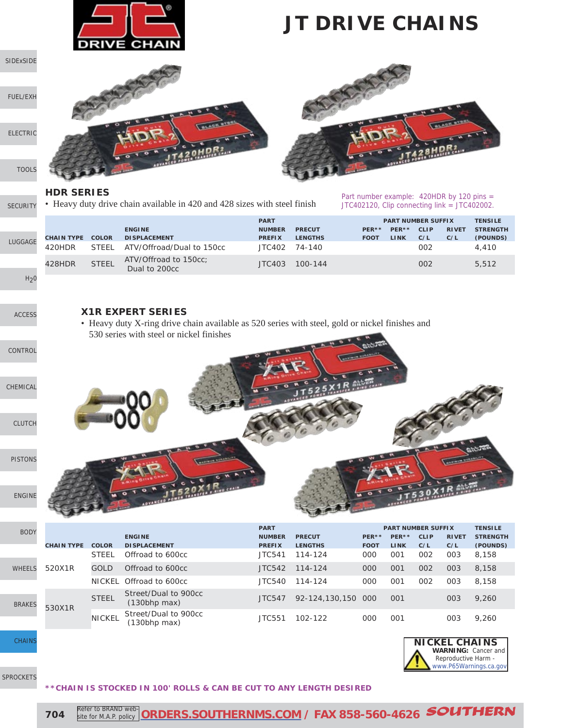

### **JT DRIVE CHAINS**

[SIDExSIDE](http://www.southernms.com/wp-content/uploads/2015/08/01_UTV.pdf)

[FUEL/EXH](http://www.southernms.com/wp-content/uploads/2015/08/02_fuel_exh.pdf)

[ELECTRIC](http://www.southernms.com/wp-content/uploads/2015/08/03_electrical.pdf)

[TOOLS](http://www.southernms.com/wp-content/uploads/2015/08/04_tools.pdf)

#### **HDR SERIES**

**[SECURITY](http://www.southernms.com/wp-content/uploads/2015/08/05_locks.pdf)** • Heavy duty drive chain available in 420 and 428 sizes with steel finish



**WARNING:** Cancer and Reproductive Harm [www.P65Warnings.ca.gov](http://www.P65Warnings.ca.gov)

**NICKEL CHAINS**

|                  |                   |              |                                        | <b>PART</b>   |                |             | <b>PART NUMBER SUFFIX</b> |             |              | <b>TENSILE</b>  |  |
|------------------|-------------------|--------------|----------------------------------------|---------------|----------------|-------------|---------------------------|-------------|--------------|-----------------|--|
|                  |                   |              | <b>ENGINE</b>                          | <b>NUMBER</b> | <b>PRECUT</b>  | PER**       | PER**                     | <b>CLIP</b> | <b>RIVET</b> | <b>STRENGTH</b> |  |
| GAGE             | <b>CHAIN TYPE</b> | <b>COLOR</b> | <b>DISPLACEMENT</b>                    | <b>PREFIX</b> | <b>LENGTHS</b> | <b>FOOT</b> | <b>LINK</b>               | C/L         | C/L          | (POUNDS)        |  |
|                  | 420HDR            | <b>STEFI</b> | ATV/Offroad/Dual to 150cc              |               | JTC402 74-140  |             |                           | 002         |              | 4.410           |  |
|                  | 428HDR            | <b>STEEL</b> | ATV/Offroad to 150cc;<br>Dual to 200cc | JTC403        | 100-144        |             |                           | 002         |              | 5,512           |  |
| H <sub>2</sub> 0 |                   |              |                                        |               |                |             |                           |             |              |                 |  |

[ACCESS](http://www.southernms.com/wp-content/uploads/2015/08/08_accessories.pdf)

LUG

#### **X1R EXPERT SERIES**

• Heavy duty X-ring drive chain available as 520 series with steel, gold or nickel finishes and 530 series with steel or nickel finishes



| <b>BODY</b>  |                   |               |                                            | <b>PART</b>   |                |             |             | <b>PART NUMBER SUFFIX</b> |              | <b>TENSILE</b>  |
|--------------|-------------------|---------------|--------------------------------------------|---------------|----------------|-------------|-------------|---------------------------|--------------|-----------------|
|              |                   |               | <b>ENGINE</b>                              | <b>NUMBER</b> | <b>PRECUT</b>  | PER**       | PER**       | <b>CLIP</b>               | <b>RIVET</b> | <b>STRENGTH</b> |
|              | <b>CHAIN TYPE</b> | <b>COLOR</b>  | <b>DISPLACEMENT</b>                        | <b>PREFIX</b> | <b>LENGTHS</b> | <b>FOOT</b> | <b>LINK</b> | C/L                       | C/L          | (POUNDS)        |
|              |                   | <b>STEEL</b>  | Offroad to 600cc                           | JTC541        | 114-124        | 000         | 001         | 002                       | 003          | 8,158           |
| <b>HEELS</b> | 520X1R<br>530X1R  | GOLD          | Offroad to 600cc                           | JTC542        | 114-124        | 000         | 001         | 002                       | 003          | 8.158           |
|              |                   | <b>NICKEL</b> | Offroad to 600cc                           | JTC540        | 114-124        | 000         | 001         | 002                       | 003          | 8.158           |
| RAKES        |                   | <b>STEEL</b>  | Street/Dual to 900cc<br>(130bhp max)       | <b>JTC547</b> | 92-124,130,150 | -000        | 001         |                           | 003          | 9,260           |
|              |                   | <b>NICKEL</b> | Street/Dual to 900cc<br>$(130$ bhp max $)$ | JTC551        | 102-122        | 000         | 001         |                           | 003          | 9,260           |

**[CHAINS](http://www.southernms.com/wp-content/uploads/2015/08/17_chains.pdf)** 

 $W$ 

 $BF$ 



#### **\*\*CHAIN IS STOCKED IN 100' ROLLS & CAN BE CUT TO ANY LENGTH DESIRED**

**704** Refer to BRAND web Refer to BRAND web-**[ORDERS.SOUTHERNMS.COM](http://orders.southernms.com) / FAX 858-560-4626** SOUTHERN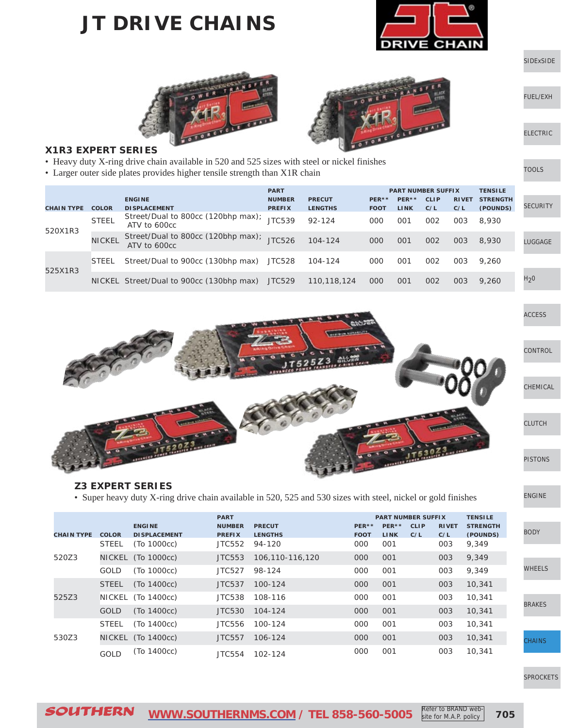### **JT DRIVE CHAINS**



[SIDExSIDE](http://www.southernms.com/wp-content/uploads/2015/08/01_UTV.pdf)

[ELECTRIC](http://www.southernms.com/wp-content/uploads/2015/08/03_electrical.pdf)

[TOOLS](http://www.southernms.com/wp-content/uploads/2015/08/04_tools.pdf)

[FUEL/EXH](http://www.southernms.com/wp-content/uploads/2015/08/02_fuel_exh.pdf)





#### **X1R3 EXPERT SERIES**

- Heavy duty X-ring drive chain available in 520 and 525 sizes with steel or nickel finishes
- Larger outer side plates provides higher tensile strength than X1R chain

|                   |               |                                                    | <b>PART</b>                    |                                 |                      |                      | <b>PART NUMBER SUFFIX</b> |                     | <b>TENSILE</b>              |                  |
|-------------------|---------------|----------------------------------------------------|--------------------------------|---------------------------------|----------------------|----------------------|---------------------------|---------------------|-----------------------------|------------------|
| <b>CHAIN TYPE</b> | <b>COLOR</b>  | <b>ENGINE</b><br><b>DISPLACEMENT</b>               | <b>NUMBER</b><br><b>PREFIX</b> | <b>PRECUT</b><br><b>LENGTHS</b> | PER**<br><b>FOOT</b> | PER**<br><b>LINK</b> | <b>CLIP</b><br>C/L        | <b>RIVET</b><br>C/L | <b>STRENGTH</b><br>(POUNDS) | <b>SECURITY</b>  |
| 520X1R3           | <b>STEEL</b>  | Street/Dual to 800cc (120bhp max);<br>ATV to 600cc | <b>JTC539</b>                  | $92 - 124$                      | 000                  | 001                  | 002                       | 003                 | 8,930                       |                  |
|                   | <b>NICKEL</b> | Street/Dual to 800cc (120bhp max);<br>ATV to 600cc | JTC526                         | $104 - 124$                     | 000                  | 001                  | 002                       | 003                 | 8,930                       | LUGGAGE          |
| 525X1R3           | <b>STEEL</b>  | Street/Dual to 900cc (130bhp max)                  | JTC528                         | 104-124                         | 000                  | 001                  | 002                       | 003                 | 9.260                       |                  |
|                   |               | NICKEL Street/Dual to 900cc (130bhp max)           | JTC529                         | 110,118,124                     | 000                  | 001                  | 002                       | 003                 | 9.260                       | H <sub>2</sub> 0 |



#### **Z3 EXPERT SERIES**

• Super heavy duty X-ring drive chain available in 520, 525 and 530 sizes with steel, nickel or gold finishes

|                   |               |                     | <b>PART</b>   |                 | <b>PART NUMBER SUFFIX</b> |             |             |              | <b>TENSILE</b>  |
|-------------------|---------------|---------------------|---------------|-----------------|---------------------------|-------------|-------------|--------------|-----------------|
|                   |               | <b>ENGINE</b>       | <b>NUMBER</b> | <b>PRECUT</b>   | $PER**$                   | PER**       | <b>CLIP</b> | <b>RIVET</b> | <b>STRENGTH</b> |
| <b>CHAIN TYPE</b> | <b>COLOR</b>  | <b>DISPLACEMENT</b> | <b>PREFIX</b> | <b>LENGTHS</b>  | <b>FOOT</b>               | <b>LINK</b> | C/L         | C/L          | (POUNDS)        |
|                   | <b>STEEL</b>  | (To 1000cc)         | JTC552        | 94-120          | 000                       | 001         |             | 003          | 9,349           |
| 520Z3             | NICKEL        | (To 1000cc)         | JTC553        | 106.110-116.120 | 000                       | 001         |             | 003          | 9,349           |
|                   | GOLD          | (To 1000cc)         | JTC527        | 98-124          | 000                       | 001         |             | 003          | 9,349           |
| 525Z3<br>530Z3    | <b>STEEL</b>  | (To 1400cc)         | JTC537        | 100-124         | 000                       | 001         |             | 003          | 10,341          |
|                   | <b>NICKEL</b> | (To 1400cc)         | <b>JTC538</b> | 108-116         | 000                       | 001         |             | 003          | 10,341          |
|                   | <b>GOLD</b>   | (To 1400cc)         | <b>JTC530</b> | 104-124         | 000                       | 001         |             | 003          | 10,341          |
|                   | <b>STEEL</b>  | (To 1400cc)         | JTC556        | 100-124         | 000                       | 001         |             | 003          | 10,341          |
|                   | NICKEL        | (To 1400cc)         | JTC557        | 106-124         | 000                       | 001         |             | 003          | 10,341          |
|                   | <b>GOLD</b>   | (To 1400cc)         | JTC554        | 102-124         | 000                       | 001         |             | 003          | 10,341          |

#### [SPROCKETS](http://www.southernms.com/wp-content/uploads/2015/08/18_sprockets.pdf)

**[CHAINS](http://www.southernms.com/wp-content/uploads/2015/08/17_chains.pdf)** 

[ENGINE](http://www.southernms.com/wp-content/uploads/2015/08/13_engine.pdf)

[BODY](http://www.southernms.com/wp-content/uploads/2015/08/14_body.pdf)

[WHEELS](http://www.southernms.com/wp-content/uploads/2015/08/15_wheel.pdf)

[BRAKES](http://www.southernms.com/wp-content/uploads/2015/08/16_brakes.pdf)

**705**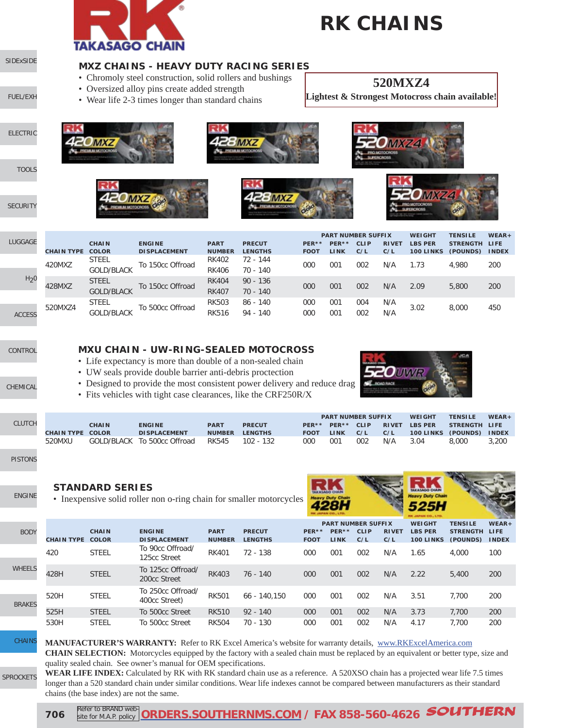

# **RK CHAINS**

#### **MXZ CHAINS - HEAVY DUTY RACING SERIES**

- Chromoly steel construction, solid rollers and bushings
- Oversized alloy pins create added strength
- Wear life 2-3 times longer than standard chains

#### **520MXZ4**

**Lightest & Strongest Motocross chain available!**







| LUGGAGE          |                   | <b>CHAIN</b>      | <b>ENGINE</b>        | <b>PART</b>   | <b>PRECUT</b>  | PER**       | <b>PART NUMBER SUFFIX</b><br>PER** | CLIP | <b>RIVET</b> | <b>WEIGHT</b><br><b>LBS PER</b> | <b>TENSILE</b><br>STRENGTH LIFE | $WEAR +$     |
|------------------|-------------------|-------------------|----------------------|---------------|----------------|-------------|------------------------------------|------|--------------|---------------------------------|---------------------------------|--------------|
|                  | <b>CHAIN TYPE</b> | COLOR             | <b>DI SPLACEMENT</b> | <b>NUMBER</b> | <b>LENGTHS</b> | <b>FOOT</b> | <b>LINK</b>                        | C/L  | C/L          | 100 LINKS                       | (POUNDS)                        | <b>INDEX</b> |
|                  | 420MXZ            | <b>STEEL</b>      | To 150cc Offroad     | <b>RK402</b>  | 72 - 144       |             |                                    |      |              |                                 |                                 |              |
|                  |                   | <b>GOLD/BLACK</b> |                      | <b>RK406</b>  | $70 - 140$     | 000         | 00 <sup>1</sup>                    | 002  | N/A          | 1.73                            | 4.980                           | 200          |
| H <sub>2</sub> 0 |                   | <b>STEEL</b>      |                      | <b>RK404</b>  | $90 - 136$     |             |                                    |      |              |                                 |                                 |              |
|                  | 428MXZ            | <b>GOLD/BLACK</b> | To 150cc Offroad     | <b>RK407</b>  | $70 - 140$     | 000         | 001                                | 002  | N/A          | 2.09                            | 5,800                           | 200          |
|                  |                   | <b>STEEL</b>      |                      | <b>RK503</b>  | $86 - 140$     | 000         | 001                                | 004  | N/A          |                                 |                                 |              |
| <b>ACCESS</b>    | 520MXZ4           | <b>GOLD/BLACK</b> | To 500cc Offroad     | <b>RK516</b>  | $94 - 140$     | 000         | $00^{\circ}$                       | 002  | N/A          | 3.02                            | 8,000                           | 450          |
|                  |                   |                   |                      |               |                |             |                                    |      |              |                                 |                                 |              |

[CONTROL](http://www.southernms.com/wp-content/uploads/2015/08/09_controls.pdf)

[CHEMICAL](http://www.southernms.com/wp-content/uploads/2015/08/10_chemicals.pdf)

[SIDExSIDE](http://www.southernms.com/wp-content/uploads/2015/08/01_UTV.pdf)

[ELECTRIC](http://www.southernms.com/wp-content/uploads/2015/08/03_electrical.pdf)

[TOOLS](http://www.southernms.com/wp-content/uploads/2015/08/04_tools.pdf)

**[SECURITY](http://www.southernms.com/wp-content/uploads/2015/08/05_locks.pdf)** 

[FUEL/EXH](http://www.southernms.com/wp-content/uploads/2015/08/02_fuel_exh.pdf)

#### **MXU CHAIN - UW-RING-SEALED MOTOCROSS**

- Life expectancy is more than double of a non-sealed chain
- UW seals provide double barrier anti-debris proctection
- Designed to provide the most consistent power delivery and reduce drag
- Fits vehicles with tight case clearances, like the CRF250R/X



|        |                         |              |                             |               |                |             |              | <b>PART NUMBER SUFFIX</b> |              | <b>WEIGHT</b>    | <b>TENSILE</b> | $WEAR +$     |
|--------|-------------------------|--------------|-----------------------------|---------------|----------------|-------------|--------------|---------------------------|--------------|------------------|----------------|--------------|
| CLUTCH |                         | <b>CHAIN</b> | <b>ENGINE</b>               | <b>PART</b>   | <b>PRECUT</b>  | $PFR**$     | PER**        | CLIP                      | <b>RIVET</b> | <b>LBS PER</b>   | STRENGTH LIFE  |              |
|        | <b>CHAIN TYPE COLOR</b> |              | <b>DISPLACEMENT</b>         | <b>NUMBER</b> | <b>LENGTHS</b> | <b>FOOT</b> | <b>LINK</b>  | C/L                       | C/L          | <b>100 LINKS</b> | (POUNDS)       | <b>INDEX</b> |
|        | 520MXU                  |              | GOLD/BLACK To 500cc Offroad | RK545         | $102 - 132$    | 000         | $00^{\circ}$ | 002                       | N/A          | 3.04             | 8,000          | 3,200        |

[PISTONS](http://www.southernms.com/wp-content/uploads/2015/08/12_pistons.pdf)

### [ENGINE](http://www.southernms.com/wp-content/uploads/2015/08/13_engine.pdf)

WH

**BR** 

**STANDARD SERIES** • Inexpensive solid roller non o-ring chain for smaller motorcycles



|              |                         |              |                                    |               |                |             |       |                           |              |                  |                 | <b>START AND</b> |
|--------------|-------------------------|--------------|------------------------------------|---------------|----------------|-------------|-------|---------------------------|--------------|------------------|-----------------|------------------|
|              |                         |              |                                    |               |                |             |       | <b>PART NUMBER SUFFIX</b> |              | <b>WEIGHT</b>    | <b>TENSILE</b>  | $WEAR +$         |
| <b>BODY</b>  |                         | <b>CHAIN</b> | <b>ENGINE</b>                      | <b>PART</b>   | <b>PRECUT</b>  | PER**       | PER** | <b>CLIP</b>               | <b>RIVET</b> | <b>LBS PER</b>   | <b>STRENGTH</b> | <b>LIFE</b>      |
|              | <b>CHAIN TYPE COLOR</b> |              | <b>DISPLACEMENT</b>                | <b>NUMBER</b> | <b>LENGTHS</b> | <b>FOOT</b> | LINK  | C/L                       | C/L          | <b>100 LINKS</b> | (POUNDS)        | <b>INDEX</b>     |
|              | 420                     | <b>STEEL</b> | To 90cc Offroad/<br>125cc Street   | <b>RK401</b>  | $72 - 138$     | 000         | 001   | 002                       | N/A          | 1.65             | 4.000           | 100              |
| <b>IEELS</b> | 428H                    | <b>STEEL</b> | To 125cc Offroad/<br>200cc Street  | <b>RK403</b>  | $76 - 140$     | 000         | 001   | 002                       | N/A          | 2.22             | 5,400           | 200              |
| <b>AKES</b>  | 520H                    | <b>STEEL</b> | To 250cc Offroad/<br>400cc Street) | <b>RK501</b>  | $66 - 140.150$ | 000         | 001   | 002                       | N/A          | 3.51             | 7.700           | 200              |
|              | 525H                    | <b>STEEL</b> | To 500cc Street                    | <b>RK510</b>  | $92 - 140$     | 000         | 001   | 002                       | N/A          | 3.73             | 7.700           | 200              |
|              | 530H                    | <b>STEEL</b> | To 500cc Street                    | <b>RK504</b>  | 70 - 130       | 000         | 001   | 002                       | N/A          | 4.17             | 7.700           | 200              |

**MANUFACTURER'S WARRANTY:** Refer to RK Excel America's website for warranty details, [www.RKExcelAmerica.com](http://www.RKExcelAmerica.com)

**CHAIN SELECTION:** Motorcycles equipped by the factory with a sealed chain must be replaced by an equivalent or better type, size and quality sealed chain. See owner's manual for OEM specifications.

**WEAR LIFE INDEX:** Calculated by RK with RK standard chain use as a reference. A 520XSO chain has a projected wear life 7.5 times longer than a 520 standard chain under similar conditions. Wear life indexes cannot be compared between manufacturers as their standard chains (the base index) are not the same.

[SPROCKETS](http://www.southernms.com/wp-content/uploads/2015/08/18_sprockets.pdf)

**[CHAINS](http://www.southernms.com/wp-content/uploads/2015/08/17_chains.pdf)** 

**706** Refer to BRAND web Refer to BRAND web-**[ORDERS.SOUTHERNMS.COM](http://orders.southernms.com) / FAX 858-560-4626** SOUTHERN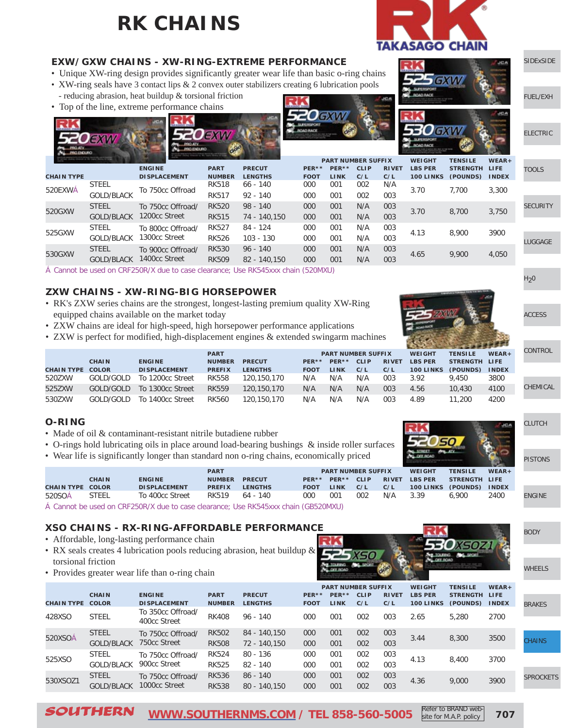## **RK CHAINS**



GXM

#### **EXW/GXW CHAINS - XW-RING-EXTREME PERFORMANCE**

- Unique XW-ring design provides significantly greater wear life than basic o-ring chains
- XW-ring seals have 3 contact lips & 2 convex outer stabilizers creating 6 lubrication pools - reducing abrasion, heat buildup & torsional friction
- Top of the line, extreme performance chains





|                   | JEXW                              |                                                | -Oexw                        |                                 |                      |                      |                                                 |                     |                                              |                                             |                          | EL        |
|-------------------|-----------------------------------|------------------------------------------------|------------------------------|---------------------------------|----------------------|----------------------|-------------------------------------------------|---------------------|----------------------------------------------|---------------------------------------------|--------------------------|-----------|
| <b>CHAIN TYPE</b> |                                   | <b>ENGINE</b><br><b>DISPLACEMENT</b>           | <b>PART</b><br><b>NUMBER</b> | <b>PRECUT</b><br><b>LENGTHS</b> | PER**<br><b>FOOT</b> | PER**<br><b>LINK</b> | <b>PART NUMBER SUFFIX</b><br><b>CLIP</b><br>C/L | <b>RIVET</b><br>C/L | <b>WEIGHT</b><br><b>LBS PER</b><br>100 LINKS | <b>TENSILE</b><br>STRENGTH LIFE<br>(POUNDS) | $WEAR +$<br><b>INDEX</b> | T(        |
| 520EXWA           | <b>STEEL</b><br><b>GOLD/BLACK</b> | To 750cc Offroad                               | <b>RK518</b><br><b>RK517</b> | $66 - 140$<br>$92 - 140$        | 000<br>000           | 001<br>001           | 002<br>002                                      | N/A<br>003          | 3.70                                         | 7.700                                       | 3,300                    |           |
| 520GXW            | <b>STEEL</b><br><b>GOLD/BLACK</b> | To 750cc Offroad/<br>1200 <sub>cc</sub> Street | <b>RK520</b><br><b>RK515</b> | $98 - 140$<br>74 - 140.150      | 000<br>000           | 001<br>001           | N/A<br>N/A                                      | 003<br>003          | 3.70                                         | 8,700                                       | 3,750                    | <b>SE</b> |
| 525GXW            | <b>STEEL</b><br><b>GOLD/BLACK</b> | To 800cc Offroad/<br>1300cc Street             | <b>RK527</b><br><b>RK526</b> | 84 - 124<br>103 - 130           | 000<br>000           | 001<br>001           | N/A<br>N/A                                      | 003<br>003          | 4.13                                         | 8,900                                       | 3900                     |           |

Cannot be used on CRF250R/X due to case clearance; Use RK545xxx chain (520MXU)

#### **ZXW CHAINS - XW-RING-BIG HORSEPOWER**

- RK's ZXW series chains are the strongest, longest-lasting premium quality XW-Ring equipped chains available on the market today
- ZXW chains are ideal for high-speed, high horsepower performance applications
- ZXW is perfect for modified, high-displacement engines & extended swingarm machines

|                         |              |                      | <b>PART</b>   |                |             |             | <b>PART NUMBER SUFFIX</b> |              | <b>WEIGHT</b>    | <b>TENSILE</b> | $WEAR +$     | <b>CONTROL</b> |
|-------------------------|--------------|----------------------|---------------|----------------|-------------|-------------|---------------------------|--------------|------------------|----------------|--------------|----------------|
|                         | <b>CHAIN</b> | <b>ENGINE</b>        | <b>NUMBER</b> | <b>PRECUT</b>  | $PER**$     | PER**       | <b>CLIP</b>               | <b>RIVET</b> | <b>LBS PER</b>   | STRENGTH LIFE  |              |                |
| <b>CHAIN TYPE COLOR</b> |              | <b>DI SPLACEMENT</b> | <b>PREFIX</b> | <b>LENGTHS</b> | <b>FOOT</b> | <b>LINK</b> | C/L                       | C/L          | <b>100 LINKS</b> | (POUNDS)       | <b>INDEX</b> |                |
| 520ZXW                  | GOLD/GOLD    | To 1200cc Street     | <b>RK558</b>  | 120,150,170    | N/A         | N/A         | N/A                       | 003          | 3.92             | 9.450          | 3800         |                |
| 525ZXW                  | GOLD/GOLD    | To 1300cc Street     | <b>RK559</b>  | 120,150,170    | N/A         | N/A         | N/A                       | 003          | 4.56             | 10,430         | 4100         | CHEMICA        |
| 530ZXW                  | GOLD/GOLD    | To 1400cc Street     | <b>RK560</b>  | 120.150.170    | N/A         | N/A         | N/A                       | 003          | 4.89             | 11,200         | 4200         |                |

1400cc Street 4.65 9,900 4,050 GOLD/BLACK RK509 82 - 140,150 <sup>000</sup> <sup>001</sup> N/A <sup>003</sup> RK530 96 - 140 000 001 N/A 003

#### **O-RING**

530GXW STEEL To 900cc Offroad/

- Made of oil & contaminant-resistant nitrile butadiene rubber
- O-rings hold lubricating oils in place around load-bearing bushings & inside roller surfaces
- Wear life is significantly longer than standard non o-ring chains, economically priced

|                         |              |                      | <b>PART</b>   |                |             |             | <b>PART NUMBER SUFFIX</b> |              | <b>WEIGHT</b>    | <b>TENSILE</b> | $WEAR +$     |    |
|-------------------------|--------------|----------------------|---------------|----------------|-------------|-------------|---------------------------|--------------|------------------|----------------|--------------|----|
|                         | <b>CHAIN</b> | <b>ENGINE</b>        | <b>NUMBER</b> | <b>PRECUT</b>  | $PER**$     | PER**       | <b>CLIP</b>               | <b>RIVET</b> | <b>LBS PER</b>   | STRENGTH LIFE  |              |    |
| <b>CHAIN TYPE COLOR</b> |              | <b>DI SPLACEMENT</b> | <b>PREFIX</b> | <b>LENGTHS</b> | <b>FOOT</b> | <b>LINK</b> | C/L                       | C/L          | <b>100 LINKS</b> | (POUNDS)       | <b>INDEX</b> |    |
| 520SOA                  | <b>STEEL</b> | To 400cc Street      | RK519         | 64 - 140       | 000         | 001         | 002                       | N/A          | 3.39             | 6.900          | 2400         | EN |

Cannot be used on CRF250R/X due to case clearance; Use RK545xxx chain (GB520MXU)

#### **XSO CHAINS - RX-RING-AFFORDABLE PERFORMANCE**

- Affordable, long-lasting performance chain
- RX seals creates 4 lubrication pools reducing abrasion, heat buildup & torsional friction
- Provides greater wear life than o-ring chain



|                   |                              | <b>PART NUMBER SUFFIX</b>            |                              |                                 |                      | <b>WEIGHT</b>        | <b>TENSILE</b>     | $WEAR +$            |                             |                           |              |               |
|-------------------|------------------------------|--------------------------------------|------------------------------|---------------------------------|----------------------|----------------------|--------------------|---------------------|-----------------------------|---------------------------|--------------|---------------|
| <b>CHAIN TYPE</b> | <b>CHAIN</b><br><b>COLOR</b> | <b>ENGINE</b><br><b>DISPLACEMENT</b> | <b>PART</b><br><b>NUMBER</b> | <b>PRECUT</b><br><b>LENGTHS</b> | PER**<br><b>FOOT</b> | PER**<br><b>LINK</b> | <b>CLIP</b><br>C/L | <b>RIVET</b><br>C/L | <b>LBS PER</b><br>100 LINKS | STRENGTH LIFE<br>(POUNDS) | <b>INDEX</b> | <b>BRAKES</b> |
| 428XSO            | <b>STEEL</b>                 | To 350cc Offroad/<br>400cc Street    | <b>RK408</b>                 | $96 - 140$                      | 000                  | 001                  | 002                | 003                 | 2.65                        | 5,280                     | 2700         |               |
| 520XSOÁ           | <b>STEEL</b>                 | To 750cc Offroad/                    | <b>RK502</b>                 | 84 - 140.150                    | 000                  | 001                  | 002                | 003                 | 3.44                        | 8,300                     | 3500         |               |
|                   | <b>GOLD/BLACK</b>            | 750 <sub>cc</sub> Street             | <b>RK508</b>                 | 72 - 140,150                    | 000                  | 001                  | 002                | 003                 |                             |                           |              | <b>CHAINS</b> |
| 525XSO            | <b>STEEL</b>                 | To 750cc Offroad/                    | <b>RK524</b>                 | 80 - 136                        | 000                  | 001                  | 002                | 003                 | 4.13                        | 8,400                     | 3700         |               |
|                   | <b>GOLD/BLACK</b>            | 900cc Street                         | <b>RK525</b>                 | $82 - 140$                      | 000                  | 001                  | 002                | 003                 |                             |                           |              |               |
|                   | <b>STEEL</b>                 | To 750cc Offroad/                    | <b>RK536</b>                 | $86 - 140$                      | 000                  | 001                  | 002                | 003                 |                             |                           |              | <b>SPROCK</b> |
| 530XSOZ1          | <b>GOLD/BLACK</b>            | 1000cc Street                        | <b>RK538</b>                 | $80 - 140.150$                  | 000                  | 001                  | 002                | 003                 | 4.36                        | 9,000                     | 3900         |               |





MICAL



**IGINE** 

[BODY](http://www.southernms.com/wp-content/uploads/2015/08/14_body.pdf)

[WHEELS](http://www.southernms.com/wp-content/uploads/2015/08/15_wheel.pdf)

CKETS

SOUTHERN **[WWW.SOUTHERNMS.COM](http://m.southernms.com) / TEL 858-560-5005 707**

Refer to BRAND website for M.A.P. policy

**ECTRIC** 

[SIDExSIDE](http://www.southernms.com/wp-content/uploads/2015/08/01_UTV.pdf)

[FUEL/EXH](http://www.southernms.com/wp-content/uploads/2015/08/02_fuel_exh.pdf)

**OLS** 

**CURITY** 

[LUGGAGE](http://www.southernms.com/wp-content/uploads/2015/08/06_lugg.pdf)

 $H<sub>2</sub>0$ 

[ACCESS](http://www.southernms.com/wp-content/uploads/2015/08/08_accessories.pdf)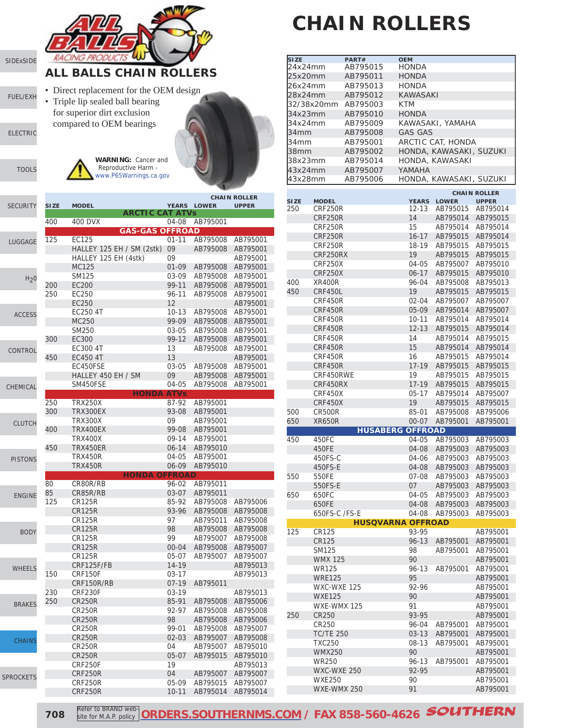

# **CHAIN ROLLERS**

| <b>SIZE</b>      |                  | PART#                    | <b>OEM</b>      |                         |                     |
|------------------|------------------|--------------------------|-----------------|-------------------------|---------------------|
| 24x24mm          |                  | AB795015                 | HONDA           |                         |                     |
| 25x20mm          |                  | AB795011                 | HONDA           |                         |                     |
| 26x24mm          |                  | AB795013                 | HONDA           |                         |                     |
| 28x24mm          |                  | AB795012                 | <b>KAWASAKI</b> |                         |                     |
| 32/38x20mm       |                  | AB795003                 | KTM             |                         |                     |
|                  |                  |                          |                 |                         |                     |
| 34x23mm          |                  | AB795010                 | <b>HONDA</b>    |                         |                     |
| 34x24mm          |                  | AB795009                 |                 | KAWASAKI, YAMAHA        |                     |
| 34mm             |                  | AB795008                 | <b>GAS GAS</b>  |                         |                     |
| 34 <sub>mm</sub> |                  | AB795001                 |                 | ARCTIC CAT, HONDA       |                     |
| 38mm             |                  | AB795002                 |                 | HONDA, KAWASAKI, SUZUKI |                     |
| 38x23mm          |                  | AB795014                 |                 |                         |                     |
|                  |                  |                          |                 | HONDA, KAWASAKI         |                     |
| 43x24mm          |                  | AB795007                 | YAMAHA          |                         |                     |
| 43x28mm          |                  | AB795006                 |                 | HONDA, KAWASAKI, SUZUKI |                     |
|                  |                  |                          |                 |                         | <b>CHAIN ROLLER</b> |
| <b>SIZE</b>      | <b>MODEL</b>     |                          | <b>YEARS</b>    | <b>LOWER</b>            | <b>UPPER</b>        |
| 250              | CRF250R          |                          | 12-13           | AB795015 AB795014       |                     |
|                  | CRF250R          |                          | 14              | AB795014                | AB795015            |
|                  |                  |                          |                 |                         |                     |
|                  | CRF250R          |                          | 15              | AB795014                | AB795014            |
|                  | <b>CRF250R</b>   |                          | $16 - 17$       | AB795015                | AB795014            |
|                  | <b>CRF250R</b>   |                          | 18-19           | AB795015                | AB795015            |
|                  | CRF250RX         |                          | 19              | AB795015                | AB795015            |
|                  | CRF250X          |                          | 04-05           | AB795007                | AB795010            |
|                  | <b>CRF250X</b>   |                          | $06 - 17$       | AB795015                | AB795010            |
| 400              | XR400R           |                          | 96-04           | AB795008                | AB795013            |
| 450              | CRF450L          |                          | 19              | AB795015                | AB795015            |
|                  |                  |                          |                 |                         |                     |
|                  | <b>CRF450R</b>   |                          | 02-04           | AB795007                | AB795007            |
|                  | CRF450R          |                          | 05-09           | AB795014                | AB795007            |
|                  | CRF450R          |                          | 10-11           | AB795014                | AB795014            |
|                  | CRF450R          |                          | $12 - 13$       | AB795015                | AB795014            |
|                  | CRF450R          |                          | 14              | AB795014                | AB795015            |
|                  | CRF450R          |                          | 15              | AB795014                | AB795014            |
|                  | CRF450R          |                          | 16              | AB795015                | AB795014            |
|                  |                  |                          |                 |                         |                     |
|                  | CRF450R          |                          | 17-19           | AB795015                | AB795015            |
|                  | CRF450RWE        |                          | 19              | AB795015                | AB795015            |
|                  | CRF450RX         |                          | 17-19           | AB795015                | AB795015            |
|                  | CRF450X          |                          | $05-17$         | AB795014                | AB795007            |
|                  | CRF450X          |                          | 19              | AB795015                | AB795015            |
| 500              | <b>CR500R</b>    |                          | 85-01           | AB795008                | AB795006            |
| 650              | <b>XR650R</b>    |                          | $00 - 07$       | AB795001                | AB795001            |
|                  |                  | <b>HUSABERG OFFROAD</b>  |                 |                         |                     |
| 450              |                  |                          |                 | AB795003                |                     |
|                  | 450FC            |                          | 04-05           |                         | AB795003            |
|                  | 450FE            |                          | 04-08           | AB795003                | AB795003            |
|                  | 450FS-C          |                          | 04-06           | AB795003                | AB795003            |
|                  | 450FS-E          |                          |                 | 04-08 AB795003 AB795003 |                     |
| 550              | 550FE            |                          | 07-08           | AB795003                | AB795003            |
|                  | 550FS-E          |                          | 07              | AB795003                | AB795003            |
| 650              | 650FC            |                          | 04-05           | AB795003                | AB795003            |
|                  | 650FE            |                          | 04-08           | AB795003                | AB795003            |
|                  |                  |                          |                 |                         |                     |
|                  | 650FS-C /FS-E    |                          | 04-08           | AB795003                | AB795003            |
|                  |                  | <b>HUSQVARNA OFFROAD</b> |                 |                         |                     |
| 125              | CR125            |                          | 93-95           |                         | AB795001            |
|                  | CR125            |                          | $96 - 13$       | AB795001                | AB795001            |
|                  | SM125            |                          | 98              | AB795001                | AB795001            |
|                  | <b>WMX 125</b>   |                          | 90              |                         | AB795001            |
|                  | <b>WR125</b>     |                          | 96-13           | AB795001                | AB795001            |
|                  |                  |                          |                 |                         |                     |
|                  | <b>WRE125</b>    |                          | 95              |                         | AB795001            |
|                  | WXC-WXE 125      |                          | 92-96           |                         | AB795001            |
|                  | <b>WXE125</b>    |                          | 90              |                         | AB795001            |
|                  | WXE-WMX 125      |                          | 91              |                         | AB795001            |
| 250              | CR250            |                          | 93-95           |                         | AB795001            |
|                  | CR250            |                          | 96-04           | AB795001                | AB795001            |
|                  | <b>TC/TE 250</b> |                          | $03-13$         | AB795001                | AB795001            |
|                  | <b>TXC250</b>    |                          | 08-13           | AB795001                | AB795001            |
|                  | <b>WMX250</b>    |                          | 90              |                         | AB795001            |
|                  |                  |                          |                 |                         |                     |
|                  | <b>WR250</b>     |                          | 96-13           | AB795001                | AB795001            |
|                  | WXC-WXE 250      |                          | 92-95           |                         | AB795001            |
|                  | <b>WXE250</b>    |                          | 90              |                         | AB795001            |
|                  | WXE-WMX 250      |                          | 91              |                         | AB795001            |

**708** Refer to BRAND web Refer to BRAND web-**[ORDERS.SOUTHERNMS.COM](http://orders.southernms.com) / FAX 858-560-4626** SOUTHERN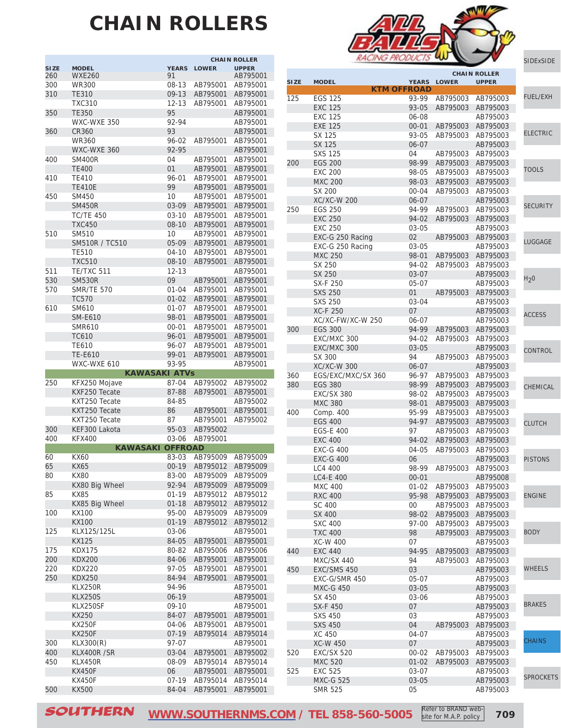## **CHAIN ROLLERS**

|             |                      |                |              | <b>CHAIN ROLLER</b> |
|-------------|----------------------|----------------|--------------|---------------------|
| <b>SIZE</b> | <b>MODEL</b>         | <b>YEARS</b>   | <b>LOWER</b> | <b>UPPER</b>        |
| 260         | <b>WXE260</b>        | 91             |              | AB795001            |
| 300         | <b>WR300</b>         | 08-13          | AB795001     | AB795001            |
| 310         | <b>TE310</b>         | $09-13$        | AB795001     | AB795001            |
|             | <b>TXC310</b>        | $12 - 13$      | AB795001     | AB795001            |
| 350         | <b>TE350</b>         | 95             |              | AB795001            |
|             | WXC-WXE 350          | 92-94          |              | AB795001            |
| 360         | <b>CR360</b>         | 93             |              | AB795001            |
|             | <b>WR360</b>         | 96-02          | AB795001     | AB795001            |
|             |                      | 92-95          |              | AB795001            |
|             | WXC-WXE 360          |                |              |                     |
| 400         | <b>SM400R</b>        | 04             | AB795001     | AB795001            |
|             | <b>TE400</b>         | 01             | AB795001     | AB795001            |
| 410         | TE410                | 96-01          | AB795001     | AB795001            |
|             | <b>TE410E</b>        | 99             | AB795001     | AB795001            |
| 450         | <b>SM450</b>         | 10             | AB795001     | AB795001            |
|             | <b>SM450R</b>        | 03-09          | AB795001     | AB795001            |
|             | <b>TC/TE 450</b>     | $03 - 10$      | AB795001     | AB795001            |
|             | <b>TXC450</b>        | $08 - 10$      | AB795001     | AB795001            |
| 510         | SM510                | 10             | AB795001     | AB795001            |
|             | SM510R / TC510       | 05-09          | AB795001     | AB795001            |
|             | <b>TE510</b>         | 04-10          | AB795001     | AB795001            |
|             | <b>TXC510</b>        | 08-10          | AB795001     | AB795001            |
| 511         | TE/TXC 511           | $12 - 13$      |              | AB795001            |
|             |                      | 09             |              |                     |
| 530         | <b>SM530R</b>        |                | AB795001     | AB795001            |
| 570         | <b>SMR/TE 570</b>    | $01 - 04$      | AB795001     | AB795001            |
|             | <b>TC570</b>         | $01 - 02$      | AB795001     | AB795001            |
| 610         | SM610                | $01 - 07$      | AB795001     | AB795001            |
|             | <b>SM-E610</b>       | 98-01          | AB795001     | AB795001            |
|             | <b>SMR610</b>        | $00 - 01$      | AB795001     | AB795001            |
|             | <b>TC610</b>         | 96-01          | AB795001     | AB795001            |
|             | <b>TE610</b>         | 96-07          | AB795001     | AB795001            |
|             | <b>TE-E610</b>       | 99-01          | AB795001     | AB795001            |
|             | WXC-WXE 610          | 93-95          |              | AB795001            |
|             | <b>KAWASAKI ATVs</b> |                |              |                     |
|             |                      |                |              |                     |
| 250         |                      | 87-04          | AB795002     | AB795002            |
|             | KFX250 Mojave        |                |              |                     |
|             | KXF250 Tecate        | 87-88          | AB795001     | AB795001            |
|             | KXT250 Tecate        | 84-85          |              | AB795002            |
|             | KXT250 Tecate        | 86             | AB795001     | AB795001            |
|             | KXT250 Tecate        | 87             | AB795001     | AB795002            |
| 300         | KEF300 Lakota        | 95-03          | AB795002     |                     |
| 400         | <b>KFX400</b>        | 03-06          | AB795001     |                     |
|             | <b>KAWASAKI</b>      | <b>OFFROAD</b> |              |                     |
| 60          | KX60                 | 83-03          | AB795009     | AB795009            |
| 65          | KX65                 | $00 - 19$      | AB795012     | AB795009            |
| 80          | <b>KX80</b>          | 83-00          | AB795009     | AB795009            |
|             | KX80 Big Wheel       | 92-94          | AB795009     | AB795009            |
| 85          | <b>KX85</b>          | $01 - 19$      | AB795012     | AB795012            |
|             | KX85 Big Wheel       | $01 - 18$      | AB795012     | AB795012            |
| 100         | <b>KX100</b>         | 95-00          | AB795009     | AB795009            |
|             | <b>KX100</b>         |                | AB795012     | AB795012            |
|             |                      | $01 - 19$      |              |                     |
| 125         | KLX125/125L          | 03-06          |              | AB795001            |
|             | <b>KX125</b>         | 84-05          | AB795001     | AB795001            |
| 175         | <b>KDX175</b>        | 80-82          | AB795006     | AB795006            |
| 200         | <b>KDX200</b>        | 84-06          | AB795001     | AB795001            |
| 220         | <b>KDX220</b>        | 97-05          | AB795001     | AB795001            |
| 250         | <b>KDX250</b>        | 84-94          | AB795001     | AB795001            |
|             | <b>KLX250R</b>       | 94-96          |              | AB795001            |
|             | <b>KLX250S</b>       | 06-19          |              | AB795001            |
|             | KLX250SF             | 09-10          |              | AB795001            |
|             | KX250                | 84-07          | AB795001     | AB795001            |
|             | <b>KX250F</b>        | 04-06          | AB795001     | AB795001            |
|             | <b>KX250F</b>        | $07 - 19$      | AB795014     | AB795014            |
| 300         | KLX300(R)            | 97-07          |              | AB795001            |
| 400         | KLX400R /SR          | 03-04          | AB795001     | AB795002            |
| 450         | KLX450R              | 08-09          | AB795014     | AB795014            |
|             | <b>KX450F</b>        | 06             | AB795001     | AB795001            |
|             | KX450F               | 07-19          | AB795014     | AB795014            |



**CHAIN ROLLER**

| <b>SIZE</b> | <b>MODEL</b>                        | <b>YEARS</b>       | <b>LOWER</b>         | <b>UPPER</b>         |                  |
|-------------|-------------------------------------|--------------------|----------------------|----------------------|------------------|
|             |                                     | <b>KTM OFFROAD</b> |                      |                      |                  |
| 125         | <b>EGS 125</b>                      | 93-99              | AB795003             | AB795003             | <b>FUEL/EXH</b>  |
|             | <b>EXC 125</b>                      | 93-05              | AB795003             | AB795003             |                  |
|             | <b>EXC 125</b>                      | 06-08              |                      | AB795003             |                  |
|             | <b>EXE 125</b>                      | $00 - 01$          | AB795003             | AB795003             |                  |
|             | SX 125                              | 93-05              | AB795003             | AB795003             | <b>ELECTRIC</b>  |
|             | <b>SX 125</b>                       | 06-07              |                      | AB795003             |                  |
|             | <b>SXS 125</b>                      | 04                 | AB795003             | AB795003             |                  |
| 200         | <b>EGS 200</b>                      | 98-99              | AB795003             | AB795003             | <b>TOOLS</b>     |
|             | <b>EXC 200</b>                      | 98-05              | AB795003             | AB795003             |                  |
|             | <b>MXC 200</b>                      | 98-03              | AB795003             | AB795003             |                  |
|             | SX 200<br><b>XC/XC-W 200</b>        | $00 - 04$<br>06-07 | AB795003             | AB795003<br>AB795003 |                  |
| 250         | <b>EGS 250</b>                      | 94-99              | AB795003             | AB795003             | <b>SECURITY</b>  |
|             | <b>EXC 250</b>                      | 94-02              | AB795003             | AB795003             |                  |
|             | <b>EXC 250</b>                      | 03-05              |                      | AB795003             |                  |
|             | EXC-G 250 Racing                    | 02                 | AB795003             | AB795003             |                  |
|             | EXC-G 250 Racing                    | 03-05              |                      | AB795003             | LUGGAGE          |
|             | <b>MXC 250</b>                      | 98-01              | AB795003             | AB795003             |                  |
|             | SX 250                              | 94-02              | AB795003             | AB795003             |                  |
|             | SX 250                              | $03 - 07$          |                      | AB795003             |                  |
|             | SX-F 250                            | 05-07              |                      | AB795003             | H <sub>2</sub> 0 |
|             | <b>SXS 250</b>                      | 01                 | AB795003             | AB795003             |                  |
|             | <b>SXS 250</b>                      | 03-04              |                      | AB795003             |                  |
|             | <b>XC-F 250</b>                     | 07                 |                      | AB795003             | <b>ACCESS</b>    |
|             | XC/XC-FW/XC-W 250                   | 06-07              |                      | AB795003             |                  |
| 300         | <b>EGS 300</b>                      | 94-99              | AB795003             | AB795003             |                  |
|             | EXC/MXC 300                         | 94-02              | AB795003             | AB795003             |                  |
|             | EXC/MXC 300                         | $03 - 05$          |                      | AB795003             | CONTROL          |
|             | SX 300                              | 94                 | AB795003             | AB795003             |                  |
|             | <b>XC/XC-W 300</b>                  | 06-07              |                      | AB795003             |                  |
| 360         | EGS/EXC/MXC/SX 360                  | 96-97              | AB795003             | AB795003             |                  |
| 380         | <b>EGS 380</b>                      | 98-99              | AB795003             | AB795003             | CHEMICAL         |
|             | <b>EXC/SX 380</b>                   | 98-02              | AB795003             | AB795003             |                  |
|             | <b>MXC 380</b>                      | 98-01              | AB795003             | AB795003             |                  |
| 400         | Comp. 400                           | 95-99              | AB795003             | AB795003             |                  |
|             | <b>EGS 400</b>                      | 94-97              | AB795003             | AB795003             | <b>CLUTCH</b>    |
|             | <b>EGS-E 400</b><br><b>EXC 400</b>  | 97<br>94-02        | AB795003<br>AB795003 | AB795003<br>AB795003 |                  |
|             | <b>EXC-G 400</b>                    | 04-05              | AB795003             | AB795003             |                  |
|             | <b>EXC-G 400</b>                    | 06                 |                      | AB795003             | <b>PISTONS</b>   |
|             | LC4 400                             | 98-99              | AB795003             | AB795003             |                  |
|             | LC4-E 400                           | $00 - 01$          |                      | AB795008             |                  |
|             | <b>MXC 400</b>                      | $01 - 02$          | AB795003             | AB795003             |                  |
|             | <b>RXC 400</b>                      | 95-98              | AB795003             | AB795003             | <b>ENGINE</b>    |
|             | SC 400                              | 00                 | AB795003             | AB795003             |                  |
|             | SX 400                              | 98-02              | AB795003             | AB795003             |                  |
|             | <b>SXC 400</b>                      | 97-00              | AB795003             | AB795003             |                  |
|             | <b>TXC 400</b>                      | 98                 | AB795003             | AB795003             | <b>BODY</b>      |
|             | <b>XC-W 400</b>                     | 07                 |                      | AB795003             |                  |
| 440         | <b>EXC 440</b>                      | 94-95              | AB795003             | AB795003             |                  |
|             | <b>MXC/SX 440</b>                   | 94                 | AB795003             | AB795003             |                  |
| 450         | EXC/SMS 450                         | 03                 |                      | AB795003             | <b>WHEELS</b>    |
|             | EXC-G/SMR 450                       | 05-07              |                      | AB795003             |                  |
|             | <b>MXC-G 450</b>                    | 03-05              |                      | AB795003             |                  |
|             | SX 450                              | 03-06              |                      | AB795003             | <b>BRAKES</b>    |
|             | SX-F 450                            | 07                 |                      | AB795003             |                  |
|             | <b>SXS 450</b>                      | 03                 |                      | AB795003             |                  |
|             | <b>SXS 450</b>                      | 04                 | AB795003             | AB795003             |                  |
|             | XC 450                              | 04-07              |                      | AB795003             | <b>CHAINS</b>    |
|             | <b>XC-W 450</b>                     | 07<br>$00 - 02$    |                      | AB795003             |                  |
| 520         | <b>EXC/SX 520</b><br><b>MXC 520</b> | $01 - 02$          | AB795003<br>AB795003 | AB795003<br>AB795003 |                  |
| 525         | <b>EXC 525</b>                      | 03-07              |                      | AB795003             |                  |
|             | <b>MXC-G 525</b>                    | 03-05              |                      | AB795003             | <b>SPROCKETS</b> |
|             | <b>SMR 525</b>                      | 05                 |                      | AB795003             |                  |
|             |                                     |                    |                      |                      |                  |

SOUTHERN **[WWW.SOUTHERNMS.COM](http://m.southernms.com) / TEL 858-560-5005 709** Refer to BRAND website for M.A.P. policy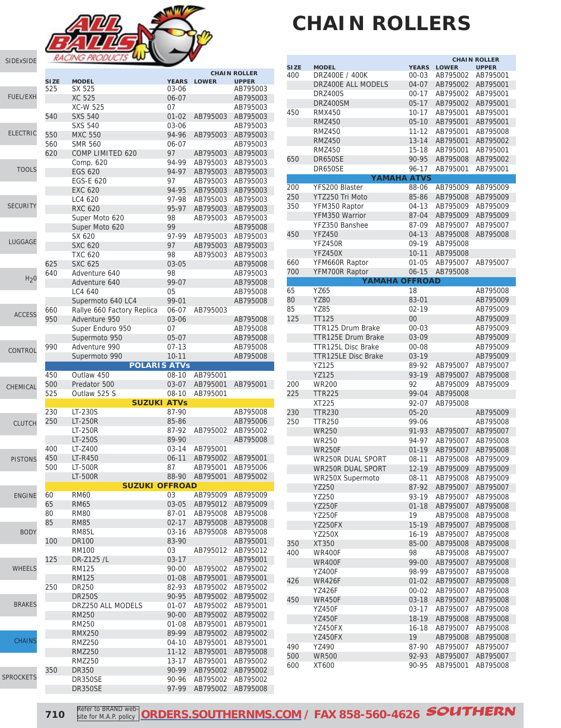

[SIDExSIDE](http://www.southernms.com/wp-content/uploads/2015/08/01_UTV.pdf)

|                  |                    |                                                 |                       |                      | <b>CHAIN ROLLER</b>      |
|------------------|--------------------|-------------------------------------------------|-----------------------|----------------------|--------------------------|
|                  | <b>SIZE</b><br>525 | <b>MODEL</b><br>SX 525                          | <b>YEARS</b><br>03-06 | <b>LOWER</b>         | <b>UPPER</b><br>AB795003 |
| <b>FUEL/EXH</b>  |                    | <b>XC 525</b>                                   | $06 - 07$             |                      | AB795003                 |
|                  |                    | <b>XC-W 525</b>                                 | 07                    |                      | AB795003                 |
|                  | 540                | <b>SXS 540</b>                                  | $01 - 02$             | AB795003             | AB795003                 |
|                  |                    | <b>SXS 540</b>                                  | 03-06                 |                      | AB795003                 |
| <b>ELECTRIC</b>  | 550                | <b>MXC 550</b>                                  | 94-96                 | AB795003             | AB795003                 |
|                  | 560                | <b>SMR 560</b>                                  | 06-07                 |                      | AB795003                 |
|                  | 620                | COMP LIMITED 620                                | 97                    | AB795003             | AB795003                 |
|                  |                    | Comp. 620                                       | 94-99                 | AB795003             | AB795003                 |
| <b>TOOLS</b>     |                    | <b>EGS 620</b>                                  | 94-97                 | AB795003             | AB795003                 |
|                  |                    | EGS-E 620                                       | 97                    | AB795003             | AB795003                 |
|                  |                    | <b>EXC 620</b>                                  | 94-95                 | AB795003             | AB795003                 |
|                  |                    | LC4 620                                         | 97-98                 | AB795003             | AB795003                 |
| <b>SECURITY</b>  |                    | <b>RXC 620</b>                                  | 95-97                 | AB795003             | AB795003                 |
|                  |                    | Super Moto 620                                  | 98                    | AB795003             | AB795003                 |
|                  |                    | Super Moto 620                                  | 99                    |                      | AB795008                 |
| LUGGAGE          |                    | SX 620                                          | 97-99                 | AB795003             | AB795003                 |
|                  |                    | <b>SXC 620</b>                                  | 97                    | AB795003             | AB795003                 |
|                  |                    | <b>TXC 620</b>                                  | 98                    | AB795003             | AB795003                 |
|                  | 625                | <b>SXC 625</b>                                  | 03-05                 |                      | AB795008                 |
| H <sub>2</sub> 0 | 640                | Adventure 640                                   | 98                    |                      | AB795003                 |
|                  |                    | Adventure 640                                   | 99-07                 |                      | AB795008                 |
|                  |                    | LC4 640                                         | 05                    |                      | AB795008                 |
|                  |                    | Supermoto 640 LC4<br>Rallye 660 Factory Replica | 99-01<br>06-07        |                      | AB795008                 |
| <b>ACCESS</b>    | 660<br>950         | Adventure 950                                   | 03-06                 | AB795003             | AB795008                 |
|                  |                    | Super Enduro 950                                | 07                    |                      | AB795008                 |
|                  |                    | Supermoto 950                                   | $05 - 07$             |                      | AB795008                 |
|                  | 990                | Adventure 990                                   | $07-13$               |                      | AB795008                 |
| CONTROL          |                    | Supermoto 990                                   | $10 - 11$             |                      | AB795008                 |
|                  |                    | <b>POLARIS ATVS</b>                             |                       |                      |                          |
|                  | 450                | Outlaw 450                                      | $08 - 10$             | AB795001             |                          |
|                  |                    |                                                 |                       |                      |                          |
| CHEMICAL         | 500                | Predator 500                                    | 03-07                 | AB795001             | AB795001                 |
|                  | 525                | Outlaw 525 S                                    | $08 - 10$             | AB795001             |                          |
|                  |                    | <b>SUZUKI ATVS</b>                              |                       |                      |                          |
|                  | 230                | LT-230S                                         | 87-90                 |                      | AB795008                 |
| <b>CLUTCH</b>    | 250                | <b>LT-250R</b>                                  | 85-86                 |                      | AB795006                 |
|                  |                    | <b>LT-250R</b>                                  | 87-92                 | AB795002             | AB795002                 |
|                  |                    | LT-250S                                         | 89-90                 |                      | AB795008                 |
|                  | 400                | LT-Z400                                         | $03 - 14$             | AB795001             |                          |
| <b>PISTONS</b>   | 450                | LT-R450                                         | $06 - 11$             | AB795002             | AB795001                 |
|                  | 500                | LT-500R                                         | 87<br>88-90           | AB795001             | AB795006<br>AB795002     |
|                  |                    | <b>LT-500R</b><br>SUZUKI OFFROAD                |                       | AB795001             |                          |
| <b>ENGINE</b>    | 60                 | <b>RM60</b>                                     | 03                    | AB795009             | AB795009                 |
|                  | 65                 | <b>RM65</b>                                     | 03-05                 | AB795012             | AB795009                 |
|                  | 80                 | <b>RM80</b>                                     | 87-01                 | AB795008             | AB795008                 |
|                  | 85                 | <b>RM85</b>                                     | $02 - 17$             | AB795008             | AB795008                 |
| <b>BODY</b>      |                    | <b>RM85L</b>                                    | 03-16                 | AB795008             | AB795008                 |
|                  | 100                | <b>DR100</b>                                    | 83-90                 |                      | AB795001                 |
|                  |                    | <b>RM100</b>                                    | 03                    | AB795012             | AB795012                 |
|                  | 125                | DR-Z125 /L                                      | $03 - 17$             |                      | AB795001                 |
| <b>WHEELS</b>    |                    | <b>RM125</b>                                    | 90-00                 | AB795002             | AB795002                 |
|                  |                    | <b>RM125</b>                                    | $01 - 08$             | AB795001             | AB795001                 |
|                  | 250                | DR250                                           | 82-93                 | AB795002             | AB795002                 |
|                  |                    | <b>DR250S</b>                                   | 90-95                 | AB795002             | AB795002                 |
| <b>BRAKES</b>    |                    | DRZ250 ALL MODELS                               | 01-07                 | AB795002             | AB795001                 |
|                  |                    | <b>RM250</b>                                    | $90 - 00$             | AB795002             | AB795002                 |
|                  |                    | <b>RM250</b>                                    | $01 - 08$             | AB795001             | AB795001                 |
| <b>CHAINS</b>    |                    | <b>RMX250</b>                                   | 89-99                 | AB795002             | AB795002                 |
|                  |                    | <b>RMZ250</b>                                   | 04-10                 | AB795001             | AB795001                 |
|                  |                    | <b>RMZ250</b>                                   | $11 - 12$             | AB795001             | AB795008                 |
|                  | 350                | <b>RMZ250</b><br><b>DR350</b>                   | $13 - 17$<br>90-99    | AB795001<br>AB795002 | AB795002<br>AB795002     |
| <b>SPROCKETS</b> |                    | DR350SE                                         | 90-96                 | AB795002             | AB795002                 |

# **CHAIN ROLLERS**

|             |                            |              |              | <b>CHAIN ROLLER</b> |
|-------------|----------------------------|--------------|--------------|---------------------|
| <b>SIZE</b> | <b>MODEL</b>               | <b>YEARS</b> | <b>LOWER</b> | <b>UPPER</b>        |
| 400         | DRZ400E / 400K             | $00 - 03$    | AB795002     | AB795001            |
|             | DRZ400E ALL MODELS         | 04-07        | AB795002     | AB795001            |
|             | <b>DRZ400S</b>             | $00 - 17$    | AB795002     | AB795001            |
|             | DRZ400SM                   | $05-17$      | AB795002     | AB795001            |
| 450         | <b>RMX450</b>              | $10 - 17$    | AB795001     | AB795001            |
|             | <b>RMZ450</b>              | $05-10$      | AB795001     | AB795001            |
|             | <b>RMZ450</b>              | $11 - 12$    | AB795001     | AB795008            |
|             | <b>RMZ450</b>              | $13 - 14$    | AB795001     | AB795002            |
|             | <b>RMZ450</b>              | $15-18$      | AB795001     | AB795001            |
| 650         | <b>DR650SE</b>             | 90-95        | AB795008     | AB795002            |
|             | DR650SE                    | 96-17        | AB795001     | AB795001            |
|             | YAMAHA ATVS                |              |              |                     |
| 200         | YFS200 Blaster             | 88-06        | AB795009     | AB795009            |
| 250         | YTZ250 Tri Moto            | 85-86        | AB795008     | AB795009            |
| 350         | YFM350 Raptor              | 04-13        | AB795009     | AB795009            |
|             | YFM350 Warrior             | 87-04        | AB795009     | AB795009            |
|             | YFZ350 Banshee             | 87-09        | AB795007     | AB795007            |
| 450         | <b>YFZ450</b>              | $04 - 13$    | AB795008     | AB795008            |
|             | <b>YFZ450R</b>             | 09-19        | AB795008     |                     |
|             | <b>YFZ450X</b>             | $10 - 11$    | AB795008     |                     |
| 660         | YFM660R Raptor             | $01 - 05$    | AB795007     | AB795007            |
| 700         | YFM700R Raptor             | $06 - 15$    | AB795008     |                     |
|             | <b>YAMAHA OFFROAD</b>      |              |              |                     |
| 65          | YZ65                       | 18           |              | AB795008            |
| 80          | <b>YZ80</b>                | 83-01        |              | AB795009            |
| 85          | <b>YZ85</b>                | $02 - 19$    |              | AB795009            |
| 125         | <b>TT125</b>               | 00           |              | AB795009            |
|             | TTR125 Drum Brake          | $00 - 03$    |              | AB795009            |
|             | <b>TTR125E Drum Brake</b>  | 03-09        |              | AB795009            |
|             | <b>TTR125L Disc Brake</b>  | $00 - 08$    |              | AB795009            |
|             | <b>TTR125LE Disc Brake</b> | 03-19        |              | AB795009            |
|             | YZ125                      | 89-92        | AB795007     | AB795007            |
|             | <b>YZ125</b>               | 93-19        | AB795007     | AB795008            |
| 200         | <b>WR200</b>               | 92           | AB795009     | AB795009            |
| 225         | <b>TTR225</b>              | 99-04        | AB795008     |                     |
|             | XT225                      | 92-07        | AB795008     |                     |
| 230         | <b>TTR230</b>              | $05 - 20$    |              | AB795009            |
| 250         | <b>TTR250</b>              | 99-06        |              | AB795008            |
|             | <b>WR250</b>               | 91-93        | AB795007     | AB795007            |
|             | <b>WR250</b>               | 94-97        | AB795007     | AB795008            |
|             | <b>WR250F</b>              | $01 - 19$    | AB795007     | AB795008            |
|             | <b>WR250R DUAL SPORT</b>   | $08-11$      | AB795008     | AB795009            |
|             | <b>WR250R DUAL SPORT</b>   | $12 - 19$    | AB795009     | AB795009            |
|             | WR250X Supermoto           | $08 - 11$    | AB795008     | AB795009            |
|             | <b>YZ250</b>               | 87-92        | AB795007     | AB795007            |
|             | YZ250                      | 93-19        | AB795007     | AB795008            |
|             | <b>YZ250F</b>              | $01 - 18$    | AB795007     | AB795008            |
|             | <b>YZ250F</b>              | 19           | AB795008     | AB795008            |
|             | YZ250FX                    | $15 - 19$    | AB795007     | AB795008            |
|             | <b>YZ250X</b>              | 16-19        | AB795007     | AB795008            |
| 350         | XT350                      | 85-00        | AB795008     | AB795008            |
| 400         | <b>WR400F</b>              | 98           | AB795008     | AB795007            |
|             | <b>WR400F</b>              | 99-00        | AB795007     | AB795008            |
|             | <b>YZ400F</b>              | 98-99        | AB795007     | AB795008            |
| 426         | <b>WR426F</b>              | $01 - 02$    | AB795007     | AB795008            |
|             | <b>YZ426F</b>              | 00-02        | AB795007     | AB795008            |
| 450         | <b>WR450F</b>              | $03-18$      | AB795007     | AB795008            |
|             | <b>YZ450F</b>              | $03 - 17$    | AB795007     | AB795008            |
|             | <b>YZ450F</b>              | 18-19        | AB795008     | AB795008            |
|             | YZ450FX                    | $16 - 18$    | AB795007     | AB795008            |
|             | YZ450FX                    | 19           | AB795008     | AB795008            |
| 490         | YZ490                      | 87-90        | AB795007     | AB795007            |
| 500         | <b>WR500</b>               | 92-93        | AB795007     | AB795007            |
| 600         | XT600                      | 90-95        | AB795001     | AB795008            |
|             |                            |              |              |                     |

**710** Refer to BRAND web **[ORDERS.SOUTHERNMS.COM](http://orders.southernms.com) / FAX 858-560-4626 SOUTHERN**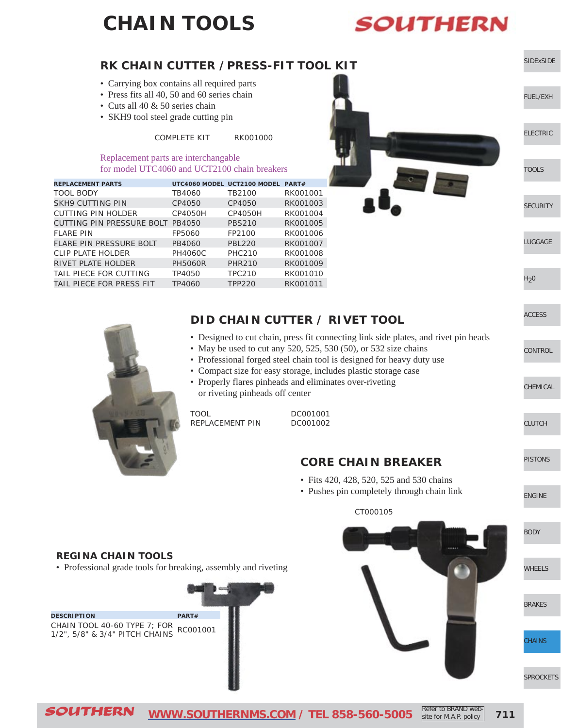### **CHAIN TOOLS**



site for M.A.P. policy

#### SOUTHERN **[WWW.SOUTHERNMS.COM](http://m.southernms.com) / TEL 858-560-5005 711** [SIDExSIDE](http://www.southernms.com/wp-content/uploads/2015/08/01_UTV.pdf) [ELECTRIC](http://www.southernms.com/wp-content/uploads/2015/08/03_electrical.pdf) [FUEL/EXH](http://www.southernms.com/wp-content/uploads/2015/08/02_fuel_exh.pdf) [LUGGAGE](http://www.southernms.com/wp-content/uploads/2015/08/06_lugg.pdf) **[SECURITY](http://www.southernms.com/wp-content/uploads/2015/08/05_locks.pdf)** [TOOLS](http://www.southernms.com/wp-content/uploads/2015/08/04_tools.pdf)  $H<sub>2</sub>0$ **[CONTROL](http://www.southernms.com/wp-content/uploads/2015/08/09_controls.pdf)** [ACCESS](http://www.southernms.com/wp-content/uploads/2015/08/08_accessories.pdf) [PISTONS](http://www.southernms.com/wp-content/uploads/2015/08/12_pistons.pdf) [CLUTCH](http://www.southernms.com/wp-content/uploads/2015/08/11_clutch.pdf) [CHEMICAL](http://www.southernms.com/wp-content/uploads/2015/08/10_chemicals.pdf) [ENGINE](http://www.southernms.com/wp-content/uploads/2015/08/13_engine.pdf) [WHEELS](http://www.southernms.com/wp-content/uploads/2015/08/15_wheel.pdf) [BODY](http://www.southernms.com/wp-content/uploads/2015/08/14_body.pdf) [SPROCKETS](http://www.southernms.com/wp-content/uploads/2015/08/18_sprockets.pdf) **HAINS** [BRAKES](http://www.southernms.com/wp-content/uploads/2015/08/16_brakes.pdf) Refer to BRAND web-**REGINA CHAIN TOOLS** • Professional grade tools for breaking, assembly and riveting **DESCRIPTION PART#** CHAIN TOOL 40-60 TYPE 7; FOR CHAIN TOOL 40-60 TYPE 7; FOR RC001001<br>1/2", 5/8" & 3/4" PITCH CHAINS **RK CHAIN CUTTER /PRESS-FIT TOOL KIT** • Carrying box contains all required parts • Press fits all 40, 50 and 60 series chain • Cuts all 40 & 50 series chain • SKH9 tool steel grade cutting pin COMPLETE KIT RK001000 Replacement parts are interchangable for model UTC4060 and UCT2100 chain breakers **DID CHAIN CUTTER / RIVET TOOL** • Designed to cut chain, press fit connecting link side plates, and rivet pin heads • May be used to cut any 520, 525, 530 (50), or 532 size chains • Professional forged steel chain tool is designed for heavy duty use • Compact size for easy storage, includes plastic storage case • Properly flares pinheads and eliminates over-riveting or riveting pinheads off center TOOL DC001001 REPLACEMENT PIN DC001002 **CORE CHAIN BREAKER** • Fits 420, 428, 520, 525 and 530 chains • Pushes pin completely through chain link CT000105 **REPLACEMENT PARTS UTC4060 MODEL UCT2100 MODEL PART#** TOOL BODY TB4060 TB2100 RK001001 SKH9 CUTTING PIN CP4050 CP4050 RK001003 CUTTING PIN HOLDER CP4050H CP4050H RK001004 CUTTING PIN PRESSURE BOLT PB4050 PBS210 RK001005 FLARE PIN FP5060 FP2100 RK001006 FLARE PIN PRESSURE BOLT PB4060 PBL220 RK001007 CLIP PLATE HOLDER PH4060C PHC210 RK001008 RIVET PLATE HOLDER PH5060R PHR210 RK001009 TAIL PIECE FOR CUTTING TP4050 TPC210 RK001010 TAIL PIECE FOR PRESS FIT TP4060 TPP220 RK001011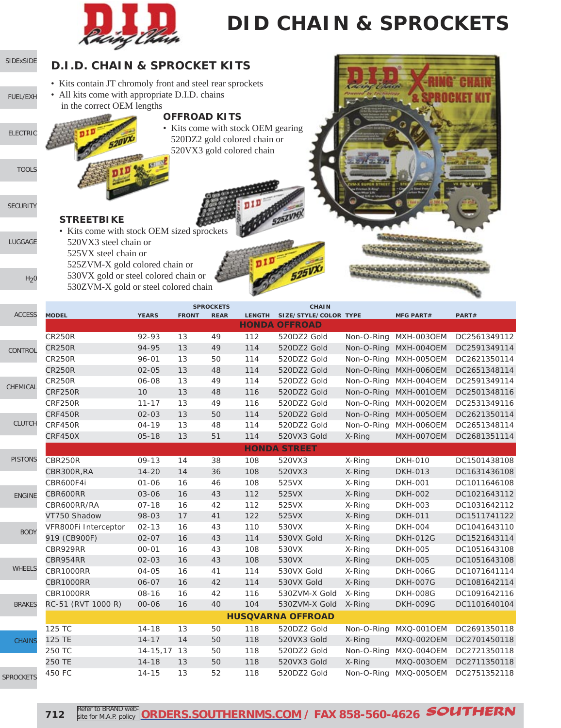

# **DID CHAIN & SPROCKETS**

| SIDExSIDE        | <b>D.I.D. CHAIN &amp; SPROCKET KITS</b>                                                                                                   |              |                     |                                 |                                                                                                 |                                              |            |                       |              |
|------------------|-------------------------------------------------------------------------------------------------------------------------------------------|--------------|---------------------|---------------------------------|-------------------------------------------------------------------------------------------------|----------------------------------------------|------------|-----------------------|--------------|
| FUEL/EXH         | • Kits contain JT chromoly front and steel rear sprockets<br>• All kits come with appropriate D.I.D. chains<br>in the correct OEM lengths |              | <b>OFFROAD KITS</b> |                                 |                                                                                                 |                                              |            |                       |              |
| <b>ELECTRIC</b>  |                                                                                                                                           |              |                     |                                 | • Kits come with stock OEM gearing<br>520DZ2 gold colored chain or<br>520VX3 gold colored chain |                                              |            |                       |              |
| <b>TOOLS</b>     |                                                                                                                                           |              |                     |                                 |                                                                                                 |                                              |            |                       |              |
| <b>SECURITY</b>  | <b>STREETBIKE</b><br>• Kits come with stock OEM sized sprockets                                                                           |              |                     |                                 |                                                                                                 |                                              |            |                       |              |
| LUGGAGE          | 520VX3 steel chain or<br>525 VX steel chain or<br>525ZVM-X gold colored chain or                                                          |              |                     |                                 |                                                                                                 |                                              |            |                       |              |
| H <sub>2</sub> 0 | 530VX gold or steel colored chain or<br>530ZVM-X gold or steel colored chain                                                              |              |                     |                                 |                                                                                                 |                                              |            |                       |              |
| <b>ACCESS</b>    | <b>MODEL</b>                                                                                                                              | <b>YEARS</b> | <b>FRONT</b>        | <b>SPROCKETS</b><br><b>REAR</b> |                                                                                                 | <b>CHAIN</b><br>LENGTH SIZE/STYLE/COLOR TYPE |            | <b>MFG PART#</b>      | PART#        |
|                  |                                                                                                                                           |              |                     |                                 |                                                                                                 | <b>HONDA OFFROAD</b>                         |            |                       |              |
|                  | <b>CR250R</b>                                                                                                                             | 92-93        | 13                  | 49                              | 112                                                                                             | 520DZ2 Gold                                  | Non-O-Ring | MXH-003OEM            | DC2561349112 |
| CONTROL          | <b>CR250R</b>                                                                                                                             | 94-95        | 13                  | 49                              | 114                                                                                             | 520DZ2 Gold                                  | Non-O-Ring | MXH-004OEM            | DC2591349114 |
|                  | <b>CR250R</b>                                                                                                                             | 96-01        | 13                  | 50                              | 114                                                                                             | 520DZ2 Gold                                  | Non-O-Ring | MXH-005OEM            | DC2621350114 |
|                  | <b>CR250R</b>                                                                                                                             | $02 - 05$    | 13                  | 48                              | 114                                                                                             | 520DZ2 Gold                                  | Non-O-Ring | <b>MXH-006OEM</b>     | DC2651348114 |
| CHEMICAL         | <b>CR250R</b>                                                                                                                             | 06-08        | 13                  | 49                              | 114                                                                                             | 520DZ2 Gold                                  | Non-O-Ring | MXH-004OEM            | DC2591349114 |
|                  | <b>CRF250R</b>                                                                                                                            | 10           | 13                  | 48                              | 116                                                                                             | 520DZ2 Gold                                  | Non-O-Ring | MXH-001OEM            | DC2501348116 |
|                  | CRF250R                                                                                                                                   | $11 - 17$    | 13                  | 49                              | 116                                                                                             | 520DZ2 Gold                                  | Non-O-Ring | MXH-002OEM            | DC2531349116 |
|                  | CRF450R                                                                                                                                   | $02 - 03$    | 13                  | 50                              | 114                                                                                             | 520DZ2 Gold                                  | Non-O-Ring | MXH-005OEM            | DC2621350114 |
| <b>CLUTCH</b>    | CRF450R                                                                                                                                   | 04-19        | 13                  | 48                              | 114                                                                                             | 520DZ2 Gold                                  | Non-O-Ring | MXH-006OEM            | DC2651348114 |
|                  | <b>CRF450X</b>                                                                                                                            | $05 - 18$    | 13                  | 51                              | 114                                                                                             | 520VX3 Gold                                  | X-Ring     | MXH-007OEM            | DC2681351114 |
|                  |                                                                                                                                           |              |                     |                                 |                                                                                                 | <b>HONDA STREET</b>                          |            |                       |              |
| PISTONS          | CBR250R                                                                                                                                   | $09 - 13$    | 14                  | 38                              | 108                                                                                             | 520VX3                                       | X-Ring     | <b>DKH-010</b>        | DC1501438108 |
|                  | CBR300R, RA                                                                                                                               | $14 - 20$    | 14                  | 36                              | 108                                                                                             | 520VX3                                       | X-Ring     | <b>DKH-013</b>        | DC1631436108 |
|                  | CBR600F4i                                                                                                                                 | $01 - 06$    | 16                  | 46                              | 108                                                                                             | 525VX                                        | X-Ring     | <b>DKH-001</b>        | DC1011646108 |
| <b>ENGINE</b>    | CBR600RR                                                                                                                                  | 03-06        | 16                  | 43                              | 112                                                                                             | 525VX                                        | X-Ring     | <b>DKH-002</b>        | DC1021643112 |
|                  | CBR600RR/RA                                                                                                                               | $07 - 18$    | 16                  | 42                              | 112                                                                                             | 525VX                                        | X-Ring     | <b>DKH-003</b>        | DC1031642112 |
|                  | VT750 Shadow                                                                                                                              | 98-03        | 17                  | 41                              | 122                                                                                             | 525VX                                        | X-Ring     | <b>DKH-011</b>        | DC1511741122 |
| <b>BODY</b>      | VFR800Fi Interceptor                                                                                                                      | $02 - 13$    | 16                  | 43                              | 110                                                                                             | 530VX                                        | X-Ring     | <b>DKH-004</b>        | DC1041643110 |
|                  | 919 (CB900F)                                                                                                                              | $02 - 07$    | 16                  | 43                              | 114                                                                                             | 530VX Gold                                   | X-Ring     | <b>DKH-012G</b>       | DC1521643114 |
|                  | CBR929RR                                                                                                                                  | $00 - 01$    | 16                  | 43                              | 108                                                                                             | 530VX                                        | X-Ring     | <b>DKH-005</b>        | DC1051643108 |
| <b>WHEELS</b>    | CBR954RR                                                                                                                                  | 02-03        | 16                  | 43                              | 108                                                                                             | 530VX                                        | X-Ring     | <b>DKH-005</b>        | DC1051643108 |
|                  | CBR1000RR                                                                                                                                 | 04-05        | 16                  | 41                              | 114                                                                                             | 530VX Gold                                   | X-Ring     | <b>DKH-006G</b>       | DC1071641114 |
|                  | CBR1000RR                                                                                                                                 | 06-07        | 16                  | 42                              | 114                                                                                             | 530VX Gold                                   | X-Ring     | <b>DKH-007G</b>       | DC1081642114 |
|                  | CBR1000RR                                                                                                                                 | $08 - 16$    | 16                  | 42                              | 116                                                                                             | 530ZVM-X Gold                                | X-Ring     | <b>DKH-008G</b>       | DC1091642116 |
| <b>BRAKES</b>    | RC-51 (RVT 1000 R)                                                                                                                        | 00-06        | 16                  | 40                              | 104                                                                                             | 530ZVM-X Gold X-Ring                         |            | <b>DKH-009G</b>       | DC1101640104 |
|                  |                                                                                                                                           |              |                     |                                 |                                                                                                 | <b>HUSQVARNA OFFROAD</b>                     |            |                       |              |
|                  | 125 TC                                                                                                                                    | $14 - 18$    | 13                  | 50                              | 118                                                                                             | 520DZ2 Gold                                  |            | Non-O-Ring MXQ-0010EM | DC2691350118 |
| <b>CHAINS</b>    | 125 TE                                                                                                                                    | $14 - 17$    | 14                  | 50                              | 118                                                                                             | 520VX3 Gold                                  | X-Ring     | MXQ-002OEM            | DC2701450118 |
|                  | 250 TC                                                                                                                                    | 14-15,17 13  |                     | 50                              | 118                                                                                             | 520DZ2 Gold                                  |            | Non-O-Ring MXQ-004OEM | DC2721350118 |
|                  | 250 TE                                                                                                                                    | $14 - 18$    | 13                  | 50                              | 118                                                                                             | 520VX3 Gold                                  | X-Ring     | MXQ-0030EM            | DC2711350118 |
| <b>SPROCKETS</b> | 450 FC                                                                                                                                    | 14-15        | 13                  | 52                              | 118                                                                                             | 520DZ2 Gold                                  |            | Non-O-Ring MXQ-005OEM | DC2751352118 |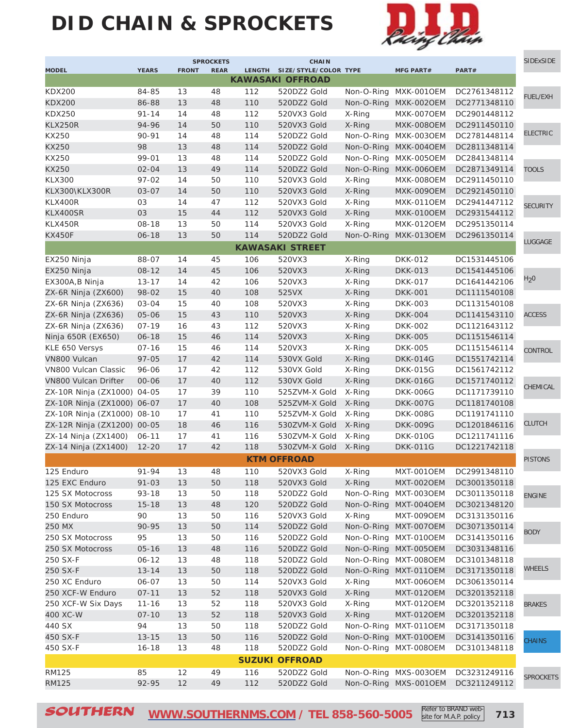# **DID CHAIN & SPROCKETS**



|                             |                        |              | <b>SPROCKETS</b> |               | <b>CHAIN</b>            |            |                          |                              | <b>SIDExSIDE</b> |
|-----------------------------|------------------------|--------------|------------------|---------------|-------------------------|------------|--------------------------|------------------------------|------------------|
| <b>MODEL</b>                | <b>YEARS</b>           | <b>FRONT</b> | <b>REAR</b>      | <b>LENGTH</b> | SIZE/STYLE/COLOR TYPE   |            | <b>MFG PART#</b>         | PART#                        |                  |
|                             |                        |              |                  |               | <b>KAWASAKI OFFROAD</b> |            |                          |                              |                  |
| <b>KDX200</b>               | 84-85                  | 13           | 48               | 112           | 520DZ2 Gold             | Non-O-Ring | MXK-001OEM               | DC2761348112                 | <b>FUEL/EXH</b>  |
| <b>KDX200</b>               | 86-88                  | 13           | 48               | 110           | 520DZ2 Gold             | Non-O-Ring | MXK-0020EM               | DC2771348110                 |                  |
| <b>KDX250</b>               | $91 - 14$              | 14           | 48               | 112           | 520VX3 Gold             | X-Ring     | MXK-007OEM               | DC2901448112                 |                  |
| <b>KLX250R</b>              | 94-96                  | 14           | 50               | 110           | 520VX3 Gold             | X-Ring     | MXK-008OEM               | DC2911450110                 | <b>ELECTRIC</b>  |
| KX250                       | 90-91                  | 14           | 48               | 114           | 520DZ2 Gold             | Non-O-Ring | MXK-003OEM               | DC2781448114                 |                  |
| KX250                       | 98                     | 13           | 48               | 114           | 520DZ2 Gold             | Non-O-Ring | MXK-004OEM               | DC2811348114                 |                  |
| KX250                       | 99-01                  | 13           | 48               | 114           | 520DZ2 Gold             | Non-O-Ring | <b>MXK-0050EM</b>        | DC2841348114                 |                  |
| KX250                       | $02 - 04$              | 13           | 49               | 114           | 520DZ2 Gold             | Non-O-Ring | MXK-006OEM               | DC2871349114                 | <b>TOOLS</b>     |
| <b>KLX300</b>               | $97 - 02$              | 14           | 50               | 110           | 520VX3 Gold             | X-Ring     | <b>MXK-0080EM</b>        | DC2911450110                 |                  |
| KLX300\KLX300R              | $03 - 07$              | 14           | 50               | 110           | 520VX3 Gold             | X-Ring     | MXK-009OEM               | DC2921450110                 |                  |
| KLX400R                     | 03                     | 14           | 47               | 112           | 520VX3 Gold             | X-Ring     | MXK-011OEM               | DC2941447112                 | <b>SECURITY</b>  |
| KLX400SR                    | 03                     | 15           | 44               | 112           | 520VX3 Gold             | X-Ring     | MXK-010OEM               | DC2931544112                 |                  |
| KLX450R                     | $08 - 18$              | 13           | 50               | 114           | 520VX3 Gold             | X-Ring     | <b>MXK-012OEM</b>        | DC2951350114                 |                  |
| <b>KX450F</b>               | $06 - 18$              | 13           | 50               | 114           | 520DZ2 Gold             | Non-O-Ring | <b>MXK-0130EM</b>        | DC2961350114                 | LUGGAGE          |
|                             |                        |              |                  |               | <b>KAWASAKI STREET</b>  |            |                          |                              |                  |
| EX250 Ninja                 | 88-07                  | 14           | 45               | 106           | 520VX3                  | X-Ring     | <b>DKK-012</b>           | DC1531445106                 |                  |
| EX250 Ninja                 | $08 - 12$              | 14           | 45               | 106           | 520VX3                  | X-Ring     | <b>DKK-013</b>           | DC1541445106                 |                  |
| EX300A, B Ninja             | $13 - 17$              | 14           | 42               | 106           | 520VX3                  | X-Ring     | <b>DKK-017</b>           | DC1641442106                 | H <sub>2</sub> 0 |
| ZX-6R Ninja (ZX600)         | 98-02                  | 15           | 40               | 108           | 525VX                   | X-Ring     | <b>DKK-001</b>           | DC1111540108                 |                  |
| ZX-6R Ninja (ZX636)         | $03 - 04$              | 15           | 40               | 108           | 520VX3                  | X-Ring     | <b>DKK-003</b>           | DC1131540108                 |                  |
| ZX-6R Ninja (ZX636)         | $05 - 06$              | 15           | 43               | 110           | 520VX3                  | X-Ring     | <b>DKK-004</b>           | DC1141543110                 | <b>ACCESS</b>    |
| ZX-6R Ninja (ZX636)         | $07 - 19$              | 16           | 43               | 112           | 520VX3                  | X-Ring     | <b>DKK-002</b>           | DC1121643112                 |                  |
| Ninja 650R (EX650)          | $06 - 18$              | 15           | 46               | 114           | 520VX3                  | X-Ring     | <b>DKK-005</b>           | DC1151546114                 |                  |
| KLE 650 Versys              | $07 - 16$              | 15           | 46               | 114           | 520VX3                  | X-Ring     | <b>DKK-005</b>           | DC1151546114                 | CONTROL          |
| VN800 Vulcan                | $97 - 05$              | 17           | 42               | 114           | 530VX Gold              | X-Ring     | <b>DKK-014G</b>          | DC1551742114                 |                  |
| VN800 Vulcan Classic        | 96-06                  | 17           | 42               | 112           | 530VX Gold              | X-Ring     | <b>DKK-015G</b>          | DC1561742112                 |                  |
| <b>VN800 Vulcan Drifter</b> | $00 - 06$              | 17           | 40               | 112           | 530VX Gold              | X-Ring     | <b>DKK-016G</b>          | DC1571740112                 |                  |
| ZX-10R Ninja (ZX1000) 04-05 |                        | 17           | 39               | 110           | 525ZVM-X Gold           | X-Ring     | <b>DKK-006G</b>          | DC1171739110                 | CHEMICAL         |
| ZX-10R Ninja (ZX1000) 06-07 |                        | 17           | 40               | 108           | 525ZVM-X Gold           | X-Ring     | <b>DKK-007G</b>          | DC1181740108                 |                  |
| ZX-10R Ninja (ZX1000) 08-10 |                        | 17           | 41               | 110           | 525ZVM-X Gold           | X-Ring     | <b>DKK-008G</b>          | DC1191741110                 |                  |
| ZX-12R Ninja (ZX1200) 00-05 |                        | 18           | 46               | 116           | 530ZVM-X Gold           | X-Ring     | <b>DKK-009G</b>          | DC1201846116                 | <b>CLUTCH</b>    |
| ZX-14 Ninja (ZX1400)        | $06 - 11$              | 17           | 41               | 116           | 530ZVM-X Gold           | X-Ring     | <b>DKK-010G</b>          | DC1211741116                 |                  |
| ZX-14 Ninja (ZX1400)        | $12 - 20$              | 17           | 42               | 118           | 530ZVM-X Gold           | X-Ring     | <b>DKK-011G</b>          | DC1221742118                 |                  |
|                             |                        |              |                  |               | <b>KTM OFFROAD</b>      |            |                          |                              | <b>PISTONS</b>   |
| 125 Enduro                  | 91-94                  | 13           | 48               | 110           | 520VX3 Gold             | X-Ring     | MXT-001OEM               | DC2991348110                 |                  |
| 125 EXC Enduro              | $91 - 03$              | 13           | 50               | 118           | 520VX3 Gold             | X-Ring     | MXT-002OEM               | DC3001350118                 |                  |
| 125 SX Motocross            | $93 - 18$              | 13           | 50               | 118           | 520DZ2 Gold             | Non-O-Ring | MXT-003OEM               | DC3011350118                 |                  |
| 150 SX Motocross            | $15 - 18$              | 13           | 48               | 120           | 520DZ2 Gold             | Non-O-Ring | MXT-004OEM               | DC3021348120                 | <b>ENGINE</b>    |
| 250 Enduro                  | 90                     | 13           | 50               | 116           | 520VX3 Gold             | X-Ring     | MXT-009OEM               | DC3131350116                 |                  |
| 250 MX                      | 90-95                  | 13           | 50               | 114           | 520DZ2 Gold             | Non-O-Ring | MXT-007OEM               | DC3071350114                 |                  |
| 250 SX Motocross            | 95                     | 13           | 50               | 116           | 520DZ2 Gold             | Non-O-Ring | MXT-010OEM               | DC3141350116                 | <b>BODY</b>      |
| 250 SX Motocross            | $05 - 16$              | 13           | 48               | 116           | 520DZ2 Gold             |            | Non-O-Ring MXT-005OEM    | DC3031348116                 |                  |
| 250 SX-F                    | $06 - 12$              | 13           | 48               | 118           | 520DZ2 Gold             | Non-O-Ring | MXT-008OEM               | DC3101348118                 |                  |
| 250 SX-F                    | $13 - 14$              | 13           | 50               | 118           | 520DZ2 Gold             | Non-O-Ring | MXT-011OEM               | DC3171350118                 | WHEELS           |
| 250 XC Enduro               | 06-07                  | 13           | 50               | 114           | 520VX3 Gold             | X-Ring     | MXT-006OEM               | DC3061350114                 |                  |
| 250 XCF-W Enduro            | $07 - 11$              | 13           | 52               | 118           | 520VX3 Gold             | X-Ring     | MXT-012OEM               | DC3201352118                 |                  |
| 250 XCF-W Six Days          | $11 - 16$              | 13           | 52               | 118           | 520VX3 Gold             | X-Ring     | MXT-012OEM               | DC3201352118                 |                  |
| 400 XC-W                    | $07 - 10$              | 13           | 52               | 118           | 520VX3 Gold             | X-Ring     | MXT-012OEM               | DC3201352118                 | <b>BRAKES</b>    |
| 440 SX                      | 94                     | 13           | 50               | 118           | 520DZ2 Gold             | Non-O-Ring | MXT-011OEM               | DC3171350118                 |                  |
|                             |                        | 13           | 50               |               |                         | Non-O-Ring |                          |                              |                  |
| 450 SX-F<br>450 SX-F        | $13 - 15$<br>$16 - 18$ | 13           | 48               | 116<br>118    | 520DZ2 Gold             | Non-O-Ring | MXT-010OEM<br>MXT-008OEM | DC3141350116<br>DC3101348118 | CHAINS           |
|                             |                        |              |                  |               | 520DZ2 Gold             |            |                          |                              |                  |
|                             |                        |              |                  |               | <b>SUZUKI OFFROAD</b>   |            |                          |                              |                  |
| <b>RM125</b>                | 85                     | 12           | 49               | 116           | 520DZ2 Gold             |            | Non-O-Ring MXS-0030EM    | DC3231249116                 | <b>SPROCKETS</b> |
| RM125                       | 92-95                  | 12           | 49               | 112           | 520DZ2 Gold             |            | Non-O-Ring MXS-001OEM    | DC3211249112                 |                  |
|                             |                        |              |                  |               |                         |            |                          |                              |                  |

SOUTHERN [WWW.SOUTHERNMS.COM](http://m.southernms.com) / TEL 858-560-5005 Refer to BRAND web-<br>
213 site for M.A.P. policy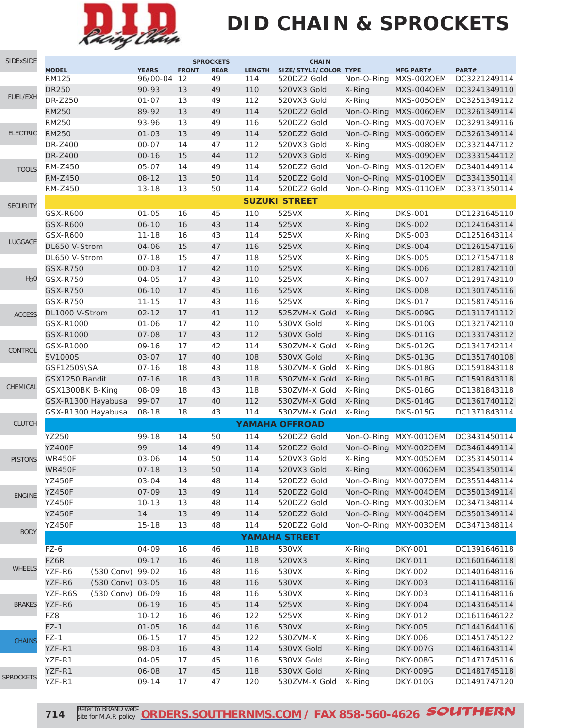

# **DID CHAIN & SPROCKETS**

| SIDExSIDE        |                              |                  |                             |              | <b>SPROCKETS</b>  |                      | <b>CHAIN</b>                         |            |                                |                       |
|------------------|------------------------------|------------------|-----------------------------|--------------|-------------------|----------------------|--------------------------------------|------------|--------------------------------|-----------------------|
|                  | <b>MODEL</b><br><b>RM125</b> |                  | <b>YEARS</b><br>96/00-04 12 | <b>FRONT</b> | <b>REAR</b><br>49 | <b>LENGTH</b><br>114 | SIZE/STYLE/COLOR TYPE<br>520DZ2 Gold | Non-O-Ring | <b>MFG PART#</b><br>MXS-002OEM | PART#<br>DC3221249114 |
|                  | <b>DR250</b>                 |                  | 90-93                       | 13           | 49                | 110                  | 520VX3 Gold                          | X-Ring     | MXS-004OEM                     | DC3241349110          |
| FUEL/EXH         | DR-Z250                      |                  | $01 - 07$                   | 13           | 49                | 112                  | 520VX3 Gold                          | X-Ring     | MXS-005OEM                     | DC3251349112          |
|                  | <b>RM250</b>                 |                  | 89-92                       | 13           | 49                | 114                  | 520DZ2 Gold                          | Non-O-Ring | <b>MXS-0060EM</b>              | DC3261349114          |
|                  | <b>RM250</b>                 |                  | 93-96                       | 13           | 49                | 116                  | 520DZ2 Gold                          | Non-O-Ring | MXS-007OEM                     | DC3291349116          |
| <b>ELECTRIC</b>  | <b>RM250</b>                 |                  | $01 - 03$                   | 13           | 49                | 114                  | 520DZ2 Gold                          | Non-O-Ring | MXS-006OEM                     | DC3261349114          |
|                  | DR-Z400                      |                  | $00 - 07$                   | 14           | 47                | 112                  | 520VX3 Gold                          | X-Ring     | MXS-008OEM                     | DC3321447112          |
|                  | <b>DR-Z400</b>               |                  | $00 - 16$                   | 15           | 44                | 112                  | 520VX3 Gold                          | X-Ring     | MXS-009OEM                     | DC3331544112          |
| <b>TOOLS</b>     | RM-Z450                      |                  | $05 - 07$                   | 14           | 49                | 114                  | 520DZ2 Gold                          | Non-O-Ring | MXS-0120EM                     | DC3401449114          |
|                  | <b>RM-Z450</b>               |                  | $08 - 12$                   | 13           | 50                | 114                  | 520DZ2 Gold                          | Non-O-Ring | MXS-010OEM                     | DC3341350114          |
|                  | <b>RM-Z450</b>               |                  | $13 - 18$                   | 13           | 50                | 114                  | 520DZ2 Gold                          | Non-O-Ring | MXS-011OEM                     | DC3371350114          |
| <b>SECURITY</b>  |                              |                  |                             |              |                   |                      | <b>SUZUKI STREET</b>                 |            |                                |                       |
|                  | GSX-R600                     |                  | $01 - 05$                   | 16           | 45                | 110                  | 525VX                                | X-Ring     | <b>DKS-001</b>                 | DC1231645110          |
|                  | <b>GSX-R600</b>              |                  | $06 - 10$                   | 16           | 43                | 114                  | 525VX                                | X-Ring     | <b>DKS-002</b>                 | DC1241643114          |
|                  | GSX-R600                     |                  | $11 - 18$                   | 16           | 43                | 114                  | 525VX                                | X-Ring     | <b>DKS-003</b>                 | DC1251643114          |
| LUGGAGE          | DL650 V-Strom                |                  | 04-06                       | 15           | 47                | 116                  | 525VX                                | X-Ring     | <b>DKS-004</b>                 | DC1261547116          |
|                  | DL650 V-Strom                |                  | $07 - 18$                   | 15           | 47                | 118                  | 525VX                                | X-Ring     | <b>DKS-005</b>                 | DC1271547118          |
|                  | <b>GSX-R750</b>              |                  | $00 - 03$                   | 17           | 42                | 110                  | 525VX                                | X-Ring     | <b>DKS-006</b>                 | DC1281742110          |
| H <sub>2</sub> 0 | <b>GSX-R750</b>              |                  | 04-05                       | 17           | 43                | 110                  | 525VX                                | X-Ring     | <b>DKS-007</b>                 | DC1291743110          |
|                  | <b>GSX-R750</b>              |                  | $06 - 10$                   | 17           | 45                | 116                  | 525VX                                | X-Ring     | <b>DKS-008</b>                 | DC1301745116          |
|                  | <b>GSX-R750</b>              |                  | $11 - 15$                   | 17           | 43                | 116                  | 525VX                                | X-Ring     | <b>DKS-017</b>                 | DC1581745116          |
| <b>ACCESS</b>    | DL1000 V-Strom               |                  | $02 - 12$                   | 17           | 41                | 112                  | 525ZVM-X Gold                        | X-Ring     | <b>DKS-009G</b>                | DC1311741112          |
|                  | GSX-R1000                    |                  | $01 - 06$                   | 17           | 42                | 110                  | 530VX Gold                           | X-Ring     | <b>DKS-010G</b>                | DC1321742110          |
|                  | GSX-R1000                    |                  | $07 - 08$                   | 17           | 43                | 112                  | 530VX Gold                           | X-Ring     | <b>DKS-011G</b>                | DC1331743112          |
| CONTROL          | GSX-R1000                    |                  | $09 - 16$                   | 17           | 42                | 114                  | 530ZVM-X Gold                        | X-Ring     | <b>DKS-012G</b>                | DC1341742114          |
|                  | <b>SV1000S</b>               |                  | $03 - 07$                   | 17           | 40                | 108                  | 530VX Gold                           | X-Ring     | <b>DKS-013G</b>                | DC1351740108          |
|                  | GSF1250S\SA                  |                  | $07 - 16$                   | 18           | 43                | 118                  | 530ZVM-X Gold                        | X-Ring     | <b>DKS-018G</b>                | DC1591843118          |
|                  | GSX1250 Bandit               |                  | $07 - 16$                   | 18           | 43                | 118                  | 530ZVM-X Gold                        | X-Ring     | <b>DKS-018G</b>                | DC1591843118          |
| CHEMICAL         | GSX1300BK B-King             |                  | 08-09                       | 18           | 43                | 118                  | 530ZVM-X Gold                        | X-Ring     | <b>DKS-016G</b>                | DC1381843118          |
|                  | GSX-R1300 Hayabusa           |                  | 99-07                       | 17           | 40                | 112                  | 530ZVM-X Gold                        | X-Ring     | <b>DKS-014G</b>                | DC1361740112          |
|                  | GSX-R1300 Hayabusa           |                  | $08 - 18$                   | 18           | 43                | 114                  | 530ZVM-X Gold                        | X-Ring     | <b>DKS-015G</b>                | DC1371843114          |
| <b>CLUTCH</b>    |                              |                  |                             |              |                   |                      | <b>YAMAHA OFFROAD</b>                |            |                                |                       |
|                  | YZ250                        |                  | 99-18                       | 14           | 50                | 114                  | 520DZ2 Gold                          | Non-O-Ring | <b>MXY-0010EM</b>              | DC3431450114          |
|                  | <b>YZ400F</b>                |                  | 99                          | 14           | 49                | 114                  | 520DZ2 Gold                          | Non-O-Ring | <b>MXY-0020EM</b>              | DC3461449114          |
| <b>PISTONS</b>   | WR450F                       |                  | 03-06                       | 14           | 50                | 114                  | 520VX3 Gold                          | X-Ring     | <b>MXY-005OEM</b>              | DC3531450114          |
|                  | <b>WR450F</b>                |                  | $07 - 18$                   | 13           | 50                | 114                  | 520VX3 Gold                          | X-Ring     | <b>MXY-006OEM</b>              | DC3541350114          |
|                  | <b>YZ450F</b>                |                  | 03-04                       | 14           | 48                | 114                  | 520DZ2 Gold                          |            | Non-O-Ring MXY-0070EM          | DC3551448114          |
| <b>ENGINE</b>    | <b>YZ450F</b>                |                  | 07-09                       | 13           | 49                | 114                  | 520DZ2 Gold                          |            | Non-O-Ring MXY-0040EM          | DC3501349114          |
|                  | <b>YZ450F</b>                |                  | $10 - 13$                   | 13           | 48                | 114                  | 520DZ2 Gold                          |            | Non-O-Ring MXY-0030EM          | DC3471348114          |
|                  | <b>YZ450F</b>                |                  | 14                          | 13           | 49                | 114                  | 520DZ2 Gold                          |            | Non-O-Ring MXY-0040EM          | DC3501349114          |
| <b>BODY</b>      | <b>YZ450F</b>                |                  | $15 - 18$                   | 13           | 48                | 114                  | 520DZ2 Gold                          |            | Non-O-Ring MXY-0030EM          | DC3471348114          |
|                  |                              |                  |                             |              |                   |                      | <b>YAMAHA STREET</b>                 |            |                                |                       |
|                  | FZ-6                         |                  | 04-09                       | 16           | 46                | 118                  | 530VX                                | X-Ring     | <b>DKY-001</b>                 | DC1391646118          |
|                  | FZ6R                         |                  | $09 - 17$                   | 16           | 46                | 118                  | 520VX3                               | X-Ring     | <b>DKY-011</b>                 | DC1601646118          |
| <b>WHEELS</b>    | YZF-R6                       | (530 Conv) 99-02 |                             | 16           | 48                | 116                  | 530VX                                | X-Ring     | DKY-002                        | DC1401648116          |
|                  | YZF-R6                       | (530 Conv) 03-05 |                             | 16           | 48                | 116                  | 530VX                                | X-Ring     | <b>DKY-003</b>                 | DC1411648116          |
|                  | YZF-R6S                      | (530 Conv) 06-09 |                             | 16           | 48                | 116                  | 530VX                                | X-Ring     | <b>DKY-003</b>                 | DC1411648116          |
| <b>BRAKES</b>    | YZF-R6                       |                  | $06 - 19$                   | 16           | 45                | 114                  | 525VX                                | X-Ring     | <b>DKY-004</b>                 | DC1431645114          |
|                  | FZ8                          |                  | $10 - 12$                   | 16           | 46                | 122                  | 525VX                                | X-Ring     | DKY-012                        | DC1611646122          |
|                  | $FZ-1$                       |                  | $01 - 05$                   | 16           | 44                | 116                  | 530VX                                | X-Ring     | <b>DKY-005</b>                 | DC1441644116          |
| <b>CHAINS</b>    | $FZ-1$                       |                  | $06 - 15$                   | 17           | 45                | 122                  | 530ZVM-X                             | X-Ring     | <b>DKY-006</b>                 | DC1451745122          |
|                  | YZF-R1                       |                  | 98-03                       | 16           | 43                | 114                  | 530VX Gold                           | X-Ring     | <b>DKY-007G</b>                | DC1461643114          |
|                  | YZF-R1                       |                  | 04-05                       | 17           | 45                | 116                  | 530VX Gold                           | X-Ring     | <b>DKY-008G</b>                | DC1471745116          |
| <b>SPROCKETS</b> | YZF-R1                       |                  | 06-08                       | 17           | 45                | 118                  | 530VX Gold                           | X-Ring     | <b>DKY-009G</b>                | DC1481745118          |
|                  | YZF-R1                       |                  | 09-14                       | 17           | 47                | 120                  | 530ZVM-X Gold                        | X-Ring     | <b>DKY-010G</b>                | DC1491747120          |

**714**

Refer to BRAND web site for M.A.P. policy **[ORDERS.SOUTHERNMS.COM](http://orders.southernms.com) / FAX 858-560-4626 SOUTHERN**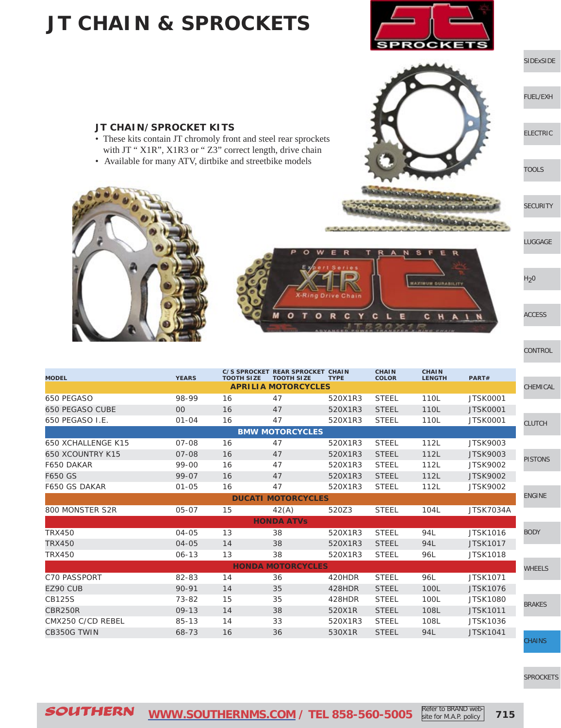### **JT CHAIN & SPROCKETS**



#### [SIDExSIDE](http://www.southernms.com/wp-content/uploads/2015/08/01_UTV.pdf)

[FUEL/EXH](http://www.southernms.com/wp-content/uploads/2015/08/02_fuel_exh.pdf)

[ELECTRIC](http://www.southernms.com/wp-content/uploads/2015/08/03_electrical.pdf)

[TOOLS](http://www.southernms.com/wp-content/uploads/2015/08/04_tools.pdf)

**[SECURITY](http://www.southernms.com/wp-content/uploads/2015/08/05_locks.pdf)** 



 $H<sub>2</sub>0$ 

[ACCESS](http://www.southernms.com/wp-content/uploads/2015/08/08_accessories.pdf)

**[CONTROL](http://www.southernms.com/wp-content/uploads/2015/08/09_controls.pdf)** 

| <b>CHEMICAL</b> |
|-----------------|
|                 |
| <b>CLUTCH</b>   |
|                 |
|                 |
| <b>PISTONS</b>  |
|                 |

[SPROCKETS](http://www.southernms.com/wp-content/uploads/2015/08/18_sprockets.pdf)



| <b>MODEL</b>            | <b>YEARS</b> | <b>TOOTH SIZE</b> | <b>TOOTH SIZE</b>          | <b>TYPE</b> | <b>COLOR</b> | <b>LENGTH</b> | PART#            |                |
|-------------------------|--------------|-------------------|----------------------------|-------------|--------------|---------------|------------------|----------------|
|                         |              |                   | <b>APRILIA MOTORCYCLES</b> |             |              |               |                  | <b>CHEMICA</b> |
| 650 PEGASO              | 98-99        | 16                | 47                         | 520X1R3     | <b>STEEL</b> | 110L          | <b>JTSK0001</b>  |                |
| <b>650 PEGASO CUBE</b>  | $00\,$       | 16                | 47                         | 520X1R3     | <b>STEEL</b> | 110L          | <b>JTSK0001</b>  |                |
| 650 PEGASO I.E.         | $01 - 04$    | 16                | 47                         | 520X1R3     | <b>STEEL</b> | 110L          | <b>JTSK0001</b>  | <b>CLUTCH</b>  |
|                         |              |                   | <b>BMW MOTORCYCLES</b>     |             |              |               |                  |                |
| 650 XCHALLENGE K15      | $07 - 08$    | 16                | 47                         | 520X1R3     | <b>STEEL</b> | 112L          | <b>JTSK9003</b>  |                |
| <b>650 XCOUNTRY K15</b> | $07 - 08$    | 16                | 47                         | 520X1R3     | <b>STEEL</b> | 112L          | <b>JTSK9003</b>  | <b>PISTONS</b> |
| F650 DAKAR              | 99-00        | 16                | 47                         | 520X1R3     | <b>STEEL</b> | 112L          | <b>JTSK9002</b>  |                |
| F650 GS                 | 99-07        | 16                | 47                         | 520X1R3     | <b>STEEL</b> | 112L          | <b>JTSK9002</b>  |                |
| F650 GS DAKAR           | $01 - 05$    | 16                | 47                         | 520X1R3     | <b>STEEL</b> | 112L          | <b>JTSK9002</b>  |                |
|                         |              |                   | <b>DUCATI MOTORCYCLES</b>  |             |              |               |                  | <b>ENGINE</b>  |
| 800 MONSTER S2R         | 05-07        | 15                | 42(A)                      | 520Z3       | <b>STEEL</b> | 104L          | <b>JTSK7034A</b> |                |
|                         |              |                   | <b>HONDA ATVS</b>          |             |              |               |                  |                |
| <b>TRX450</b>           | 04-05        | 13                | 38                         | 520X1R3     | <b>STEEL</b> | 94L           | <b>JTSK1016</b>  | <b>BODY</b>    |
| <b>TRX450</b>           | 04-05        | 14                | 38                         | 520X1R3     | <b>STEEL</b> | 94L           | <b>JTSK1017</b>  |                |
| <b>TRX450</b>           | $06 - 13$    | 13                | 38                         | 520X1R3     | <b>STEEL</b> | 96L           | <b>JTSK1018</b>  |                |
|                         |              |                   | <b>HONDA MOTORCYCLES</b>   |             |              |               |                  | <b>WHEELS</b>  |
| <b>C70 PASSPORT</b>     | 82-83        | 14                | 36                         | 420HDR      | <b>STEEL</b> | 96L           | <b>JTSK1071</b>  |                |
| EZ90 CUB                | 90-91        | 14                | 35                         | 428HDR      | <b>STEEL</b> | 100L          | <b>JTSK1076</b>  |                |
| <b>CB125S</b>           | 73-82        | 15                | 35                         | 428HDR      | <b>STEEL</b> | 100L          | <b>JTSK1080</b>  | <b>BRAKES</b>  |
| CBR250R                 | $09 - 13$    | 14                | 38                         | 520X1R      | <b>STEEL</b> | 108L          | <b>JTSK1011</b>  |                |
| CMX250 C/CD REBEL       | $85 - 13$    | 14                | 33                         | 520X1R3     | <b>STEEL</b> | 108L          | <b>JTSK1036</b>  |                |
| CB350G TWIN             | 68-73        | 16                | 36                         | 530X1R      | <b>STEEL</b> | 94L           | <b>JTSK1041</b>  |                |
|                         |              |                   |                            |             |              |               |                  | <b>CHAINS</b>  |

**C/S SPROCKET REAR SPROCKET CHAIN** 

SOUTHERN **[WWW.SOUTHERNMS.COM](http://m.southernms.com) / TEL 858-560-5005 715** Refer to BRAND website for M.A.P. policy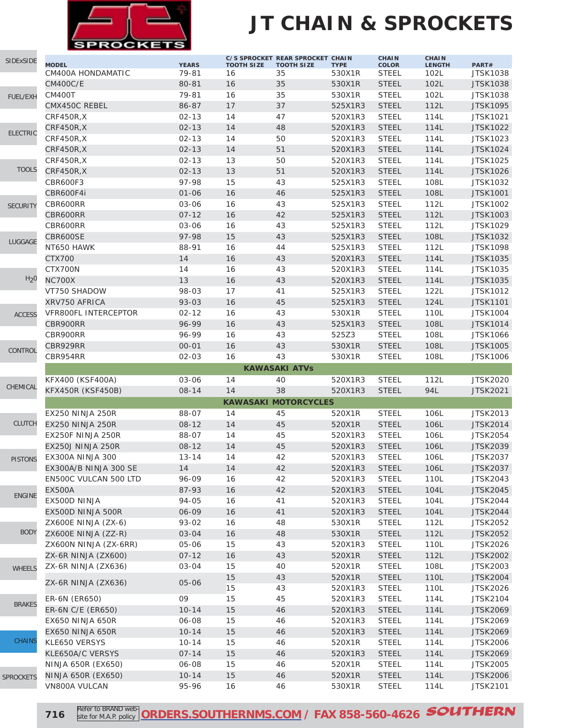

### **JT CHAIN & SPROCKETS**

| SIDExSIDE        |                                   |                       |                         | C/S SPROCKET REAR SPROCKET CHAIN |                       | <b>CHAIN</b>                 | <b>CHAIN</b>          |                          |
|------------------|-----------------------------------|-----------------------|-------------------------|----------------------------------|-----------------------|------------------------------|-----------------------|--------------------------|
|                  | <b>MODEL</b><br>CM400A HONDAMATIC | <b>YEARS</b><br>79-81 | <b>TOOTH SIZE</b><br>16 | <b>TOOTH SIZE</b><br>35          | <b>TYPE</b><br>530X1R | <b>COLOR</b><br><b>STEEL</b> | <b>LENGTH</b><br>102L | PART#<br><b>JTSK1038</b> |
|                  | <b>CM400C/E</b>                   | 80-81                 | 16                      | 35                               | 530X1R                | <b>STEEL</b>                 | 102L                  | <b>JTSK1038</b>          |
|                  | <b>CM400T</b>                     | 79-81                 | 16                      | 35                               | 530X1R                | <b>STEEL</b>                 | 102L                  | <b>JTSK1038</b>          |
| <b>FUEL/EXH</b>  | CMX450C REBEL                     | 86-87                 | 17                      | 37                               | 525X1R3               | <b>STEEL</b>                 | 112L                  | <b>JTSK1095</b>          |
|                  | CRF450R,X                         | $02 - 13$             | 14                      | 47                               | 520X1R3               | <b>STEEL</b>                 | 114L                  | <b>JTSK1021</b>          |
|                  | CRF450R,X                         | $02 - 13$             | 14                      | 48                               | 520X1R3               | <b>STEEL</b>                 | 114L                  | <b>JTSK1022</b>          |
| <b>ELECTRIC</b>  | CRF450R,X                         | $02 - 13$             | 14                      | 50                               | 520X1R3               | <b>STEEL</b>                 | 114L                  | JTSK1023                 |
|                  | CRF450R,X                         | $02 - 13$             | 14                      | 51                               | 520X1R3               | <b>STEEL</b>                 | 114L                  | <b>JTSK1024</b>          |
|                  | CRF450R.X                         | $02 - 13$             | 13                      | 50                               | 520X1R3               | <b>STEEL</b>                 | 114L                  | <b>JTSK1025</b>          |
| <b>TOOLS</b>     | <b>CRF450R,X</b>                  | $02 - 13$             | 13                      | 51                               | 520X1R3               | <b>STEEL</b>                 | 114L                  | <b>JTSK1026</b>          |
|                  | <b>CBR600F3</b>                   | 97-98                 | 15                      | 43                               | 525X1R3               | <b>STEEL</b>                 | 108L                  | <b>JTSK1032</b>          |
|                  | CBR600F4i                         | $01 - 06$             | 16                      | 46                               | 525X1R3               | <b>STEEL</b>                 | 108L                  | <b>JTSK1001</b>          |
|                  | CBR600RR                          | 03-06                 | 16                      | 43                               | 525X1R3               | <b>STEEL</b>                 | 112L                  | <b>JTSK1002</b>          |
| <b>SECURITY</b>  | CBR600RR                          | $07 - 12$             | 16                      | 42                               | 525X1R3               | <b>STEEL</b>                 | 112L                  | <b>JTSK1003</b>          |
|                  | CBR600RR                          | 03-06                 | 16                      | 43                               | 525X1R3               | <b>STEEL</b>                 | 112L                  | <b>JTSK1029</b>          |
|                  | CBR600SE                          | 97-98                 | 15                      | 43                               | 525X1R3               | <b>STEEL</b>                 | 108L                  | <b>JTSK1032</b>          |
| LUGGAGE          | NT650 HAWK                        | 88-91                 | 16                      | 44                               | 525X1R3               | <b>STEEL</b>                 | 112L                  | <b>JTSK1098</b>          |
|                  | <b>CTX700</b>                     | 14                    | 16                      | 43                               | 520X1R3               | <b>STEEL</b>                 | 114L                  | <b>JTSK1035</b>          |
|                  | CTX700N                           | 14                    | 16                      | 43                               | 520X1R3               | <b>STEEL</b>                 | 114L                  | <b>JTSK1035</b>          |
| H <sub>2</sub> 0 | <b>NC700X</b>                     | 13                    | 16                      | 43                               | 520X1R3               | <b>STEEL</b>                 | 114L                  | <b>JTSK1035</b>          |
|                  | VT750 SHADOW                      | 98-03                 | 17                      | 41                               | 525X1R3               | <b>STEEL</b>                 | 122L                  | <b>JTSK1012</b>          |
|                  | XRV750 AFRICA                     | 93-03                 | 16                      | 45                               | 525X1R3               | <b>STEEL</b>                 | 124L                  | <b>JTSK1101</b>          |
| <b>ACCESS</b>    | VFR800FL INTERCEPTOR              | $02 - 12$             | 16                      | 43                               | 530X1R                | <b>STEEL</b>                 | 110L                  | <b>JTSK1004</b>          |
|                  | CBR900RR                          | 96-99                 | 16                      | 43                               | 525X1R3               | <b>STEEL</b>                 | 108L                  | <b>JTSK1014</b>          |
|                  | CBR900RR                          | 96-99                 | 16                      | 43                               | 525Z3                 | <b>STEEL</b>                 | 108L                  | <b>JTSK1066</b>          |
|                  | CBR929RR                          | $00 - 01$             | 16                      | 43                               | 530X1R                | <b>STEEL</b>                 | 108L                  | <b>JTSK1005</b>          |
| CONTROL          | CBR954RR                          | $02 - 03$             | 16                      | 43                               | 530X1R                | <b>STEEL</b>                 | 108L                  | <b>JTSK1006</b>          |
|                  |                                   |                       |                         | <b>KAWASAKI ATVs</b>             |                       |                              |                       |                          |
|                  | KFX400 (KSF400A)                  | 03-06                 | 14                      | 40                               | 520X1R3               | <b>STEEL</b>                 | 112L                  | <b>JTSK2020</b>          |
| CHEMICAL         | KFX450R (KSF450B)                 | $08 - 14$             | 14                      | 38                               | 520X1R3               | <b>STEEL</b>                 | 94L                   | <b>JTSK2021</b>          |
|                  |                                   |                       |                         | <b>KAWASAKI MOTORCYCLES</b>      |                       |                              |                       |                          |
|                  | EX250 NINJA 250R                  | <b>STEEL</b>          | 106L                    | JTSK2013                         |                       |                              |                       |                          |
| <b>CLUTCH</b>    | EX250 NINJA 250R                  | 88-07<br>$08 - 12$    | 14<br>14                | 45<br>45                         | 520X1R<br>520X1R      | <b>STEEL</b>                 | 106L                  | <b>JTSK2014</b>          |
|                  | EX250F NINJA 250R                 | 88-07                 | 14                      | 45                               | 520X1R3               | <b>STEEL</b>                 | 106L                  | <b>JTSK2054</b>          |
|                  | EX250J NINJA 250R                 | $08 - 12$             | 14                      | 45                               | 520X1R3               | <b>STEEL</b>                 | 106L                  | <b>JTSK2039</b>          |
|                  | <b>EX300A NINJA 300</b>           | $13 - 14$             | 14                      | 42                               | 520X1R3               | <b>STEEL</b>                 | 106L                  | <b>JTSK2037</b>          |
| <b>PISTONS</b>   | EX300A/B NINJA 300 SE             | 14                    | 14                      | 42                               | 520X1R3               | <b>STEEL</b>                 | 106L                  | <b>JTSK2037</b>          |
|                  | EN500C VULCAN 500 LTD             | 96-09                 | 16                      | 42                               | 520X1R3               | <b>STEEL</b>                 | 110L                  | JTSK2043                 |
|                  | <b>EX500A</b>                     | 87-93                 | 16                      | 42                               | 520X1R3               | <b>STEEL</b>                 | 104L                  | <b>JTSK2045</b>          |
| <b>ENGINE</b>    | EX500D NINJA                      | 94-05                 | 16                      | 41                               | 520X1R3               | <b>STEEL</b>                 | 104L                  | <b>JTSK2044</b>          |
|                  | EX500D NINJA 500R                 | 06-09                 | 16                      | 41                               | 520X1R3               | <b>STEEL</b>                 | 104L                  | <b>JTSK2044</b>          |
|                  | ZX600E NINJA (ZX-6)               | 93-02                 | 16                      | 48                               | 530X1R                | <b>STEEL</b>                 | 112L                  | <b>JTSK2052</b>          |
| <b>BODY</b>      | ZX600E NINJA (ZZ-R)               | 03-04                 | 16                      | 48                               | 530X1R                | <b>STEEL</b>                 | 112L                  | <b>JTSK2052</b>          |
|                  | ZX600N NINJA (ZX-6RR)             | 05-06                 | 15                      | 43                               | 520X1R3               | <b>STEEL</b>                 | 110L                  | <b>JTSK2026</b>          |
|                  | ZX-6R NINJA (ZX600)               | $07 - 12$             | 16                      | 43                               | 520X1R                | <b>STEEL</b>                 | 112L                  | <b>JTSK2002</b>          |
|                  | ZX-6R NINJA (ZX636)               | 03-04                 | 15                      | 40                               | 520X1R                | <b>STEEL</b>                 | 108L                  | JTSK2003                 |
| <b>WHEELS</b>    |                                   |                       | 15                      | 43                               | 520X1R                | <b>STEEL</b>                 | 110L                  | <b>JTSK2004</b>          |
|                  | ZX-6R NINJA (ZX636)               | $05 - 06$             | 15                      | 43                               | 520X1R3               | <b>STEEL</b>                 | 110L                  | <b>JTSK2026</b>          |
| <b>BRAKES</b>    | ER-6N (ER650)                     | 09                    | 15                      | 45                               | 520X1R3               | <b>STEEL</b>                 | 114L                  | JTSK2104                 |
|                  | ER-6N C/E (ER650)                 | $10 - 14$             | 15                      | 46                               | 520X1R3               | <b>STEEL</b>                 | 114L                  | <b>JTSK2069</b>          |
|                  | EX650 NINJA 650R                  | 06-08                 | 15                      | 46                               | 520X1R3               | <b>STEEL</b>                 | 114L                  | <b>JTSK2069</b>          |
|                  | EX650 NINJA 650R                  | $10 - 14$             | 15                      | 46                               | 520X1R3               | <b>STEEL</b>                 | 114L                  | <b>JTSK2069</b>          |
| <b>CHAINS</b>    | KLE650 VERSYS                     | $10 - 14$             | 15                      | 46                               | 520X1R                | <b>STEEL</b>                 | 114L                  | <b>JTSK2006</b>          |
|                  | KLE650A/C VERSYS                  | $07 - 14$             | 15                      | 46                               | 520X1R3               | <b>STEEL</b>                 | 114L                  | <b>JTSK2069</b>          |
|                  | NINJA 650R (EX650)                | 06-08                 | 15                      | 46                               | 520X1R                | <b>STEEL</b>                 | 114L                  | <b>JTSK2005</b>          |
|                  | NINJA 650R (EX650)                | $10 - 14$             | 15                      | 46                               | 520X1R                | <b>STEEL</b>                 | $114L$                | <b>JTSK2006</b>          |
| <b>SPROCKETS</b> | VN800A VULCAN                     | 95-96                 | 16                      | 46                               | 530X1R                | <b>STEEL</b>                 | 114L                  | <b>JTSK2101</b>          |
|                  |                                   |                       |                         |                                  |                       |                              |                       |                          |

**716**

Refer to BRAND web site for M.A.P. policy **[ORDERS.SOUTHERNMS.COM](http://orders.southernms.com) / FAX 858-560-4626 SOUTHERN**